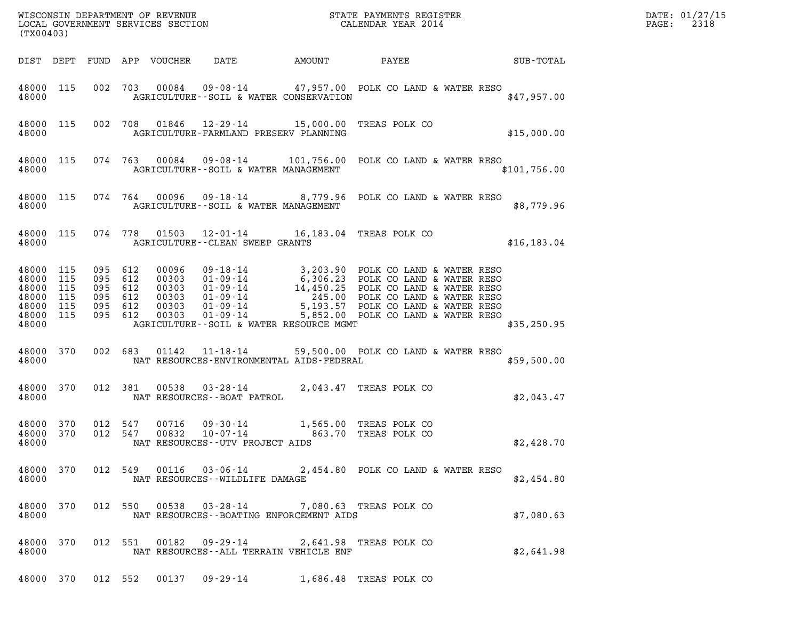| DATE: | 01/27/15 |
|-------|----------|
| PAGE: | 2318     |

| (TX00403)                                                               |                   |                                                                |  |                  |                                                                                                      |        |                                                                                                                                                                                                                                            | DATE: 01/27/15<br>2318<br>$\mathtt{PAGE:}$ |  |
|-------------------------------------------------------------------------|-------------------|----------------------------------------------------------------|--|------------------|------------------------------------------------------------------------------------------------------|--------|--------------------------------------------------------------------------------------------------------------------------------------------------------------------------------------------------------------------------------------------|--------------------------------------------|--|
| DIST DEPT                                                               |                   |                                                                |  | FUND APP VOUCHER | DATE                                                                                                 | AMOUNT | PAYEE                                                                                                                                                                                                                                      | SUB-TOTAL                                  |  |
| 48000 115<br>48000                                                      |                   |                                                                |  |                  | AGRICULTURE--SOIL & WATER CONSERVATION                                                               |        | 002 703 00084 09-08-14 47,957.00 POLK CO LAND & WATER RESO                                                                                                                                                                                 | \$47,957.00                                |  |
| 48000                                                                   | 48000 115         |                                                                |  |                  | 002 708 01846 12-29-14 15,000.00 TREAS POLK CO<br>AGRICULTURE-FARMLAND PRESERV PLANNING              |        |                                                                                                                                                                                                                                            | \$15,000.00                                |  |
| 48000                                                                   | 48000 115         |                                                                |  |                  | AGRICULTURE--SOIL & WATER MANAGEMENT                                                                 |        | 074 763 00084 09-08-14 101,756.00 POLK CO LAND & WATER RESO                                                                                                                                                                                | \$101,756.00                               |  |
| 48000                                                                   | 48000 115         |                                                                |  |                  | AGRICULTURE--SOIL & WATER MANAGEMENT                                                                 |        | 074 764 00096 09-18-14 8,779.96 POLK CO LAND & WATER RESO                                                                                                                                                                                  | \$8,779.96                                 |  |
| 48000                                                                   | 48000 115         |                                                                |  |                  | 074 778 01503 12-01-14 16,183.04 TREAS POLK CO<br>AGRICULTURE -- CLEAN SWEEP GRANTS                  |        |                                                                                                                                                                                                                                            | \$16, 183.04                               |  |
| 48000 115<br>48000<br>48000<br>48000<br>48000 115<br>48000 115<br>48000 | 115<br>115<br>115 | 095 612<br>095 612<br>095 612<br>095 612<br>095 612<br>095 612 |  |                  | AGRICULTURE--SOIL & WATER RESOURCE MGMT                                                              |        | 00096 09-18-14 3,203.90 POLK CO LAND & WATER RESO<br>00303 01-09-14 6,306.23 POLK CO LAND & WATER RESO<br>00303 01-09-14 14,450.25 POLK CO LAND & WATER RESO<br>00303 01-09-14 245.00 POLK CO LAND & WATER RESO<br>00303 01-09-14 5,193.57 | \$35,250.95                                |  |
| 48000 370<br>48000                                                      |                   | 002 683                                                        |  |                  | NAT RESOURCES-ENVIRONMENTAL AIDS-FEDERAL                                                             |        | 01142  11-18-14  59,500.00  POLK CO LAND & WATER RESO                                                                                                                                                                                      | \$59,500.00                                |  |
| 48000                                                                   | 48000 370         | 012 381                                                        |  |                  | 00538  03-28-14<br>NAT RESOURCES--BOAT PATROL                                                        |        | 2,043.47 TREAS POLK CO                                                                                                                                                                                                                     | \$2,043.47                                 |  |
| 48000 370<br>48000 370<br>48000                                         |                   | 012 547<br>012 547                                             |  | 00716<br>00832   | 09-30-14<br>$10 - 07 - 14$<br>NAT RESOURCES - - UTV PROJECT AIDS                                     |        | 1,565.00 TREAS POLK CO<br>863.70 TREAS POLK CO                                                                                                                                                                                             | \$2,428.70                                 |  |
| 48000                                                                   |                   |                                                                |  |                  | NAT RESOURCES--WILDLIFE DAMAGE                                                                       |        | 48000 370 012 549 00116 03-06-14 2,454.80 POLK CO LAND & WATER RESO                                                                                                                                                                        | \$2,454.80                                 |  |
| 48000                                                                   |                   |                                                                |  |                  | 48000 370 012 550 00538 03-28-14 7,080.63 TREAS POLK CO<br>NAT RESOURCES--BOATING ENFORCEMENT AIDS   |        |                                                                                                                                                                                                                                            | \$7,080.63                                 |  |
| 48000                                                                   |                   |                                                                |  |                  | 48000 370 012 551 00182 09-29-14 2,641.98 TREAS POLK CO<br>NAT RESOURCES - - ALL TERRAIN VEHICLE ENF |        |                                                                                                                                                                                                                                            | \$2,641.98                                 |  |

48000 370 012 552 00137 09-29-14 1,686.48 TREAS POLK CO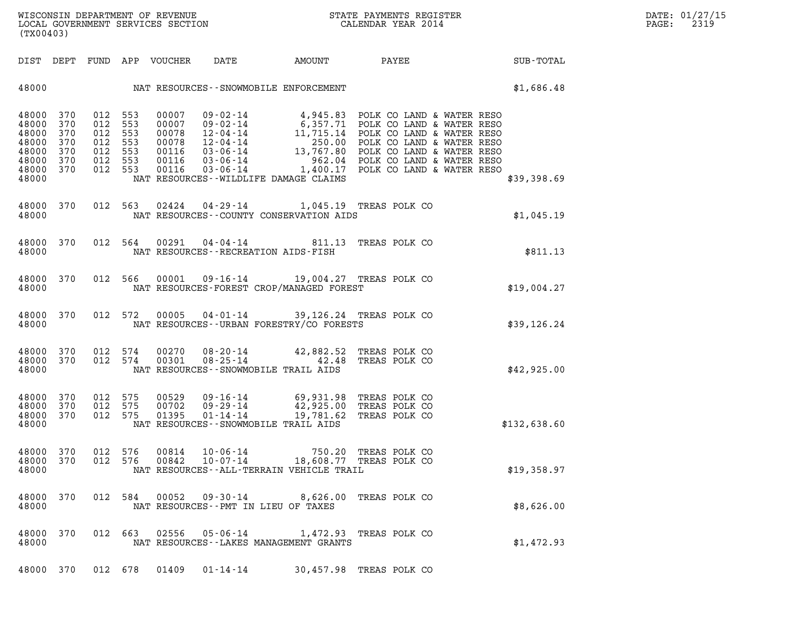| (TX00403)                                                                                   |            |                                                                           | WISCONSIN DEPARTMENT OF REVENUE<br>LOCAL GOVERNMENT SERVICES SECTION CALENDAR YEAR 2014                                                                                                                                                                                         |           |                                                 |                                                                   | DATE: 01/27/15<br>2319<br>$\mathtt{PAGE:}$ |
|---------------------------------------------------------------------------------------------|------------|---------------------------------------------------------------------------|---------------------------------------------------------------------------------------------------------------------------------------------------------------------------------------------------------------------------------------------------------------------------------|-----------|-------------------------------------------------|-------------------------------------------------------------------|--------------------------------------------|
|                                                                                             |            | DIST DEPT FUND APP VOUCHER                                                | DATE                                                                                                                                                                                                                                                                            |           |                                                 | AMOUNT PAYEE SUB-TOTAL                                            |                                            |
|                                                                                             |            |                                                                           |                                                                                                                                                                                                                                                                                 |           |                                                 | 48000 NAT RESOURCES--SNOWMOBILE ENFORCEMENT STATES AND \$1,686.48 |                                            |
| 48000 370<br>48000 370<br>48000<br>48000<br>48000<br>370<br>48000 370<br>48000 370<br>48000 | 370<br>370 | 012 553<br>012 553<br>012 553<br>012 553<br>012 553<br>012 553<br>012 553 | 00007 09-02-14 4,945.83 POLK CO LAND & WATER RESO<br>00007 09-02-14 6,357.71 POLK CO LAND & WATER RESO<br>00078 12-04-14 11,715.14 POLK CO LAND & WATER RESO<br>00078 12-04-14 250.00 POLK CO LAND & WATER RESO<br>00116 03-06-14 13,7<br>NAT RESOURCES--WILDLIFE DAMAGE CLAIMS |           |                                                 | \$39,398.69                                                       |                                            |
| 48000 370                                                                                   |            |                                                                           | 012 563 02424 04-29-14 1,045.19 TREAS POLK CO                                                                                                                                                                                                                                   |           |                                                 |                                                                   |                                            |
| 48000                                                                                       |            |                                                                           | NAT RESOURCES -- COUNTY CONSERVATION AIDS                                                                                                                                                                                                                                       |           |                                                 | \$1,045.19                                                        |                                            |
| 48000 370<br>48000                                                                          |            |                                                                           | 012 564 00291 04-04-14 811.13 TREAS POLK CO<br>NAT RESOURCES - - RECREATION AIDS - FISH                                                                                                                                                                                         |           |                                                 | \$811.13                                                          |                                            |
| 48000 370<br>48000                                                                          |            |                                                                           | 012 566 00001 09-16-14 19,004.27 TREAS POLK CO<br>NAT RESOURCES-FOREST CROP/MANAGED FOREST                                                                                                                                                                                      |           |                                                 | \$19,004.27                                                       |                                            |
| 48000 370<br>48000                                                                          |            |                                                                           | 012 572 00005 04-01-14 39,126.24 TREAS POLK CO<br>NAT RESOURCES--URBAN FORESTRY/CO FORESTS                                                                                                                                                                                      |           |                                                 | \$39,126.24                                                       |                                            |
| 48000<br>48000 370<br>48000                                                                 | 370        | 012 574<br>00270<br>012 574<br>00301                                      | 08-20-14 42,882.52 TREAS POLK CO<br>08-25-14 42.48 TREAS POLK CO<br>NAT RESOURCES -- SNOWMOBILE TRAIL AIDS                                                                                                                                                                      |           |                                                 | \$42,925.00                                                       |                                            |
| 48000 370<br>48000<br>48000 370<br>48000                                                    | 370        | 012 575<br>00529<br>012 575<br>00702<br>012 575<br>01395                  | 09-16-14 69,931.98 TREAS POLK CO<br>$09 - 29 - 14$ 42,925.00 TREAS POLK CO<br>$01 - 14 - 14$<br>NAT RESOURCES - - SNOWMOBILE TRAIL AIDS                                                                                                                                         | 19,781.62 | TREAS POLK CO                                   | \$132,638.60                                                      |                                            |
| 48000<br>48000<br>48000                                                                     | 370<br>370 | 012 576<br>00814<br>012 576<br>00842                                      | 10-06-14<br>$10 - 07 - 14$<br>NAT RESOURCES - - ALL-TERRAIN VEHICLE TRAIL                                                                                                                                                                                                       |           | 750.20 TREAS POLK CO<br>18,608.77 TREAS POLK CO | \$19,358.97                                                       |                                            |
| 48000<br>48000                                                                              | 370        | 012 584                                                                   | 00052 09-30-14<br>NAT RESOURCES - - PMT IN LIEU OF TAXES                                                                                                                                                                                                                        |           | 8,626.00 TREAS POLK CO                          | \$8,626.00                                                        |                                            |
| 48000<br>48000                                                                              | 370        | 012 663<br>02556                                                          | 05-06-14<br>NAT RESOURCES--LAKES MANAGEMENT GRANTS                                                                                                                                                                                                                              |           | 1,472.93 TREAS POLK CO                          | \$1,472.93                                                        |                                            |

48000 370 012 678 01409 01-14-14 30,457.98 TREAS POLK CO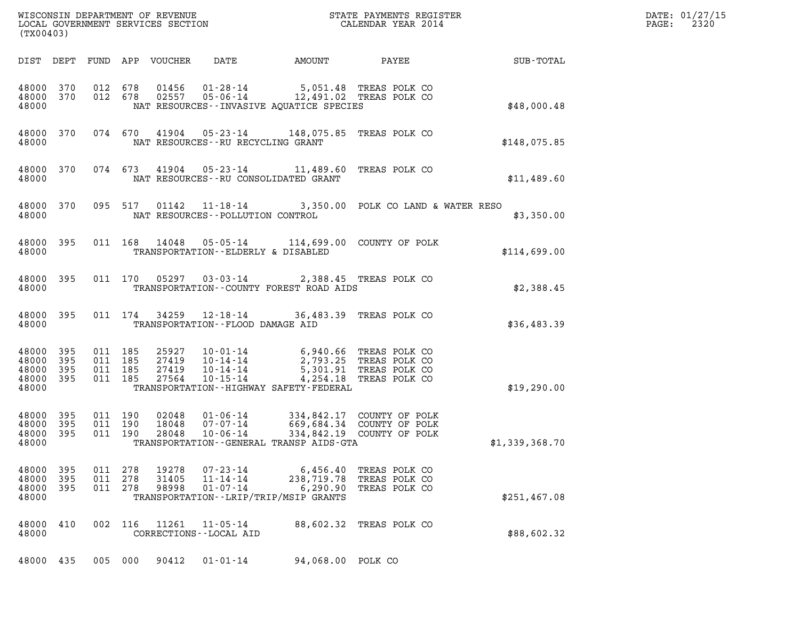| DATE: | 01/27/15 |
|-------|----------|
| PAGE: | 2320     |

| (TX00403)                                     |                       |                               |         |                         |                                        |                                                                                                                                                                                                                                              |                                                 | DATE: 01/27/15<br>2320<br>$\mathtt{PAGE:}$ |  |
|-----------------------------------------------|-----------------------|-------------------------------|---------|-------------------------|----------------------------------------|----------------------------------------------------------------------------------------------------------------------------------------------------------------------------------------------------------------------------------------------|-------------------------------------------------|--------------------------------------------|--|
|                                               |                       |                               |         |                         |                                        |                                                                                                                                                                                                                                              |                                                 |                                            |  |
| 48000                                         |                       |                               |         |                         |                                        | $\begin{array}{cccc} 48000 & 370 & 012 & 678 & 01456 & 01-28-14 & 5,051.48 & \text{TREAS POLK CO} \\ 48000 & 370 & 012 & 678 & 02557 & 05-06-14 & 12,491.02 & \text{TREAS POLK CO} \end{array}$<br>NAT RESOURCES - INVASIVE AQUATICE SPECIES |                                                 | \$48,000.48                                |  |
| 48000                                         |                       |                               |         |                         |                                        | 48000 370 074 670 41904 05-23-14 148,075.85 TREAS POLK CO<br>NAT RESOURCES--RU RECYCLING GRANT                                                                                                                                               |                                                 | \$148,075.85                               |  |
| 48000                                         |                       |                               |         |                         |                                        | 48000 370 074 673 41904 05-23-14 11,489.60 TREAS POLK CO<br>NAT RESOURCES--RU CONSOLIDATED GRANT                                                                                                                                             |                                                 | \$11,489.60                                |  |
| 48000                                         |                       |                               |         |                         |                                        | 48000 370 095 517 01142 11-18-14 3,350.00 POLK CO LAND & WATER RESO<br>NAT RESOURCES -- POLLUTION CONTROL                                                                                                                                    |                                                 | \$3,350.00                                 |  |
| 48000 395<br>48000                            |                       |                               |         |                         |                                        | 011 168 14048 05-05-14 114,699.00 COUNTY OF POLK<br>TRANSPORTATION--ELDERLY & DISABLED                                                                                                                                                       |                                                 | \$114,699.00                               |  |
| 48000 395<br>48000                            |                       |                               |         |                         |                                        | 011 170 05297 03-03-14 2,388.45 TREAS POLK CO<br>TRANSPORTATION--COUNTY FOREST ROAD AIDS                                                                                                                                                     |                                                 | \$2,388.45                                 |  |
| 48000 395<br>48000                            |                       |                               |         |                         |                                        | 011 174 34259 12-18-14 36,483.39 TREAS POLK CO<br>TRANSPORTATION--FLOOD DAMAGE AID                                                                                                                                                           |                                                 | \$36,483.39                                |  |
| 48000<br>48000<br>48000<br>48000 395<br>48000 | - 395<br>395<br>- 395 | 011 185<br>011 185<br>011 185 | 011 185 |                         |                                        | 25927  10-01-14  6,940.66  TREAS POLK CO<br>27419  10-14-14  2,793.25  TREAS POLK CO<br>27419  10-14-14  5,301.91  TREAS POLK CO<br>27564  10-15-14  4,254.18  TREAS POLK CO<br>TRANSPORTATION - - HIGHWAY SAFETY - FEDERAL                  |                                                 | \$19,290.00                                |  |
| 48000 395<br>48000<br>48000 395<br>48000      | - 395                 | 011 190<br>011 190            | 011 190 | 28048                   | 10-06-14                               | 02048  01-06-14  334,842.17  COUNTY OF POLK<br>18048  07-07-14  669,684.34  COUNTY OF POLK<br>TRANSPORTATION--GENERAL TRANSP AIDS-GTA                                                                                                        | 334,842.19 COUNTY OF POLK                       | \$1,339,368.70                             |  |
| 48000<br>48000<br>48000<br>48000              | 395<br>395<br>395     | 011 278<br>011 278<br>011 278 |         | 19278<br>31405<br>98998 | 07-23-14<br>11-14-14<br>$01 - 07 - 14$ | 6,456.40<br>238,719.78<br>6,290.90<br>TRANSPORTATION - - LRIP/TRIP/MSIP GRANTS                                                                                                                                                               | TREAS POLK CO<br>TREAS POLK CO<br>TREAS POLK CO | \$251,467.08                               |  |
| 48000<br>48000                                | 410                   | 002 116                       |         | 11261                   | 11-05-14<br>CORRECTIONS - - LOCAL AID  |                                                                                                                                                                                                                                              | 88,602.32 TREAS POLK CO                         | \$88,602.32                                |  |
| 48000 435                                     |                       | 005 000                       |         | 90412                   | $01 - 01 - 14$                         | 94,068.00 POLK CO                                                                                                                                                                                                                            |                                                 |                                            |  |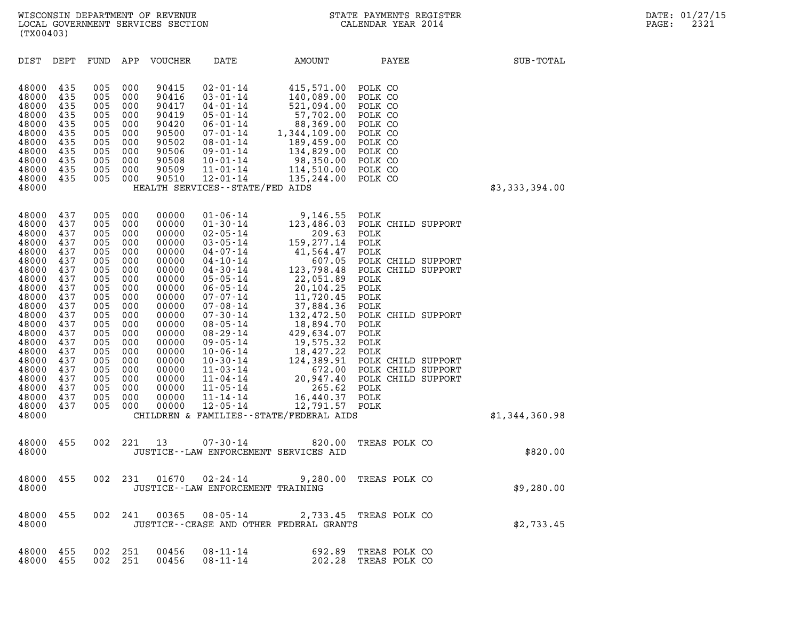| (TX00403)                                                                                                                                                                                                                                                                                                                                    |                                                                                                                                                                                                                                                                                                    |                                                                                                                                                                                                                                                                                                                                                                                                                                                                                                                                                                                     |                                                                                                                                                                                                                                                                        |                                                                                                                                                                                                                                                                        |                |
|----------------------------------------------------------------------------------------------------------------------------------------------------------------------------------------------------------------------------------------------------------------------------------------------------------------------------------------------|----------------------------------------------------------------------------------------------------------------------------------------------------------------------------------------------------------------------------------------------------------------------------------------------------|-------------------------------------------------------------------------------------------------------------------------------------------------------------------------------------------------------------------------------------------------------------------------------------------------------------------------------------------------------------------------------------------------------------------------------------------------------------------------------------------------------------------------------------------------------------------------------------|------------------------------------------------------------------------------------------------------------------------------------------------------------------------------------------------------------------------------------------------------------------------|------------------------------------------------------------------------------------------------------------------------------------------------------------------------------------------------------------------------------------------------------------------------|----------------|
| DEPT<br>DIST                                                                                                                                                                                                                                                                                                                                 | FUND<br>APP                                                                                                                                                                                                                                                                                        | <b>VOUCHER</b><br>DATE                                                                                                                                                                                                                                                                                                                                                                                                                                                                                                                                                              | AMOUNT                                                                                                                                                                                                                                                                 | PAYEE                                                                                                                                                                                                                                                                  | SUB-TOTAL      |
| 435<br>48000<br>48000<br>435<br>48000<br>435<br>48000<br>435<br>48000<br>435<br>435<br>48000<br>48000<br>435<br>435<br>48000<br>48000<br>435<br>435<br>48000<br>48000<br>435<br>48000                                                                                                                                                        | 000<br>005<br>000<br>005<br>005<br>000<br>000<br>005<br>005<br>000<br>000<br>005<br>005<br>000<br>005<br>000<br>005<br>000<br>005<br>000<br>005<br>000                                                                                                                                             | 90415<br>$02 - 01 - 14$<br>90416<br>$03 - 01 - 14$<br>90417<br>$04 - 01 - 14$<br>90419<br>$05 - 01 - 14$<br>90420<br>$06 - 01 - 14$<br>90500<br>$07 - 01 - 14$<br>90502<br>$08 - 01 - 14$<br>90506<br>09-01-14<br>$10 - 01 - 14$<br>90508<br>90509<br>$11 - 01 - 14$<br>90510<br>$12 - 01 - 14$<br>HEALTH SERVICES - - STATE/FED AIDS                                                                                                                                                                                                                                               | 415,571.00<br>140,089.00<br>521,094.00<br>57,702.00<br>88,369.00<br>1,344,109.00<br>189,459.00<br>134,829.00<br>98,350.00<br>114,510.00<br>135,244.00                                                                                                                  | POLK CO<br>POLK CO<br>POLK CO<br>POLK CO<br>POLK CO<br>POLK CO<br>POLK CO<br>POLK CO<br>POLK CO<br>POLK CO<br>POLK CO                                                                                                                                                  | \$3,333,394.00 |
| 437<br>48000<br>437<br>48000<br>48000<br>437<br>48000<br>437<br>48000<br>437<br>437<br>48000<br>48000<br>437<br>48000<br>437<br>48000<br>437<br>437<br>48000<br>48000<br>437<br>48000<br>437<br>48000<br>437<br>437<br>48000<br>48000<br>437<br>48000<br>437<br>48000<br>437<br>437<br>48000<br>48000<br>437<br>437<br>48000<br>48000<br>437 | 005<br>000<br>000<br>005<br>005<br>000<br>000<br>005<br>005<br>000<br>005<br>000<br>005<br>000<br>000<br>005<br>005<br>000<br>005<br>000<br>005<br>000<br>000<br>005<br>005<br>000<br>005<br>000<br>005<br>000<br>000<br>005<br>005<br>000<br>005<br>000<br>005<br>000<br>005<br>000<br>005<br>000 | 00000<br>$01 - 06 - 14$<br>$01 - 30 - 14$<br>00000<br>00000<br>$02 - 05 - 14$<br>$03 - 05 - 14$<br>00000<br>$04 - 07 - 14$<br>00000<br>00000<br>$04 - 10 - 14$<br>$04 - 30 - 14$<br>00000<br>$05 - 05 - 14$<br>00000<br>$06 - 05 - 14$<br>00000<br>$07 - 07 - 14$<br>00000<br>$07 - 08 - 14$<br>00000<br>$07 - 30 - 14$<br>00000<br>$08 - 05 - 14$<br>00000<br>$08 - 29 - 14$<br>00000<br>$09 - 05 - 14$<br>00000<br>$10 - 06 - 14$<br>00000<br>$10 - 30 - 14$<br>00000<br>$11 - 03 - 14$<br>00000<br>$11 - 04 - 14$<br>00000<br>$11 - 05 - 14$<br>00000<br>$11 - 14 - 14$<br>00000 | 9,146.55<br>123,486.03<br>209.63<br>159,277.14<br>41,564.47<br>607.05<br>123,798.48<br>22,051.89<br>20,104.25<br>11,720.45<br>37,884.36<br>132,472.50<br>18,894.70<br>429,634.07<br>19,575.32<br>18,427.22<br>124,389.91<br>672.00<br>20,947.40<br>265.62<br>16,440.37 | POLK<br>POLK CHILD SUPPORT<br>POLK<br>POLK<br>POLK<br>POLK CHILD SUPPORT<br>POLK CHILD SUPPORT<br>POLK<br>POLK<br>POLK<br>POLK<br>POLK CHILD SUPPORT<br>POLK<br>POLK<br>POLK<br>POLK<br>POLK CHILD SUPPORT<br>POLK CHILD SUPPORT<br>POLK CHILD SUPPORT<br>POLK<br>POLK |                |
| 437<br>48000<br>48000                                                                                                                                                                                                                                                                                                                        | 005<br>000                                                                                                                                                                                                                                                                                         | 00000<br>$12 - 05 - 14$                                                                                                                                                                                                                                                                                                                                                                                                                                                                                                                                                             | 12,791.57 POLK<br>CHILDREN & FAMILIES--STATE/FEDERAL AIDS                                                                                                                                                                                                              |                                                                                                                                                                                                                                                                        | \$1,344,360.98 |
| 455<br>48000<br>48000                                                                                                                                                                                                                                                                                                                        | 002<br>221                                                                                                                                                                                                                                                                                         | 13<br>$07 - 30 - 14$<br>JUSTICE--LAW ENFORCEMENT SERVICES AID                                                                                                                                                                                                                                                                                                                                                                                                                                                                                                                       | 820.00                                                                                                                                                                                                                                                                 | TREAS POLK CO                                                                                                                                                                                                                                                          | \$820.00       |
| 455<br>48000<br>48000                                                                                                                                                                                                                                                                                                                        | 231<br>002                                                                                                                                                                                                                                                                                         | 01670<br>$02 - 24 - 14$<br>JUSTICE - - LAW ENFORCEMENT TRAINING                                                                                                                                                                                                                                                                                                                                                                                                                                                                                                                     | 9,280.00                                                                                                                                                                                                                                                               | TREAS POLK CO                                                                                                                                                                                                                                                          | \$9,280.00     |
| 48000 455<br>48000                                                                                                                                                                                                                                                                                                                           | 002                                                                                                                                                                                                                                                                                                |                                                                                                                                                                                                                                                                                                                                                                                                                                                                                                                                                                                     | 241  00365  08-05-14  2,733.45  TREAS POLK CO<br>JUSTICE--CEASE AND OTHER FEDERAL GRANTS                                                                                                                                                                               |                                                                                                                                                                                                                                                                        | \$2,733.45     |
| 48000 455<br>48000 455                                                                                                                                                                                                                                                                                                                       | 002<br>251<br>002<br>- 251                                                                                                                                                                                                                                                                         | 00456<br>08-11-14<br>$08 - 11 - 14$<br>00456                                                                                                                                                                                                                                                                                                                                                                                                                                                                                                                                        | 692.89<br>202.28                                                                                                                                                                                                                                                       | TREAS POLK CO<br>TREAS POLK CO                                                                                                                                                                                                                                         |                |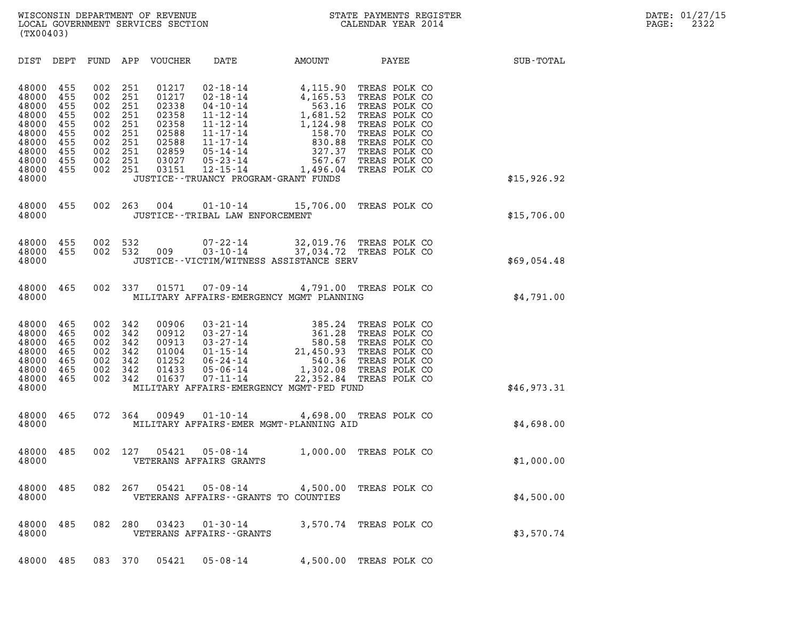| (TX00403)                                                                                       |                                                                    |                                                                    |                                                                    |                                                                                        |                                                                                                                                                                                                                               |                                                                                                                                               |                                                                                                                                                                        |             |
|-------------------------------------------------------------------------------------------------|--------------------------------------------------------------------|--------------------------------------------------------------------|--------------------------------------------------------------------|----------------------------------------------------------------------------------------|-------------------------------------------------------------------------------------------------------------------------------------------------------------------------------------------------------------------------------|-----------------------------------------------------------------------------------------------------------------------------------------------|------------------------------------------------------------------------------------------------------------------------------------------------------------------------|-------------|
| DIST                                                                                            | DEPT                                                               |                                                                    |                                                                    | FUND APP VOUCHER DATE                                                                  |                                                                                                                                                                                                                               | AMOUNT PAYEE                                                                                                                                  |                                                                                                                                                                        | SUB-TOTAL   |
| 48000<br>48000<br>48000<br>48000<br>48000<br>48000<br>48000<br>48000<br>48000<br>48000<br>48000 | 455<br>455<br>455<br>455<br>455<br>455<br>455<br>455<br>455<br>455 | 002<br>002<br>002<br>002<br>002<br>002<br>002<br>002<br>002<br>002 | 251<br>251<br>251<br>251<br>251<br>251<br>251<br>251<br>251<br>251 | 01217<br>01217<br>02338<br>02358<br>02358<br>02588<br>02588<br>02859<br>03027<br>03151 | $02 - 18 - 14$<br>$02 - 18 - 14$<br>$04 - 10 - 14$<br>$11 - 12 - 14$<br>$11 - 12 - 14$<br>$11 - 17 - 14$<br>$11 - 17 - 14$<br>$05 - 14 - 14$<br>$05 - 23 - 14$<br>$12 - 15 - 14$<br>JUSTICE - - TRUANCY PROGRAM - GRANT FUNDS | 4,115.90<br>4,165.53<br>$563.16$<br>1,681.52<br>1,681.52<br>1,124.98<br>158.70<br>$158.70$<br>$830.88$<br>327.37<br>567.67<br>1,496.04        | TREAS POLK CO<br>TREAS POLK CO<br>TREAS POLK CO<br>TREAS POLK CO<br>TREAS POLK CO<br>TREAS POLK CO<br>TREAS POLK CO<br>TREAS POLK CO<br>TREAS POLK CO<br>TREAS POLK CO | \$15,926.92 |
| 48000<br>48000                                                                                  | 455                                                                | 002                                                                | 263                                                                | 004                                                                                    | JUSTICE - - TRIBAL LAW ENFORCEMENT                                                                                                                                                                                            | 01-10-14 15,706.00 TREAS POLK CO                                                                                                              |                                                                                                                                                                        | \$15,706.00 |
| 48000<br>48000<br>48000                                                                         | 455<br>455                                                         | 002 532                                                            | 002 532                                                            | 009                                                                                    |                                                                                                                                                                                                                               | 07-22-14 32,019.76 TREAS POLK CO<br>03-10-14 37,034.72 TREAS POLK CO<br>JUSTICE - - VICTIM/WITNESS ASSISTANCE SERV                            |                                                                                                                                                                        | \$69,054.48 |
| 48000<br>48000                                                                                  | 465                                                                | 002                                                                | 337                                                                |                                                                                        |                                                                                                                                                                                                                               | 01571  07-09-14  4,791.00 TREAS POLK CO<br>MILITARY AFFAIRS-EMERGENCY MGMT PLANNING                                                           |                                                                                                                                                                        | \$4,791.00  |
| 48000<br>48000<br>48000<br>48000<br>48000<br>48000<br>48000<br>48000                            | 465<br>465<br>465<br>465<br>465<br>465<br>465                      | 002<br>002<br>002<br>002<br>002<br>002<br>002                      | 342<br>342<br>342<br>342<br>342<br>342<br>342                      | 00906<br>00912<br>00913<br>01004<br>01252<br>01433<br>01637                            | $03 - 21 - 14$<br>$03 - 27 - 14$<br>$03 - 27 - 14$<br>$01 - 15 - 14$<br>06-24-14<br>$05 - 06 - 14$<br>$07 - 11 - 14$                                                                                                          | $\begin{array}{r} 385.24 \\ 361.28 \\ 580.58 \\ 21,450.93 \end{array}$<br>22,352.84 TREAS POLK CO<br>MILITARY AFFAIRS-EMERGENCY MGMT-FED FUND | TREAS POLK CO<br>TREAS POLK CO<br>TREAS POLK CO<br>TREAS POLK CO<br>TREAS POLK CO<br>540.36 TREAS POLK CO<br>1,302.08 TREAS POLK CO                                    | \$46,973.31 |
| 48000<br>48000                                                                                  | 465                                                                | 072                                                                | - 364                                                              | 00949                                                                                  | $01 - 10 - 14$                                                                                                                                                                                                                | 4,698.00 TREAS POLK CO<br>MILITARY AFFAIRS-EMER MGMT-PLANNING AID                                                                             |                                                                                                                                                                        | \$4,698.00  |
| 48000<br>48000                                                                                  | 485                                                                | 002                                                                | 127                                                                | 05421                                                                                  | $05 - 08 - 14$<br>VETERANS AFFAIRS GRANTS                                                                                                                                                                                     |                                                                                                                                               | 1,000.00 TREAS POLK CO                                                                                                                                                 | \$1,000.00  |
| 48000<br>48000                                                                                  | 485                                                                |                                                                    | 082 267                                                            |                                                                                        | 05421  05-08-14<br>VETERANS AFFAIRS -- GRANTS TO COUNTIES                                                                                                                                                                     |                                                                                                                                               | 4,500.00 TREAS POLK CO                                                                                                                                                 | \$4,500.00  |
| 48000<br>48000                                                                                  | 485                                                                |                                                                    | 082 280                                                            | 03423                                                                                  | $01 - 30 - 14$<br>VETERANS AFFAIRS - - GRANTS                                                                                                                                                                                 |                                                                                                                                               | 3,570.74 TREAS POLK CO                                                                                                                                                 | \$3,570.74  |
| 48000                                                                                           | 485                                                                |                                                                    | 083 370                                                            | 05421                                                                                  | $05 - 08 - 14$                                                                                                                                                                                                                |                                                                                                                                               | 4,500.00 TREAS POLK CO                                                                                                                                                 |             |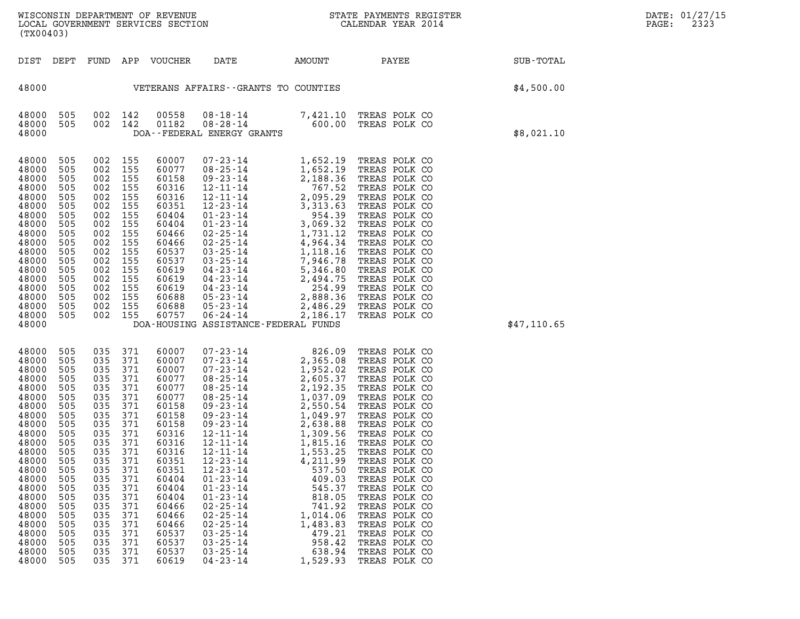| WISCONSIN DEPARTMENT OF REVENUE<br>LOCAL GOVERNMENT SERVICES SECTION<br>(TX00403) | STATE PAYMENTS REGISTER<br>CALENDAR YEAR 2014 | DATE: 01/27/15<br>2323<br>PAGE: |
|-----------------------------------------------------------------------------------|-----------------------------------------------|---------------------------------|

| (TX00403)                                                                                                                                                                                                                                                                                                                                                                                    |                                                                                                                                                                                                                                                                                                                                                                                                                                                                                                                                                                      |                                                                                                                                                                                                                                                                                                                                                                                                                                                                                                                                                 |                                                                                              |                                                                                                                                                                                                                                                                                                                                                                                                                      |                  |
|----------------------------------------------------------------------------------------------------------------------------------------------------------------------------------------------------------------------------------------------------------------------------------------------------------------------------------------------------------------------------------------------|----------------------------------------------------------------------------------------------------------------------------------------------------------------------------------------------------------------------------------------------------------------------------------------------------------------------------------------------------------------------------------------------------------------------------------------------------------------------------------------------------------------------------------------------------------------------|-------------------------------------------------------------------------------------------------------------------------------------------------------------------------------------------------------------------------------------------------------------------------------------------------------------------------------------------------------------------------------------------------------------------------------------------------------------------------------------------------------------------------------------------------|----------------------------------------------------------------------------------------------|----------------------------------------------------------------------------------------------------------------------------------------------------------------------------------------------------------------------------------------------------------------------------------------------------------------------------------------------------------------------------------------------------------------------|------------------|
| DIST<br>DEPT                                                                                                                                                                                                                                                                                                                                                                                 | FUND<br>APP<br>VOUCHER                                                                                                                                                                                                                                                                                                                                                                                                                                                                                                                                               | DATE                                                                                                                                                                                                                                                                                                                                                                                                                                                                                                                                            | <b>AMOUNT</b>                                                                                | PAYEE                                                                                                                                                                                                                                                                                                                                                                                                                | <b>SUB-TOTAL</b> |
| 48000                                                                                                                                                                                                                                                                                                                                                                                        |                                                                                                                                                                                                                                                                                                                                                                                                                                                                                                                                                                      | VETERANS AFFAIRS -- GRANTS TO COUNTIES                                                                                                                                                                                                                                                                                                                                                                                                                                                                                                          |                                                                                              |                                                                                                                                                                                                                                                                                                                                                                                                                      | \$4,500.00       |
| 505<br>48000<br>48000<br>505<br>48000                                                                                                                                                                                                                                                                                                                                                        | 00558<br>002<br>142<br>002<br>142<br>01182                                                                                                                                                                                                                                                                                                                                                                                                                                                                                                                           | 08-18-14<br>$08 - 28 - 14$<br>DOA--FEDERAL ENERGY GRANTS                                                                                                                                                                                                                                                                                                                                                                                                                                                                                        | 7,421.10<br>7,421.10<br>600.00                                                               | TREAS POLK CO<br>TREAS POLK CO                                                                                                                                                                                                                                                                                                                                                                                       | \$8,021.10       |
| 505<br>48000<br>48000<br>505<br>48000<br>505<br>48000<br>505<br>48000<br>505<br>48000<br>505<br>48000<br>505<br>48000<br>505<br>48000<br>505<br>48000<br>505<br>48000<br>505<br>48000<br>505<br>48000<br>505<br>48000<br>505<br>48000<br>505<br>48000<br>505<br>48000<br>505<br>48000<br>505<br>48000                                                                                        | 002<br>155<br>60007<br>002<br>155<br>60077<br>002<br>155<br>60158<br>002<br>155<br>60316<br>002<br>155<br>60316<br>002<br>155<br>60351<br>002<br>155<br>60404<br>002<br>155<br>60404<br>002<br>155<br>60466<br>002<br>155<br>60466<br>002<br>155<br>60537<br>002<br>155<br>60537<br>002<br>155<br>60619<br>002<br>155<br>60619<br>002<br>155<br>60619<br>002<br>155<br>60688<br>002<br>155<br>60688<br>002<br>155<br>60757                                                                                                                                           | $\begin{array}{cccc} 07\text{-}23\text{-}14 & 1,652.19 \\ 08\text{-}25\text{-}14 & 1,652.19 \\ 09\text{-}23\text{-}14 & 2,188.36 \\ 12\text{-}11\text{-}14 & 767.52 \\ 12\text{-}12\text{-}14 & 3,313.63 \\ 01\text{-}23\text{-}14 & 3,95\text{-}29 \\ 01\text{-}23\text{-}14 & 3,069.32 \\ 01\text{-}23\text{-}14 & 3,069.32 \\ 02\text$<br>DOA-HOUSING ASSISTANCE-FEDERAL FUNDS                                                                                                                                                               |                                                                                              | TREAS POLK CO<br>TREAS POLK CO<br>TREAS POLK CO<br>TREAS POLK CO<br>TREAS POLK CO<br>TREAS POLK CO<br>TREAS POLK CO<br>TREAS POLK CO<br>TREAS POLK CO<br>TREAS POLK CO<br>TREAS POLK CO<br>TREAS POLK CO<br>TREAS POLK CO<br>TREAS POLK CO<br>TREAS POLK CO<br>TREAS POLK CO<br>TREAS POLK CO<br>TREAS POLK CO                                                                                                       | \$47,110.65      |
| 48000<br>505<br>48000<br>505<br>48000<br>505<br>48000<br>505<br>48000<br>505<br>48000<br>505<br>48000<br>505<br>48000<br>505<br>48000<br>505<br>48000<br>505<br>48000<br>505<br>48000<br>505<br>48000<br>505<br>48000<br>505<br>505<br>48000<br>48000<br>505<br>48000<br>505<br>48000<br>505<br>48000<br>505<br>48000<br>505<br>48000<br>505<br>48000<br>505<br>48000<br>505<br>48000<br>505 | 035<br>371<br>60007<br>371<br>035<br>60007<br>371<br>035<br>60007<br>371<br>035<br>60077<br>371<br>035<br>60077<br>371<br>035<br>60077<br>035<br>371<br>60158<br>371<br>035<br>60158<br>371<br>035<br>60158<br>371<br>035<br>60316<br>035<br>371<br>60316<br>035<br>371<br>60316<br>371<br>035<br>60351<br>035<br>371<br>60351<br>035<br>371<br>60404<br>035<br>371<br>60404<br>035<br>371<br>60404<br>035<br>371<br>60466<br>035<br>371<br>60466<br>035<br>371<br>60466<br>035<br>371<br>60537<br>035<br>371<br>60537<br>035<br>371<br>60537<br>035<br>371<br>60619 | $\begin{array}{cccc} 07\,\text{-}\,23\,\text{-}\,14 & 826\,\text{-}\,09 \\ 07\,\text{-}\,23\,\text{-}\,14 & 2\,,365\,\text{-}\,08 \\ 07\,\text{-}\,23\,\text{-}\,14 & 1\,,952\,\text{-}\,02 \\ 08\,\text{-}\,25\,\text{-}\,14 & 2\,,605\,\text{-}\,37 \\ 08\,\text{-}\,25\,\text{-}\,14 & 2\,,605\,\text{-}\,37 \\ 09\,\text{-}\,23\,\text{-}\,14 & 1\,,037\,\text{-}\,09 \\$<br>$01 - 23 - 14$<br>$01 - 23 - 14$<br>$02 - 25 - 14$<br>$02 - 25 - 14$<br>$02 - 25 - 14$<br>$03 - 25 - 14$<br>$03 - 25 - 14$<br>$03 - 25 - 14$<br>$04 - 23 - 14$ | 545.37<br>818.05<br>741.92<br>1,014.06<br>1,483.83<br>479.21<br>958.42<br>638.94<br>1,529.93 | TREAS POLK CO<br>TREAS POLK CO<br>TREAS POLK CO<br>TREAS POLK CO<br>TREAS POLK CO<br>TREAS POLK CO<br>TREAS POLK CO<br>TREAS POLK CO<br>TREAS POLK CO<br>TREAS POLK CO<br>TREAS POLK CO<br>TREAS POLK CO<br>TREAS POLK CO<br>TREAS POLK CO<br>TREAS POLK CO<br>TREAS POLK CO<br>TREAS POLK CO<br>TREAS POLK CO<br>TREAS POLK CO<br>TREAS POLK CO<br>TREAS POLK CO<br>TREAS POLK CO<br>TREAS POLK CO<br>TREAS POLK CO |                  |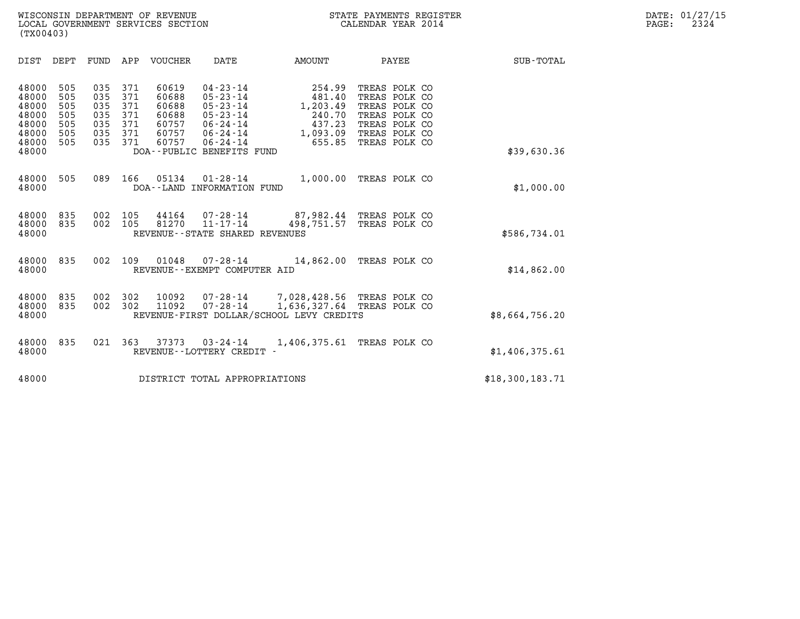| (TX00403)                                                                                                             |                                                                                                                                                                                            |                                                                                                                                                                                                      |                                                                                                                     |                  |
|-----------------------------------------------------------------------------------------------------------------------|--------------------------------------------------------------------------------------------------------------------------------------------------------------------------------------------|------------------------------------------------------------------------------------------------------------------------------------------------------------------------------------------------------|---------------------------------------------------------------------------------------------------------------------|------------------|
| DIST<br>DEPT                                                                                                          | FUND<br>APP<br>VOUCHER                                                                                                                                                                     | DATE<br>AMOUNT                                                                                                                                                                                       | PAYEE                                                                                                               | <b>SUB-TOTAL</b> |
| 48000<br>505<br>505<br>48000<br>48000<br>505<br>48000<br>505<br>48000<br>505<br>48000<br>505<br>48000<br>505<br>48000 | 035<br>371<br>60619<br>371<br>035<br>60688<br>371<br>035<br>60688<br>035<br>371<br>60688<br>035<br>371<br>60757<br>035<br>371<br>60757<br>371<br>60757<br>035<br>DOA--PUBLIC BENEFITS FUND | $04 - 23 - 14$<br>254.99<br>$05 - 23 - 14$<br>481.40<br>$05 - 23 - 14$<br>1,203.49<br>$05 - 23 - 14$<br>240.70<br>$06 - 24 - 14$<br>437.23<br>$06 - 24 - 14$<br>1,093.09<br>655.85<br>$06 - 24 - 14$ | TREAS POLK CO<br>TREAS POLK CO<br>TREAS POLK CO<br>TREAS POLK CO<br>TREAS POLK CO<br>TREAS POLK CO<br>TREAS POLK CO | \$39,630.36      |
| 505<br>48000<br>48000                                                                                                 | 089<br>166<br>05134<br>DOA--LAND INFORMATION FUND                                                                                                                                          | 1,000.00<br>$01 - 28 - 14$                                                                                                                                                                           | TREAS POLK CO                                                                                                       | \$1,000.00       |
| 48000<br>835<br>48000<br>835<br>48000                                                                                 | 002<br>105<br>44164<br>105<br>002<br>81270                                                                                                                                                 | $07 - 28 - 14$<br>$11 - 17 - 14$<br>498,751.57<br>REVENUE--STATE SHARED REVENUES                                                                                                                     | 87,982.44 TREAS POLK CO<br>TREAS POLK CO                                                                            | \$586,734.01     |
| 48000<br>835<br>48000                                                                                                 | 002<br>109<br>01048                                                                                                                                                                        | $07 - 28 - 14$<br>REVENUE--EXEMPT COMPUTER AID                                                                                                                                                       | 14,862.00 TREAS POLK CO                                                                                             | \$14,862.00      |
| 835<br>48000<br>48000<br>835<br>48000                                                                                 | 002<br>302<br>10092<br>002<br>302<br>11092                                                                                                                                                 | $07 - 28 - 14$<br>7,028,428.56 TREAS POLK CO<br>$07 - 28 - 14$<br>1,636,327.64<br>REVENUE-FIRST DOLLAR/SCHOOL LEVY CREDITS                                                                           | TREAS POLK CO                                                                                                       | \$8,664,756.20   |
| 48000<br>835<br>48000                                                                                                 | 021<br>363<br>37373<br>REVENUE--LOTTERY CREDIT -                                                                                                                                           | 1,406,375.61<br>$03 - 24 - 14$                                                                                                                                                                       | TREAS POLK CO                                                                                                       | \$1,406,375.61   |
| 48000                                                                                                                 |                                                                                                                                                                                            | DISTRICT TOTAL APPROPRIATIONS                                                                                                                                                                        |                                                                                                                     | \$18,300,183.71  |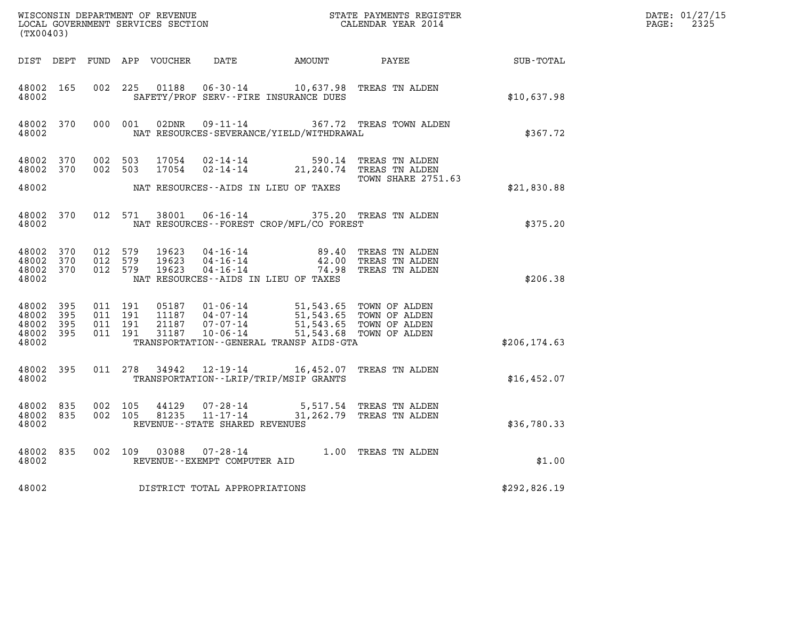| WISCONSIN DEPARTMENT OF REVENUE<br>LOCAL GOVERNMENT SERVICES SECTION<br>CALENDAR YEAR 2014<br>(TX00403) |     |                               |                                          |                            |                                   |                                                                                                                                                                                                                             |                                                                                                  |               | DATE: 01/27/15<br>$\mathtt{PAGE:}$<br>2325 |
|---------------------------------------------------------------------------------------------------------|-----|-------------------------------|------------------------------------------|----------------------------|-----------------------------------|-----------------------------------------------------------------------------------------------------------------------------------------------------------------------------------------------------------------------------|--------------------------------------------------------------------------------------------------|---------------|--------------------------------------------|
|                                                                                                         |     |                               |                                          | DIST DEPT FUND APP VOUCHER |                                   |                                                                                                                                                                                                                             | DATE AMOUNT PAYEE SUB-TOTAL                                                                      |               |                                            |
| 48002 165<br>48002                                                                                      |     |                               |                                          |                            |                                   | 002 225 01188 06-30-14 10,637.98 TREAS TN ALDEN<br>SAFETY/PROF SERV--FIRE INSURANCE DUES                                                                                                                                    |                                                                                                  | \$10,637.98   |                                            |
| 48002 370<br>48002                                                                                      |     |                               | 000 001                                  |                            |                                   | NAT RESOURCES-SEVERANCE/YIELD/WITHDRAWAL                                                                                                                                                                                    | 02DNR  09-11-14  367.72 TREAS TOWN ALDEN                                                         | \$367.72      |                                            |
| 48002 370<br>48002 370                                                                                  |     | 002 503                       | 002 503                                  | 17054<br>17054             |                                   |                                                                                                                                                                                                                             | 02-14-14 590.14 TREAS TN ALDEN<br>02-14-14 21,240.74 TREAS TN ALDEN<br><b>TOWN SHARE 2751.63</b> |               |                                            |
| 48002                                                                                                   |     |                               |                                          |                            |                                   | NAT RESOURCES--AIDS IN LIEU OF TAXES                                                                                                                                                                                        |                                                                                                  | \$21,830.88   |                                            |
| 48002 370<br>48002                                                                                      |     |                               | 012 571                                  | 38001                      |                                   | 06-16-14 375.20 TREAS TN ALDEN<br>NAT RESOURCES--FOREST CROP/MFL/CO FOREST                                                                                                                                                  |                                                                                                  | \$375.20      |                                            |
| 48002 370<br>48002 370<br>48002 370<br>48002                                                            |     | 012 579<br>012 579<br>012 579 |                                          | 19623<br>19623<br>19623    |                                   | NAT RESOURCES--AIDS IN LIEU OF TAXES                                                                                                                                                                                        | 04-16-14 89.40 TREAS TN ALDEN<br>04-16-14 42.00 TREAS TN ALDEN<br>04-16-14 74.98 TREAS TN ALDEN  | \$206.38      |                                            |
| 48002 395<br>48002<br>48002 395<br>48002 395<br>48002                                                   | 395 |                               | 011 191<br>011 191<br>011 191<br>011 191 |                            |                                   | 05187  01-06-14  51,543.65  TOWN OF ALDEN<br>11187  04-07-14  51,543.65  TOWN OF ALDEN<br>21187  07-07-14  51,543.65  TOWN OF ALDEN<br>31187  10-06-14  51,543.68  TOWN OF ALDEN<br>TRANSPORTATION--GENERAL TRANSP AIDS-GTA |                                                                                                  | \$206, 174.63 |                                            |
| 48002 395<br>48002                                                                                      |     |                               |                                          | 011 278 34942              |                                   | 12-19-14 16,452.07 TREAS TN ALDEN<br>TRANSPORTATION - - LRIP/TRIP/MSIP GRANTS                                                                                                                                               |                                                                                                  | \$16,452.07   |                                            |
| 48002 835<br>48002 835<br>48002                                                                         |     | 002 105<br>002 105            |                                          |                            | REVENUE - - STATE SHARED REVENUES | $44129$ $07 - 28 - 14$ 5,517.54 TREAS TN ALDEN<br>81235 11-17-14 31,262.79 TREAS TN ALDEN                                                                                                                                   |                                                                                                  | \$36,780.33   |                                            |
| 48002 835<br>48002                                                                                      |     |                               |                                          |                            | REVENUE--EXEMPT COMPUTER AID      | 002 109 03088 07-28-14 1.00 TREAS TN ALDEN                                                                                                                                                                                  |                                                                                                  | \$1.00        |                                            |
| 48002                                                                                                   |     |                               |                                          |                            | DISTRICT TOTAL APPROPRIATIONS     |                                                                                                                                                                                                                             |                                                                                                  | \$292,826.19  |                                            |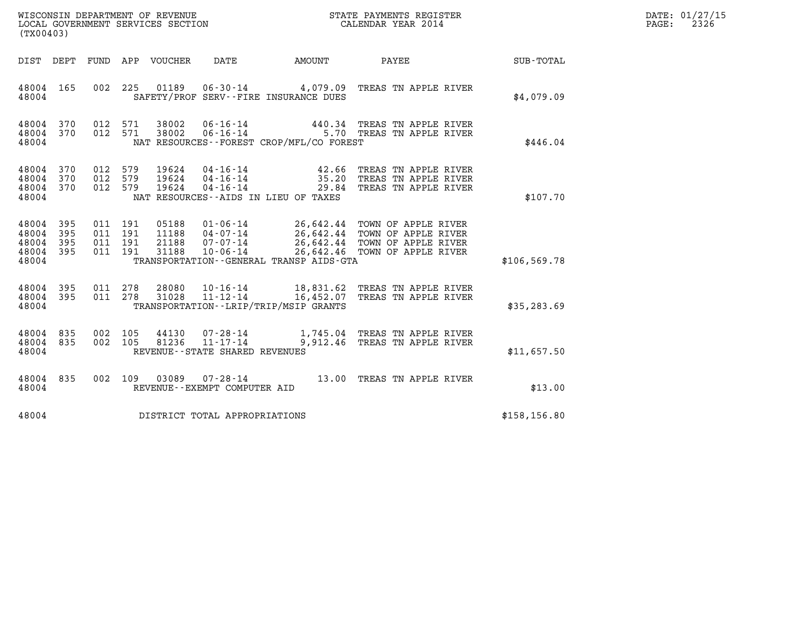| (TX00403)                                     |                               |                                          |                            |                                  |                                              |                                             |                                                                                                                                                             |               | DATE: 01/27/15<br>$\mathtt{PAGE}$ :<br>2326 |
|-----------------------------------------------|-------------------------------|------------------------------------------|----------------------------|----------------------------------|----------------------------------------------|---------------------------------------------|-------------------------------------------------------------------------------------------------------------------------------------------------------------|---------------|---------------------------------------------|
|                                               |                               |                                          | DIST DEPT FUND APP VOUCHER |                                  | DATE                                         | AMOUNT                                      | PAYEE                                                                                                                                                       | SUB-TOTAL     |                                             |
| 48004 165<br>48004                            |                               | 002 225                                  |                            | 01189                            |                                              | SAFETY/PROF SERV--FIRE INSURANCE DUES       | 06-30-14 4,079.09 TREAS TN APPLE RIVER                                                                                                                      | \$4,079.09    |                                             |
| 48004 370<br>48004 370<br>48004               |                               | 012 571<br>012 571                       |                            | 38002<br>38002                   | $06 - 16 - 14$                               | NAT RESOURCES - - FOREST CROP/MFL/CO FOREST | 440.34 TREAS TN APPLE RIVER<br>06-16-14 5.70 TREAS TN APPLE RIVER                                                                                           | \$446.04      |                                             |
| 48004 370<br>48004 370<br>48004<br>48004      | 370                           | 012 579<br>012 579<br>012 579            |                            | 19624<br>19624<br>19624          | 04 - 16 - 14<br>04 - 16 - 14<br>04 - 16 - 14 | NAT RESOURCES--AIDS IN LIEU OF TAXES        | 42.66 TREAS TN APPLE RIVER<br>35.20 TREAS TN APPLE RIVER<br>29.84 TREAS TN APPLE RIVER                                                                      | \$107.70      |                                             |
| 48004<br>48004<br>48004<br>48004 395<br>48004 | - 395<br>395<br>- 395         | 011 191<br>011 191<br>011 191<br>011 191 |                            | 05188<br>11188<br>21188<br>31188 | 10-06-14                                     | TRANSPORTATION--GENERAL TRANSP AIDS-GTA     | 01-06-14 26,642.44 TOWN OF APPLE RIVER<br>04-07-14 26,642.44 TOWN OF APPLE RIVER<br>07-07-14 26,642.44 TOWN OF APPLE RIVER<br>26,642.46 TOWN OF APPLE RIVER | \$106, 569.78 |                                             |
| 48004 395<br>48004 395<br>48004               |                               | 011 278                                  | 011 278                    | 28080<br>31028                   |                                              | TRANSPORTATION--LRIP/TRIP/MSIP GRANTS       | 10-16-14 18,831.62 TREAS TN APPLE RIVER<br>11-12-14 16,452.07 TREAS TN APPLE RIVER                                                                          | \$35, 283.69  |                                             |
| 48004 835<br>48004 835<br>48004               |                               | 002 105<br>002 105                       |                            |                                  | REVENUE - - STATE SHARED REVENUES            |                                             | 44130  07-28-14   1,745.04   TREAS TN APPLE RIVER<br>81236  11-17-14   9,912.46   TREAS TN APPLE RIVER                                                      | \$11,657.50   |                                             |
| 48004 835<br>48004                            |                               |                                          | 002 109                    | 03089                            | REVENUE--EXEMPT COMPUTER AID                 |                                             | 07-28-14 13.00 TREAS TN APPLE RIVER                                                                                                                         | \$13.00       |                                             |
| 48004                                         | DISTRICT TOTAL APPROPRIATIONS |                                          |                            |                                  |                                              |                                             |                                                                                                                                                             | \$158, 156.80 |                                             |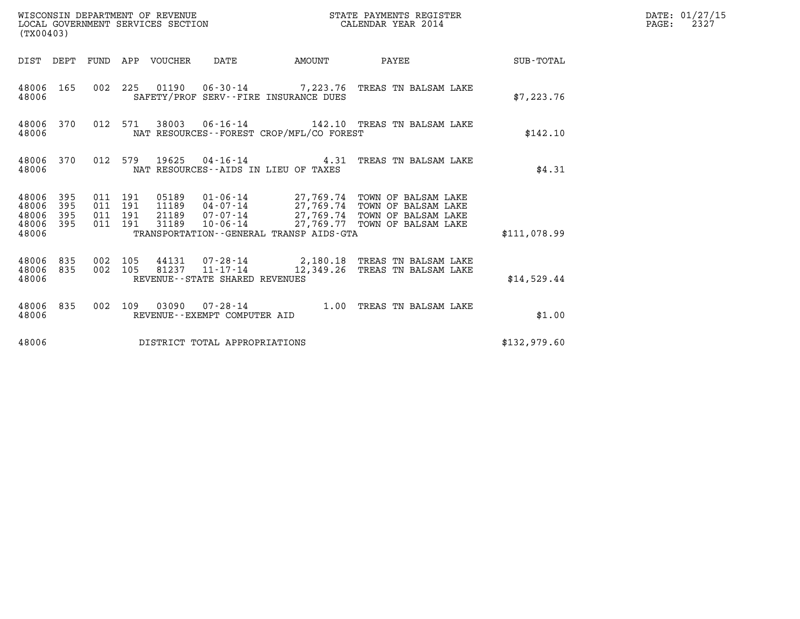| (TX00403)                                 |                          |                                          |         | WISCONSIN DEPARTMENT OF REVENUE<br>LOCAL GOVERNMENT SERVICES SECTION |                                                          |                                            | STATE PAYMENTS REGISTER<br>CALENDAR YEAR 2014                                                                                                                                                   |              | DATE: 01/27/15<br>$\mathtt{PAGE:}$<br>2327 |
|-------------------------------------------|--------------------------|------------------------------------------|---------|----------------------------------------------------------------------|----------------------------------------------------------|--------------------------------------------|-------------------------------------------------------------------------------------------------------------------------------------------------------------------------------------------------|--------------|--------------------------------------------|
|                                           |                          |                                          |         | DIST DEPT FUND APP VOUCHER DATE                                      |                                                          |                                            | AMOUNT PAYEE                                                                                                                                                                                    | SUB-TOTAL    |                                            |
| 48006 165<br>48006                        |                          |                                          |         |                                                                      |                                                          | SAFETY/PROF SERV--FIRE INSURANCE DUES      | 002 225 01190 06-30-14 7,223.76 TREAS TN BALSAM LAKE                                                                                                                                            | \$7,223.76   |                                            |
| 48006                                     | 48006 370                |                                          |         |                                                                      |                                                          | NAT RESOURCES -- FOREST CROP/MFL/CO FOREST | 012 571 38003 06-16-14 142.10 TREAS TN BALSAM LAKE                                                                                                                                              | \$142.10     |                                            |
| 48006                                     | 48006 370                |                                          |         |                                                                      |                                                          | NAT RESOURCES--AIDS IN LIEU OF TAXES       | 012 579 19625 04-16-14 4.31 TREAS TN BALSAM LAKE                                                                                                                                                | \$4.31       |                                            |
| 48006<br>48006<br>48006<br>48006<br>48006 | 395<br>395<br>395<br>395 | 011 191<br>011 191<br>011 191<br>011 191 |         | 31189                                                                |                                                          | TRANSPORTATION--GENERAL TRANSP AIDS-GTA    | 05189  01-06-14  27,769.74  TOWN OF BALSAM LAKE<br>11189  04-07-14  27,769.74  TOWN OF BALSAM LAKE<br>21189  07-07-14  27,769.74  TOWN OF BALSAM LAKE<br>10-06-14 27,769.77 TOWN OF BALSAM LAKE | \$111.078.99 |                                            |
| 48006<br>48006                            | 48006 835<br>835         | 002 105                                  | 002 105 |                                                                      | $81237$ $11 - 17 - 14$<br>REVENUE--STATE SHARED REVENUES |                                            | 44131 07-28-14 2,180.18 TREAS TN BALSAM LAKE<br>12,349.26 TREAS TN BALSAM LAKE                                                                                                                  | \$14,529.44  |                                            |
| 48006                                     | 48006 835                |                                          |         |                                                                      | REVENUE--EXEMPT COMPUTER AID                             |                                            | 002 109 03090 07-28-14 1.00 TREAS TN BALSAM LAKE                                                                                                                                                | \$1.00       |                                            |
| 48006                                     |                          |                                          |         |                                                                      | DISTRICT TOTAL APPROPRIATIONS                            |                                            |                                                                                                                                                                                                 | \$132,979.60 |                                            |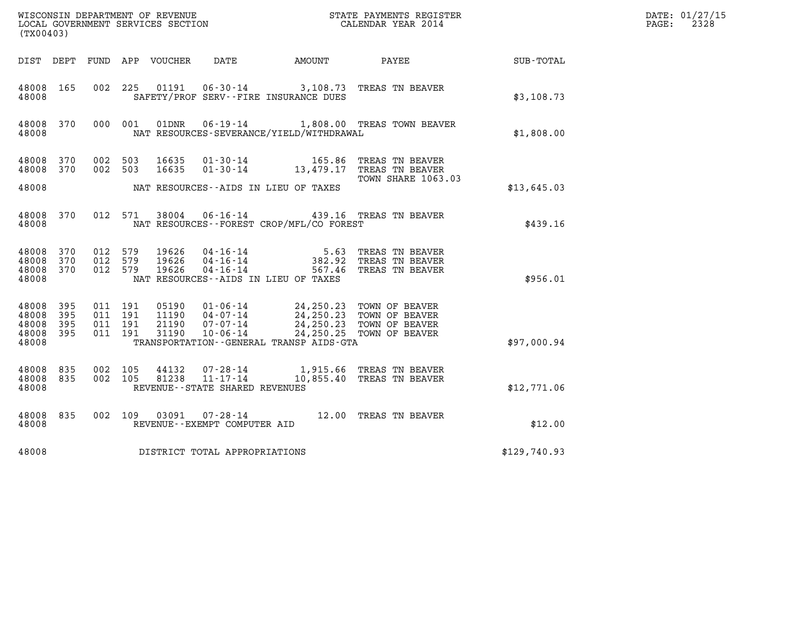| (TX00403)                                     |                   |                                          |         |                         |                                |                                                                                                                                                                                                                                                                                                                                                                                                                                                | %WISCONSIN DEPARTMENT OF REVENUE $$\tt STATE~PAYMEMTS~REGISTER~LOCAL~GOVERNMENT~SERVICES~SECTION~COUERIMENT~SERVICES~SECTION~CP/2014~CALENDAR~VEAR~2014~CALENDAR~VEAR~2014~CALENDAR~VEAR~2014~CALENDAR~VEAR~2014~CALENDAR~VEAR~2014~CALENDAR~VEAR~2014~CALENDAR~VEAR~2014~CALENDAR~VEAR~2014~CALENDAR~VEAR~2014~CALENDAR~VEAR~2014~CALENDAR~VEAR~2014$ |              | DATE: 01/27/15<br>$\mathtt{PAGE:}$<br>2328 |
|-----------------------------------------------|-------------------|------------------------------------------|---------|-------------------------|--------------------------------|------------------------------------------------------------------------------------------------------------------------------------------------------------------------------------------------------------------------------------------------------------------------------------------------------------------------------------------------------------------------------------------------------------------------------------------------|--------------------------------------------------------------------------------------------------------------------------------------------------------------------------------------------------------------------------------------------------------------------------------------------------------------------------------------------------------|--------------|--------------------------------------------|
|                                               |                   |                                          |         |                         |                                |                                                                                                                                                                                                                                                                                                                                                                                                                                                | DIST DEPT FUND APP VOUCHER DATE AMOUNT PAYEE SUB-TOTAL                                                                                                                                                                                                                                                                                                 |              |                                            |
| 48008 165<br>48008                            |                   |                                          |         |                         |                                | SAFETY/PROF SERV--FIRE INSURANCE DUES                                                                                                                                                                                                                                                                                                                                                                                                          | 002 225 01191 06-30-14 3,108.73 TREAS TN BEAVER                                                                                                                                                                                                                                                                                                        | \$3,108.73   |                                            |
| 48008                                         | 48008 370         |                                          | 000 001 |                         |                                | NAT RESOURCES-SEVERANCE/YIELD/WITHDRAWAL                                                                                                                                                                                                                                                                                                                                                                                                       | 01DNR  06-19-14   1,808.00 TREAS TOWN BEAVER                                                                                                                                                                                                                                                                                                           | \$1,808.00   |                                            |
| 48008 370<br>48008 370                        |                   | 002 503<br>002 503                       |         | 16635<br>16635          |                                |                                                                                                                                                                                                                                                                                                                                                                                                                                                | 01-30-14 165.86 TREAS TN BEAVER<br>01-30-14 13,479.17 TREAS TN BEAVER<br><b>TOWN SHARE 1063.03</b>                                                                                                                                                                                                                                                     |              |                                            |
| 48008                                         |                   |                                          |         |                         |                                | NAT RESOURCES--AIDS IN LIEU OF TAXES                                                                                                                                                                                                                                                                                                                                                                                                           |                                                                                                                                                                                                                                                                                                                                                        | \$13,645.03  |                                            |
| 48008                                         |                   |                                          |         |                         |                                | NAT RESOURCES--FOREST CROP/MFL/CO FOREST                                                                                                                                                                                                                                                                                                                                                                                                       | 48008 370 012 571 38004 06-16-14 439.16 TREAS TN BEAVER                                                                                                                                                                                                                                                                                                | \$439.16     |                                            |
| 48008 370<br>48008<br>48008 370<br>48008      | 370               | 012 579<br>012 579<br>012 579            |         | 19626<br>19626<br>19626 |                                | NAT RESOURCES -- AIDS IN LIEU OF TAXES                                                                                                                                                                                                                                                                                                                                                                                                         | 04-16-14 5.63 TREAS TN BEAVER<br>04-16-14 382.92 TREAS TN BEAVER<br>04-16-14 567.46 TREAS TN BEAVER                                                                                                                                                                                                                                                    | \$956.01     |                                            |
| 48008<br>48008<br>48008<br>48008 395<br>48008 | 395<br>395<br>395 | 011 191<br>011 191<br>011 191<br>011 191 |         |                         |                                | $\begin{array}{cccc} 05190 & 01\textnormal{-}06\textnormal{-}14 & 24,250.23 & \textnormal{TOWN OF BEAVER} \\ 11190 & 04\textnormal{-}07\textnormal{-}14 & 24,250.23 & \textnormal{TOWN OF BEAVER} \\ 21190 & 07\textnormal{-}07\textnormal{-}14 & 24,250.23 & \textnormal{TOWN OF BEAVER} \\ 31190 & 10\textnormal{-}06\textnormal{-}14 & 24,250.25 & \textnormal{TOWN OF BEAVER} \end{array}$<br>TRANSPORTATION - - GENERAL TRANSP AIDS - GTA |                                                                                                                                                                                                                                                                                                                                                        | \$97,000.94  |                                            |
| 48008 835<br>48008 835<br>48008               |                   | 002 105<br>002 105                       |         | 44132<br>81238          | REVENUE--STATE SHARED REVENUES |                                                                                                                                                                                                                                                                                                                                                                                                                                                | 07-28-14 1,915.66 TREAS TN BEAVER<br>11-17-14 10,855.40 TREAS TN BEAVER                                                                                                                                                                                                                                                                                | \$12,771.06  |                                            |
| 48008 835<br>48008                            |                   |                                          |         |                         | REVENUE--EXEMPT COMPUTER AID   |                                                                                                                                                                                                                                                                                                                                                                                                                                                | 002 109 03091 07-28-14 12.00 TREAS TN BEAVER                                                                                                                                                                                                                                                                                                           | \$12.00      |                                            |
| 48008                                         |                   |                                          |         |                         | DISTRICT TOTAL APPROPRIATIONS  |                                                                                                                                                                                                                                                                                                                                                                                                                                                |                                                                                                                                                                                                                                                                                                                                                        | \$129,740.93 |                                            |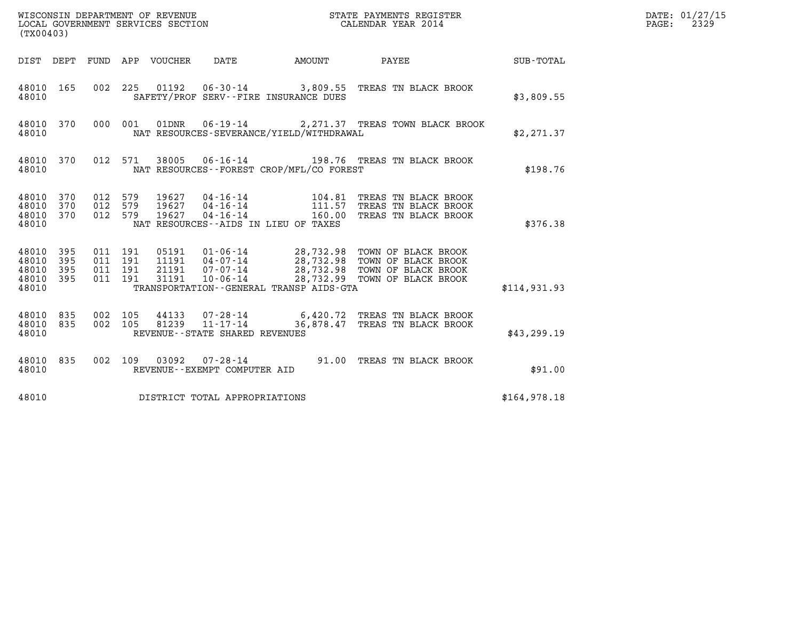| (TX00403)                                     |                   |                               |         |                                 | WISCONSIN DEPARTMENT OF REVENUE<br>LOCAL GOVERNMENT SERVICES SECTION |                                             | STATE PAYMENTS REGISTER<br>CALENDAR YEAR 2014                                                                                                         |              | DATE: 01/27/15<br>$\mathtt{PAGE:}$<br>2329 |
|-----------------------------------------------|-------------------|-------------------------------|---------|---------------------------------|----------------------------------------------------------------------|---------------------------------------------|-------------------------------------------------------------------------------------------------------------------------------------------------------|--------------|--------------------------------------------|
|                                               |                   |                               |         | DIST DEPT FUND APP VOUCHER DATE |                                                                      | AMOUNT PAYEE                                |                                                                                                                                                       | SUB-TOTAL    |                                            |
| 48010 165<br>48010                            |                   |                               |         |                                 |                                                                      | SAFETY/PROF SERV--FIRE INSURANCE DUES       | 002 225 01192 06-30-14 3,809.55 TREAS TN BLACK BROOK                                                                                                  | \$3,809.55   |                                            |
| 48010 370<br>48010                            |                   |                               | 000 001 |                                 |                                                                      | NAT RESOURCES-SEVERANCE/YIELD/WITHDRAWAL    | 01DNR  06-19-14  2,271.37 TREAS TOWN BLACK BROOK                                                                                                      | \$2,271.37   |                                            |
| 48010 370<br>48010                            |                   |                               | 012 571 |                                 |                                                                      | NAT RESOURCES - - FOREST CROP/MFL/CO FOREST | 38005  06-16-14  198.76  TREAS TN BLACK BROOK                                                                                                         | \$198.76     |                                            |
| 48010 370<br>48010<br>48010<br>48010          | 370<br>370        | 012 579<br>012 579<br>012 579 |         |                                 |                                                                      | NAT RESOURCES--AIDS IN LIEU OF TAXES        | 19627  04-16-14   104.81   TREAS TN BLACK BROOK<br>19627  04-16-14   111.57   TREAS TN BLACK BROOK<br>19627  04-16-14   160.00   TREAS TN BLACK BROOK | \$376.38     |                                            |
| 48010 395<br>48010<br>48010<br>48010<br>48010 | 395<br>395<br>395 | 011 191<br>011 191<br>011 191 | 011 191 |                                 |                                                                      | TRANSPORTATION--GENERAL TRANSP AIDS-GTA     |                                                                                                                                                       | \$114,931.93 |                                            |
| 48010 835<br>48010 835<br>48010               |                   | 002 105<br>002 105            |         | 81239                           | $11 - 17 - 14$<br>REVENUE - - STATE SHARED REVENUES                  |                                             | 44133 07-28-14 6,420.72 TREAS TN BLACK BROOK<br>36,878.47 TREAS TN BLACK BROOK                                                                        | \$43,299.19  |                                            |
| 48010 835<br>48010                            |                   |                               | 002 109 |                                 | REVENUE--EXEMPT COMPUTER AID                                         |                                             | 03092  07-28-14  91.00 TREAS TN BLACK BROOK                                                                                                           | \$91.00      |                                            |
| 48010                                         |                   |                               |         |                                 | DISTRICT TOTAL APPROPRIATIONS                                        |                                             |                                                                                                                                                       | \$164,978.18 |                                            |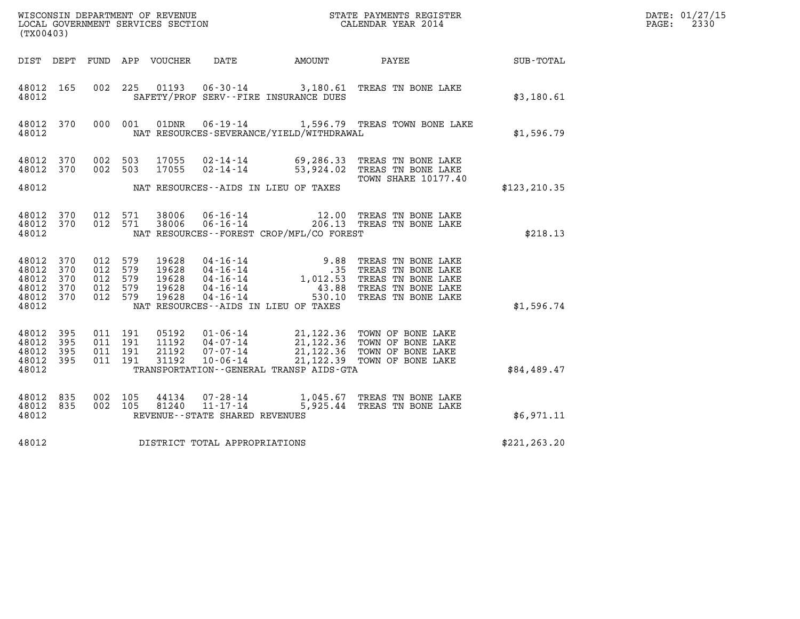| DATE: | 01/27/15 |
|-------|----------|
| PAGE: | 2330     |

| %WISCONSIN DEPARTMENT OF REVENUE $$\tt STATE$ PAYMENTS REGISTER LOCAL GOVERNMENT SERVICES SECTION $$\tt CALEINDAR$ YEAR 2014<br>(TX00403) |            |                                          |                    |                                  |                                                  |                                          |                                                                                                                                                                                                  |               | DATE: 01/27/15<br>$\mathtt{PAGE:}$<br>2330 |
|-------------------------------------------------------------------------------------------------------------------------------------------|------------|------------------------------------------|--------------------|----------------------------------|--------------------------------------------------|------------------------------------------|--------------------------------------------------------------------------------------------------------------------------------------------------------------------------------------------------|---------------|--------------------------------------------|
|                                                                                                                                           |            |                                          |                    | DIST DEPT FUND APP VOUCHER DATE  |                                                  |                                          | AMOUNT PAYEE SUB-TOTAL                                                                                                                                                                           |               |                                            |
| 48012 165<br>48012                                                                                                                        |            |                                          |                    |                                  |                                                  | SAFETY/PROF SERV--FIRE INSURANCE DUES    | 002 225 01193 06-30-14 3,180.61 TREAS TN BONE LAKE                                                                                                                                               | \$3,180.61    |                                            |
| 48012                                                                                                                                     | 48012 370  |                                          |                    |                                  |                                                  | NAT RESOURCES-SEVERANCE/YIELD/WITHDRAWAL | 000 001 01DNR 06-19-14 1,596.79 TREAS TOWN BONE LAKE                                                                                                                                             | \$1,596.79    |                                            |
| 48012 370<br>48012 370                                                                                                                    |            |                                          | 002 503<br>002 503 | 17055<br>17055                   |                                                  |                                          | 02-14-14 69,286.33 TREAS TN BONE LAKE<br>02-14-14 53,924.02 TREAS TN BONE LAKE<br><b>TOWN SHARE 10177.40</b>                                                                                     |               |                                            |
| 48012                                                                                                                                     |            |                                          |                    |                                  |                                                  | NAT RESOURCES--AIDS IN LIEU OF TAXES     |                                                                                                                                                                                                  | \$123,210.35  |                                            |
| 48012 370<br>48012 370<br>48012                                                                                                           |            |                                          | 012 571<br>012 571 | 38006<br>38006                   |                                                  | NAT RESOURCES--FOREST CROP/MFL/CO FOREST | 06-16-14 12.00 TREAS TN BONE LAKE 06-16-14 206.13 TREAS TN BONE LAKE                                                                                                                             | \$218.13      |                                            |
| 48012 370<br>48012<br>48012<br>48012 370                                                                                                  | 370<br>370 | 012 579<br>012 579<br>012 579<br>012 579 |                    | 19628<br>19628<br>19628<br>19628 |                                                  |                                          | 04-16-14<br>04-16-14<br>04-16-14<br>04-16-14<br>04-16-14<br>04-16-14<br>04-16-14<br>04-16-14<br>04-16-14<br>04-16-14<br>04-16-14<br>04-16-14<br>04-16-14<br>050.10<br>07REAS TN BONE LAKE        |               |                                            |
| 48012 370<br>48012                                                                                                                        |            | 012 579                                  |                    | 19628                            |                                                  | NAT RESOURCES--AIDS IN LIEU OF TAXES     |                                                                                                                                                                                                  | \$1,596.74    |                                            |
| 48012 395<br>48012<br>48012 395<br>48012 395<br>48012                                                                                     | 395        | 011 191<br>011 191<br>011 191<br>011 191 |                    |                                  |                                                  | TRANSPORTATION--GENERAL TRANSP AIDS-GTA  | 05192  01-06-14  21,122.36  TOWN OF BONE LAKE<br>11192  04-07-14  21,122.36  TOWN OF BONE LAKE<br>21192  07-07-14  21,122.36  TOWN OF BONE LAKE<br>31192  10-06-14  21,122.39  TOWN OF BONE LAKE | \$84,489.47   |                                            |
| 48012 835                                                                                                                                 |            | 002 105                                  |                    | 44134                            |                                                  |                                          | 07-28-14 1,045.67 TREAS TN BONE LAKE                                                                                                                                                             |               |                                            |
| 48012 835<br>48012                                                                                                                        |            | 002 105                                  |                    | 81240                            | $11 - 17 - 14$<br>REVENUE--STATE SHARED REVENUES |                                          | 5,925.44 TREAS TN BONE LAKE                                                                                                                                                                      | \$6,971.11    |                                            |
| 48012                                                                                                                                     |            |                                          |                    |                                  | DISTRICT TOTAL APPROPRIATIONS                    |                                          |                                                                                                                                                                                                  | \$221, 263.20 |                                            |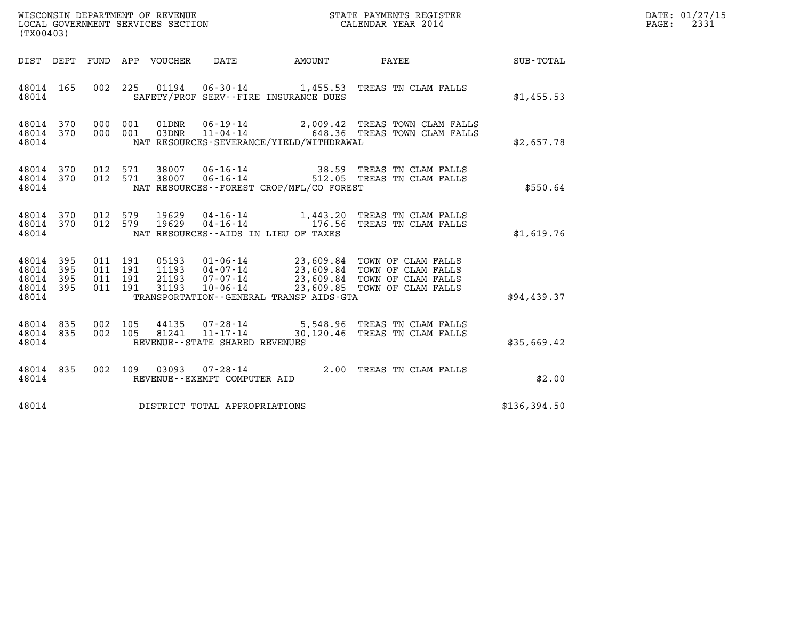| WISCONSIN DEPARTMENT OF REVENUE<br>LOCAL GOVERNMENT SERVICES SECTION<br>LOCAL GOVERNMENT SERVICES SECTION<br>CALENDAR YEAR 2014<br>(TX00403) |     |                                          |         |                            |                                                |                                             |                                                                                                                                                                                             |              | DATE: 01/27/15<br>$\mathtt{PAGE:}$<br>2331 |
|----------------------------------------------------------------------------------------------------------------------------------------------|-----|------------------------------------------|---------|----------------------------|------------------------------------------------|---------------------------------------------|---------------------------------------------------------------------------------------------------------------------------------------------------------------------------------------------|--------------|--------------------------------------------|
|                                                                                                                                              |     |                                          |         | DIST DEPT FUND APP VOUCHER | DATE                                           |                                             | AMOUNT PAYEE SUB-TOTAL                                                                                                                                                                      |              |                                            |
| 48014 165<br>48014                                                                                                                           |     |                                          |         | 002 225 01194              |                                                | SAFETY/PROF SERV--FIRE INSURANCE DUES       | 06-30-14 1,455.53 TREAS TN CLAM FALLS                                                                                                                                                       | \$1,455.53   |                                            |
| 48014 370<br>48014 370<br>48014                                                                                                              |     | 000 001                                  | 000 001 | 01DNR<br>03DNR             |                                                | NAT RESOURCES-SEVERANCE/YIELD/WITHDRAWAL    | 06-19-14 2,009.42 TREAS TOWN CLAM FALLS<br>11-04-14 648.36 TREAS TOWN CLAM FALLS                                                                                                            | \$2,657.78   |                                            |
| 48014 370<br>48014 370<br>48014                                                                                                              |     | 012 571                                  | 012 571 | 38007<br>38007             | 06-16-14<br>$06 - 16 - 14$                     | NAT RESOURCES - - FOREST CROP/MFL/CO FOREST | 38.59 TREAS TN CLAM FALLS<br>512.05 TREAS TN CLAM FALLS                                                                                                                                     | \$550.64     |                                            |
| 48014 370<br>48014 370<br>48014                                                                                                              |     | 012 579<br>012 579                       |         | 19629<br>19629             | $04 - 16 - 14$<br>$04 - 16 - 14$               | NAT RESOURCES--AIDS IN LIEU OF TAXES        | 1,443.20 TREAS TN CLAM FALLS<br>176.56 TREAS TN CLAM FALLS                                                                                                                                  | \$1,619.76   |                                            |
| 48014 395<br>48014 395<br>48014 395<br>48014 395<br>48014                                                                                    |     | 011 191<br>011 191<br>011 191<br>011 191 |         |                            |                                                | TRANSPORTATION--GENERAL TRANSP AIDS-GTA     | 05193  01-06-14  23,609.84  TOWN OF CLAM FALLS<br>11193 04-07-14 23,609.84 TOWN OF CLAM FALLS<br>21193 07-07-14 23,609.84 TOWN OF CLAM FALLS<br>31193 10-06-14 23,609.85 TOWN OF CLAM FALLS | \$94,439.37  |                                            |
| 48014 835<br>48014 835<br>48014                                                                                                              |     | 002 105<br>002 105                       |         | 44135<br>81241             | REVENUE--STATE SHARED REVENUES                 |                                             | 07-28-14 5,548.96 TREAS TN CLAM FALLS<br>11-17-14 30,120.46 TREAS TN CLAM FALLS                                                                                                             | \$35,669.42  |                                            |
| 48014<br>48014                                                                                                                               | 835 | 002 109                                  |         |                            | 03093 07-28-14<br>REVENUE--EXEMPT COMPUTER AID |                                             | 2.00 TREAS TN CLAM FALLS                                                                                                                                                                    | \$2.00       |                                            |
| 48014                                                                                                                                        |     |                                          |         |                            | DISTRICT TOTAL APPROPRIATIONS                  |                                             |                                                                                                                                                                                             | \$136,394.50 |                                            |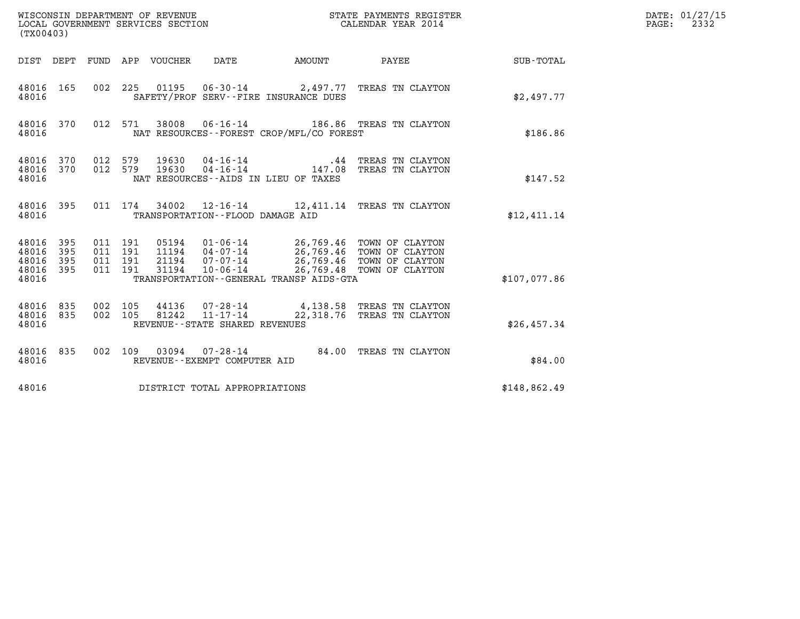| (TX00403)                                 |                          |                                          |                                 | WISCONSIN DEPARTMENT OF REVENUE<br>LOCAL GOVERNMENT SERVICES SECTION |                                              | STATE PAYMENTS REGISTER<br>CALENDAR YEAR 2014                                                                                                                          |                  | DATE: 01/27/15<br>$\mathtt{PAGE:}$<br>2332 |
|-------------------------------------------|--------------------------|------------------------------------------|---------------------------------|----------------------------------------------------------------------|----------------------------------------------|------------------------------------------------------------------------------------------------------------------------------------------------------------------------|------------------|--------------------------------------------|
|                                           |                          |                                          | DIST DEPT FUND APP VOUCHER DATE |                                                                      | AMOUNT PAYEE                                 |                                                                                                                                                                        | <b>SUB-TOTAL</b> |                                            |
| 48016 165<br>48016                        |                          |                                          |                                 |                                                                      | SAFETY/PROF SERV--FIRE INSURANCE DUES        | 002 225 01195 06-30-14 2,497.77 TREAS TN CLAYTON                                                                                                                       | \$2,497.77       |                                            |
| 48016                                     |                          |                                          |                                 |                                                                      | NAT RESOURCES--FOREST CROP/MFL/CO FOREST     | 48016 370 012 571 38008 06-16-14 186.86 TREAS TN CLAYTON                                                                                                               | \$186.86         |                                            |
| 48016 370<br>48016<br>48016               | 370                      | 012 579<br>012 579                       | 19630<br>19630                  |                                                                      | NAT RESOURCES -- AIDS IN LIEU OF TAXES       | 04-16-14 19 .44 TREAS TN CLAYTON<br>04-16-14 147.08 TREAS TN CLAYTON                                                                                                   | \$147.52         |                                            |
| 48016 395<br>48016                        |                          |                                          |                                 | TRANSPORTATION--FLOOD DAMAGE AID                                     |                                              | 011 174 34002 12-16-14 12,411.14 TREAS TN CLAYTON                                                                                                                      | \$12.411.14      |                                            |
| 48016<br>48016<br>48016<br>48016<br>48016 | 395<br>395<br>395<br>395 | 011 191<br>011 191<br>011 191<br>011 191 | 31194                           | $10 - 06 - 14$                                                       | TRANSPORTATION - - GENERAL TRANSP AIDS - GTA | 05194  01-06-14  26,769.46  TOWN OF CLAYTON<br>11194  04-07-14  26,769.46  TOWN OF CLAYTON<br>21194  07-07-14  26,769.46  TOWN OF CLAYTON<br>26,769.48 TOWN OF CLAYTON | \$107.077.86     |                                            |
| 48016 835<br>48016 835<br>48016           |                          | 002 105<br>002 105                       | 81242                           | $11 - 17 - 14$<br>REVENUE - - STATE SHARED REVENUES                  |                                              | 44136 07-28-14 4,138.58 TREAS TN CLAYTON<br>22,318.76 TREAS TN CLAYTON                                                                                                 | \$26,457.34      |                                            |
| 48016 835<br>48016                        |                          |                                          |                                 | REVENUE--EXEMPT COMPUTER AID                                         |                                              | 002 109 03094 07-28-14 84.00 TREAS TN CLAYTON                                                                                                                          | \$84.00          |                                            |
| 48016                                     |                          |                                          |                                 | DISTRICT TOTAL APPROPRIATIONS                                        |                                              |                                                                                                                                                                        | \$148,862.49     |                                            |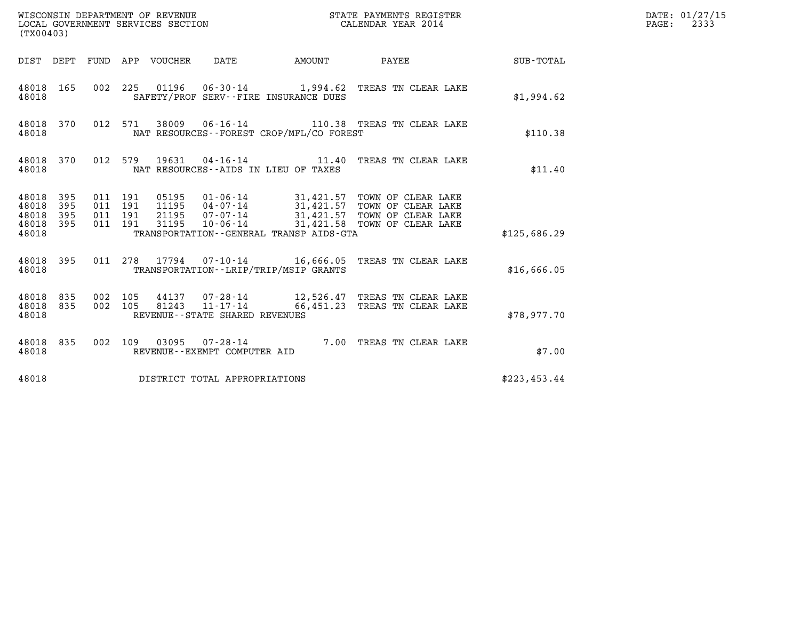| (TX00403)                                                       |                                          | WISCONSIN DEPARTMENT OF REVENUE<br>LOCAL GOVERNMENT SERVICES SECTION |                                                     |                                          | STATE PAYMENTS REGISTER<br>CALENDAR YEAR 2014                                                                                                                                               |              | DATE: 01/27/15<br>$\mathtt{PAGE:}$<br>2333 |
|-----------------------------------------------------------------|------------------------------------------|----------------------------------------------------------------------|-----------------------------------------------------|------------------------------------------|---------------------------------------------------------------------------------------------------------------------------------------------------------------------------------------------|--------------|--------------------------------------------|
|                                                                 |                                          | DIST DEPT FUND APP VOUCHER DATE                                      |                                                     | <b>AMOUNT</b>                            | PAYEE                                                                                                                                                                                       | SUB-TOTAL    |                                            |
| 48018 165<br>48018                                              |                                          |                                                                      |                                                     | SAFETY/PROF SERV--FIRE INSURANCE DUES    | 002 225 01196 06-30-14 1,994.62 TREAS TN CLEAR LAKE                                                                                                                                         | \$1,994.62   |                                            |
| 48018 370<br>48018                                              |                                          |                                                                      |                                                     | NAT RESOURCES--FOREST CROP/MFL/CO FOREST | 012 571 38009 06-16-14 110.38 TREAS TN CLEAR LAKE                                                                                                                                           | \$110.38     |                                            |
| 48018 370<br>48018                                              |                                          |                                                                      | NAT RESOURCES--AIDS IN LIEU OF TAXES                |                                          | 012 579 19631 04-16-14 11.40 TREAS TN CLEAR LAKE                                                                                                                                            | \$11.40      |                                            |
| 48018 395<br>48018<br>395<br>48018<br>395<br>48018 395<br>48018 | 011 191<br>011 191<br>011 191<br>011 191 | 31195                                                                |                                                     | TRANSPORTATION--GENERAL TRANSP AIDS-GTA  | 05195  01-06-14  31,421.57  TOWN OF CLEAR LAKE<br>11195  04-07-14  31,421.57  TOWN OF CLEAR LAKE<br>21195  07-07-14  31,421.57  TOWN OF CLEAR LAKE<br>10-06-14 31,421.58 TOWN OF CLEAR LAKE | \$125,686.29 |                                            |
| 48018 395<br>48018                                              |                                          |                                                                      |                                                     | TRANSPORTATION - - LRIP/TRIP/MSIP GRANTS | 011  278  17794  07-10-14  16,666.05  TREAS TN CLEAR LAKE                                                                                                                                   | \$16,666.05  |                                            |
| 48018 835<br>48018 835<br>48018                                 | 002 105<br>002 105                       | 81243                                                                | $11 - 17 - 14$<br>REVENUE - - STATE SHARED REVENUES |                                          | 44137 07-28-14 12,526.47 TREAS TN CLEAR LAKE<br>66,451.23 TREAS TN CLEAR LAKE                                                                                                               | \$78,977.70  |                                            |
| 48018 835<br>48018                                              |                                          |                                                                      | REVENUE--EXEMPT COMPUTER AID                        |                                          | 002 109 03095 07-28-14 7.00 TREAS TN CLEAR LAKE                                                                                                                                             | \$7.00       |                                            |
| 48018                                                           |                                          | DISTRICT TOTAL APPROPRIATIONS                                        |                                                     |                                          |                                                                                                                                                                                             | \$223,453.44 |                                            |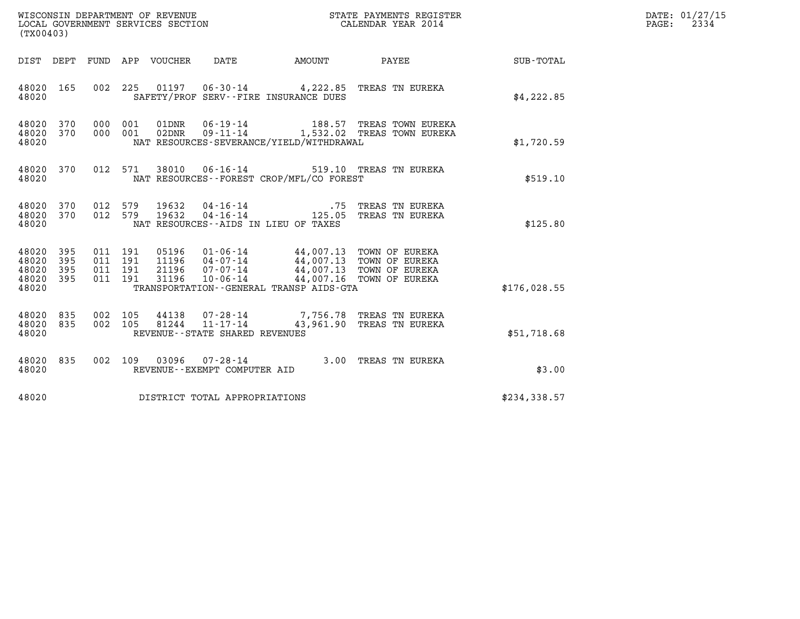| WISCONSIN DEPARTMENT OF REVENUE<br>LOCAL GOVERNMENT SERVICES SECTION<br>$1 - 2 - 0 - 1 - 0$ | STATE PAYMENTS REGISTER<br>CALENDAR YEAR 2014 | DATE: 01/27/15<br>2334<br>PAGE: |
|---------------------------------------------------------------------------------------------|-----------------------------------------------|---------------------------------|

| (TX00403)                                                                                         | WISCONSIN DEPARTMENT OF REVENUE<br>LOCAL GOVERNMENT SERVICES SECTION<br>(TY00403)<br>STATE PAYMENTS REGISTER<br>CALENDAR YEAR 2014                                    |                                                                                                                       |              |  |  |  |  |  |  |
|---------------------------------------------------------------------------------------------------|-----------------------------------------------------------------------------------------------------------------------------------------------------------------------|-----------------------------------------------------------------------------------------------------------------------|--------------|--|--|--|--|--|--|
| DIST<br>DEPT<br>FUND                                                                              | APP VOUCHER<br>DATE<br><b>AMOUNT</b>                                                                                                                                  | PAYEE                                                                                                                 | SUB-TOTAL    |  |  |  |  |  |  |
| 002<br>48020<br>165<br>48020                                                                      | 225<br>SAFETY/PROF SERV--FIRE INSURANCE DUES                                                                                                                          | 01197   06-30-14   4,222.85   TREAS TN EUREKA                                                                         | \$4,222.85   |  |  |  |  |  |  |
| 370<br>000<br>48020<br>370<br>000<br>48020<br>48020                                               | 001<br>01DNR<br>02DNR<br>001<br>NAT RESOURCES-SEVERANCE/YIELD/WITHDRAWAL                                                                                              | 06-19-14 188.57 TREAS TOWN EUREKA<br>09-11-14 1,532.02 TREAS TOWN EUREKA                                              | \$1,720.59   |  |  |  |  |  |  |
| 48020<br>370<br>012<br>48020                                                                      | 571<br>38010<br>NAT RESOURCES - - FOREST CROP/MFL/CO FOREST                                                                                                           | 06-16-14 519.10 TREAS TN EUREKA                                                                                       | \$519.10     |  |  |  |  |  |  |
| 48020<br>012<br>370<br>48020<br>370<br>012<br>48020                                               | 19632<br>579<br>579<br>19632<br>NAT RESOURCES--AIDS IN LIEU OF TAXES                                                                                                  | 04-16-14 75 TREAS TN EUREKA<br>04-16-14 125.05 TREAS TN EUREKA                                                        | \$125.80     |  |  |  |  |  |  |
| 395<br>48020<br>011<br>48020<br>395<br>011<br>48020<br>395<br>011<br>48020<br>395<br>011<br>48020 | 01-06-14<br>191<br>05196<br>191<br>11196<br>04 - 07 - 14<br>07 - 07 - 14<br>21196<br>191<br>191<br>31196<br>$10 - 06 - 14$<br>TRANSPORTATION--GENERAL TRANSP AIDS-GTA | 44,007.13 TOWN OF EUREKA<br>44,007.13<br>TOWN OF EUREKA<br>TOWN OF EUREKA<br>44,007.13<br>44,007.16<br>TOWN OF EUREKA | \$176,028.55 |  |  |  |  |  |  |
| 835<br>002<br>48020<br>48020<br>835<br>002<br>48020                                               | 105<br>44138<br>81244<br>$11 - 17 - 14$<br>105<br>REVENUE - - STATE SHARED REVENUES                                                                                   | 07-28-14 7,756.78 TREAS TN EUREKA<br>43,961.90 TREAS TN EUREKA                                                        | \$51,718.68  |  |  |  |  |  |  |
| 48020<br>835<br>002<br>48020                                                                      | $07 - 28 - 14$<br>109<br>03096<br>REVENUE--EXEMPT COMPUTER AID                                                                                                        | 3.00<br>TREAS TN EUREKA                                                                                               | \$3.00       |  |  |  |  |  |  |
| 48020                                                                                             | DISTRICT TOTAL APPROPRIATIONS                                                                                                                                         |                                                                                                                       | \$234,338.57 |  |  |  |  |  |  |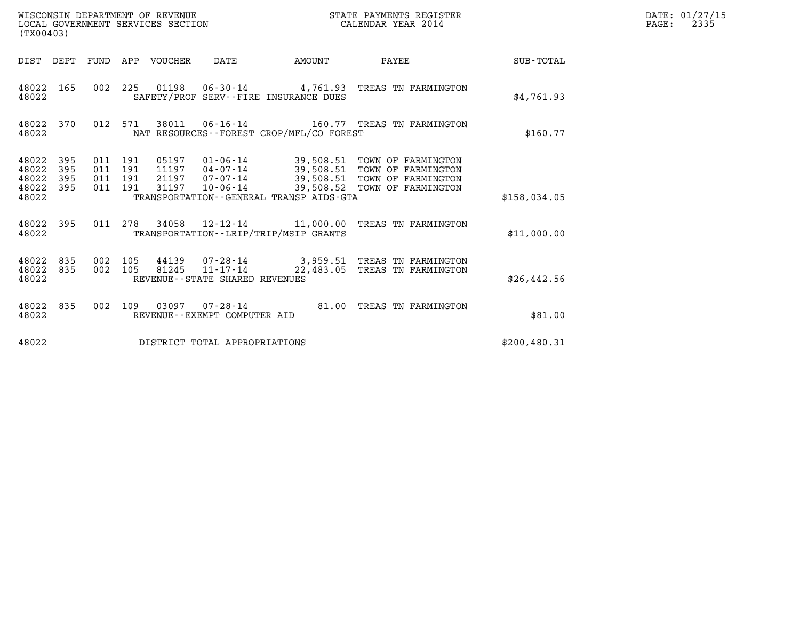| (TX00403)                                 |                            |                                          |                                 |                                |                                          |                                                                                                                                                                                                       |               | DATE: 01/27/15<br>PAGE:<br>2335 |
|-------------------------------------------|----------------------------|------------------------------------------|---------------------------------|--------------------------------|------------------------------------------|-------------------------------------------------------------------------------------------------------------------------------------------------------------------------------------------------------|---------------|---------------------------------|
|                                           |                            |                                          | DIST DEPT FUND APP VOUCHER DATE |                                | AMOUNT                                   | PAYEE                                                                                                                                                                                                 | SUB-TOTAL     |                                 |
| 48022                                     |                            |                                          |                                 |                                | SAFETY/PROF SERV--FIRE INSURANCE DUES    | 48022 165 002 225 01198 06-30-14 4,761.93 TREAS TN FARMINGTON                                                                                                                                         | \$4,761.93    |                                 |
| 48022                                     |                            |                                          |                                 |                                | NAT RESOURCES--FOREST CROP/MFL/CO FOREST | 48022 370 012 571 38011 06-16-14 160.77 TREAS TN FARMINGTON                                                                                                                                           | \$160.77      |                                 |
| 48022<br>48022<br>48022<br>48022<br>48022 | - 395<br>395<br>395<br>395 | 011 191<br>011 191<br>011 191<br>011 191 |                                 |                                | TRANSPORTATION--GENERAL TRANSP AIDS-GTA  | 05197   01-06-14   39,508.51   TOWN OF FARMINGTON<br>11197 04-07-14 39,508.51 TOWN OF FARMINGTON<br>21197 07-07-14 39,508.51 TOWN OF FARMINGTON<br>31197 10-06-14 39,508.52 TOWN OF FARMINGTON        | \$158.034.05  |                                 |
| 48022                                     | 48022 395                  |                                          |                                 |                                | TRANSPORTATION - - LRIP/TRIP/MSIP GRANTS | 011  278  34058  12-12-14  11,000.00 TREAS TN FARMINGTON                                                                                                                                              | \$11,000.00   |                                 |
| 48022<br>48022<br>48022                   |                            |                                          |                                 | REVENUE--STATE SHARED REVENUES |                                          | 835      002    105       44139       07-28-14                     3,959.51    TREAS  TN  FARMINGTON<br>835     002    105      81245     11-17-14                 22,483.05    TREAS  TN  FARMINGTON | \$26,442.56   |                                 |
| 48022                                     | 48022 835                  |                                          |                                 | REVENUE--EXEMPT COMPUTER AID   |                                          | 002 109 03097 07-28-14 81.00 TREAS TN FARMINGTON                                                                                                                                                      | \$81.00       |                                 |
| 48022                                     |                            |                                          |                                 | DISTRICT TOTAL APPROPRIATIONS  |                                          |                                                                                                                                                                                                       | \$200, 480.31 |                                 |

WISCONSIN DEPARTMENT OF REVENUE<br>LOCAL GOVERNMENT SERVICES SECTION STATE PAYMENTS REGISTER SECONDER STATE PASS: 2335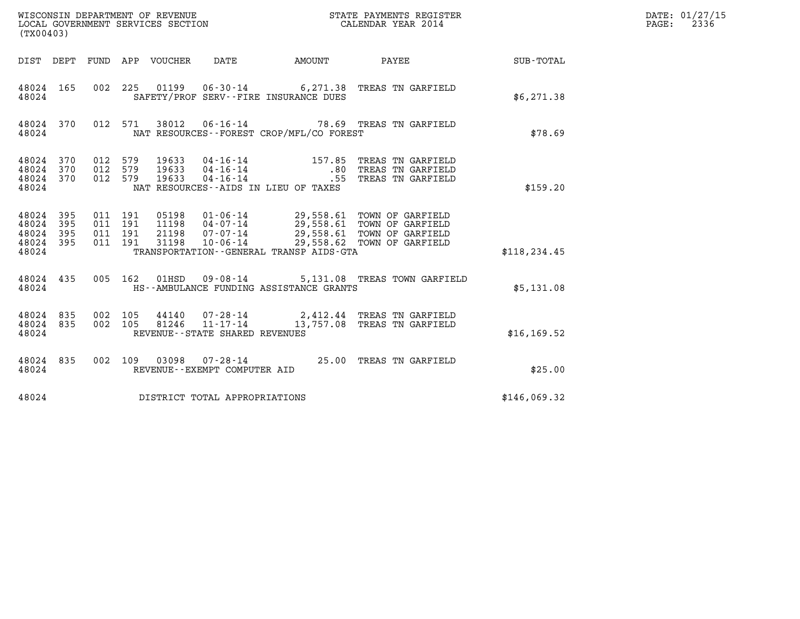| (TX00403)                                         |            |                                          |         |                                   |                                          | WISCONSIN DEPARTMENT OF REVENUE<br>LOCAL GOVERNMENT SERVICES SECTION<br>CALENDAR YEAR 2014                                                                                                               |               | DATE: 01/27/15<br>PAGE: 2336 |
|---------------------------------------------------|------------|------------------------------------------|---------|-----------------------------------|------------------------------------------|----------------------------------------------------------------------------------------------------------------------------------------------------------------------------------------------------------|---------------|------------------------------|
|                                                   |            |                                          |         |                                   |                                          | DIST DEPT FUND APP VOUCHER DATE AMOUNT PAYEE THE SUB-TOTAL                                                                                                                                               |               |                              |
| 48024 165<br>48024                                |            |                                          |         |                                   | SAFETY/PROF SERV--FIRE INSURANCE DUES    | 002 225 01199 06-30-14 6,271.38 TREAS TN GARFIELD                                                                                                                                                        | \$6,271.38    |                              |
| 48024 370<br>48024                                |            |                                          |         |                                   | NAT RESOURCES--FOREST CROP/MFL/CO FOREST | 012 571 38012 06-16-14 78.69 TREAS TN GARFIELD                                                                                                                                                           | \$78.69       |                              |
| 48024 370<br>48024 370<br>48024 370<br>48024      |            | 012 579<br>012 579<br>012 579            |         |                                   | NAT RESOURCES--AIDS IN LIEU OF TAXES     | 19633  04-16-14   157.85   TREAS TN GARFIELD<br>19633  04-16-14   .80   TREAS TN GARFIELD<br>19633  04-16-14   .55   TREAS TN GARFIELD                                                                   | \$159.20      |                              |
| 48024 395<br>48024<br>48024<br>48024 395<br>48024 | 395<br>395 | 011 191<br>011 191<br>011 191<br>011 191 |         |                                   | TRANSPORTATION--GENERAL TRANSP AIDS-GTA  | 05198   01-06-14   29,558.61   TOWN OF GARFIELD<br>11198   04-07-14   29,558.61   TOWN OF GARFIELD<br>21198   07-07-14   29,558.61   TOWN OF GARFIELD<br>31198   10-06-14   29,558.62   TOWN OF GARFIELD | \$118, 234.45 |                              |
| 48024                                             |            |                                          |         |                                   | HS--AMBULANCE FUNDING ASSISTANCE GRANTS  | 48024 435 005 162 01HSD 09-08-14 5,131.08 TREAS TOWN GARFIELD                                                                                                                                            | \$5,131.08    |                              |
| 48024 835<br>48024 835<br>48024                   |            | 002 105                                  | 002 105 | REVENUE - - STATE SHARED REVENUES |                                          | 44140  07-28-14  2,412.44 TREAS TN GARFIELD<br>81246  11-17-14  13,757.08 TREAS TN GARFIELD                                                                                                              | \$16, 169.52  |                              |
| 48024 835<br>48024                                |            |                                          |         | REVENUE--EXEMPT COMPUTER AID      |                                          | 002 109 03098 07-28-14 25.00 TREAS TN GARFIELD                                                                                                                                                           | \$25.00       |                              |
| 48024                                             |            |                                          |         | DISTRICT TOTAL APPROPRIATIONS     |                                          |                                                                                                                                                                                                          | \$146,069.32  |                              |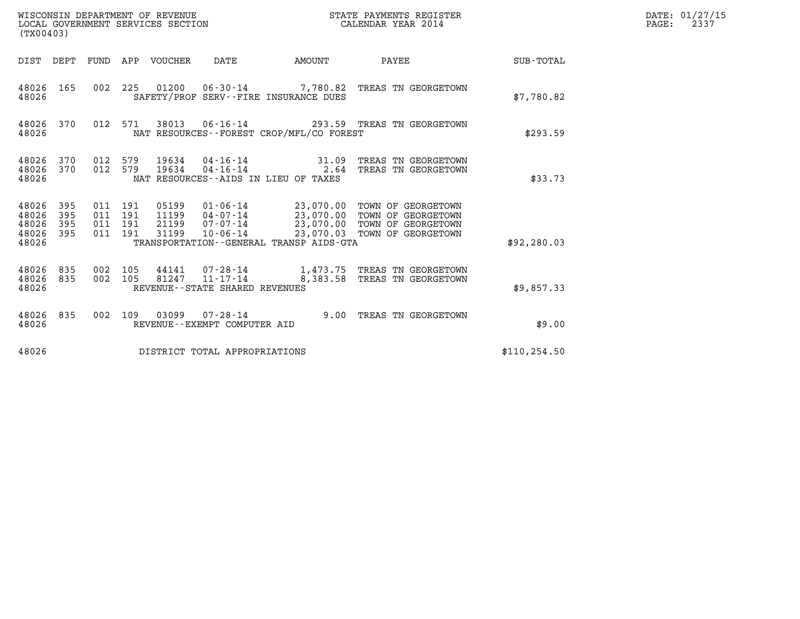| (TX00403)                                 |                          |                                          | WISCONSIN DEPARTMENT OF REVENUE<br>LOCAL GOVERNMENT SERVICES SECTION |                                                  |                                                               | STATE PAYMENTS REGISTER<br>CALENDAR YEAR 2014                                                                                                  |               | DATE: 01/27/15<br>$\mathtt{PAGE}$ :<br>2337 |
|-------------------------------------------|--------------------------|------------------------------------------|----------------------------------------------------------------------|--------------------------------------------------|---------------------------------------------------------------|------------------------------------------------------------------------------------------------------------------------------------------------|---------------|---------------------------------------------|
| DIST DEPT                                 |                          |                                          | FUND APP VOUCHER                                                     | DATE                                             | AMOUNT                                                        | PAYEE                                                                                                                                          | SUB-TOTAL     |                                             |
| 48026 165<br>48026                        |                          | 002 225                                  |                                                                      |                                                  | SAFETY/PROF SERV--FIRE INSURANCE DUES                         | $01200$ $06 - 30 - 14$ 7,780.82 TREAS TN GEORGETOWN                                                                                            | \$7,780.82    |                                             |
| 48026 370<br>48026                        |                          | 012 571                                  | 38013                                                                |                                                  | NAT RESOURCES--FOREST CROP/MFL/CO FOREST                      | 06-16-14 293.59 TREAS TN GEORGETOWN                                                                                                            | \$293.59      |                                             |
| 48026<br>48026<br>48026                   | 370<br>370               | 012 579<br>012 579                       | 19634<br>19634                                                       |                                                  | $04 - 16 - 14$ 31.09<br>NAT RESOURCES - AIDS IN LIEU OF TAXES | TREAS TN GEORGETOWN<br>04-16-14 2.64 TREAS TN GEORGETOWN                                                                                       | \$33.73       |                                             |
| 48026<br>48026<br>48026<br>48026<br>48026 | 395<br>395<br>395<br>395 | 011 191<br>011 191<br>011 191<br>011 191 | 05199<br>11199<br>21199<br>31199                                     | 07-07-14<br>10-06-14                             | TRANSPORTATION - - GENERAL TRANSP AIDS - GTA                  | 01-06-14 23,070.00 TOWN OF GEORGETOWN<br>04-07-14 23,070.00 TOWN OF GEORGETOWN<br>23,070.00 TOWN OF GEORGETOWN<br>23,070.03 TOWN OF GEORGETOWN | \$92, 280.03  |                                             |
| 48026<br>48026<br>48026                   | 835<br>835               | 002 105<br>002 105                       | 44141                                                                | 81247 11-17-14<br>REVENUE--STATE SHARED REVENUES |                                                               | 07-28-14 1,473.75 TREAS TN GEORGETOWN<br>8,383.58 TREAS TN GEORGETOWN                                                                          | \$9,857.33    |                                             |
| 48026 835<br>48026                        |                          | 002 109                                  | 03099                                                                | $07 - 28 - 14$<br>REVENUE--EXEMPT COMPUTER AID   |                                                               | 9.00 TREAS TN GEORGETOWN                                                                                                                       | \$9.00        |                                             |
| 48026                                     |                          |                                          |                                                                      | DISTRICT TOTAL APPROPRIATIONS                    |                                                               |                                                                                                                                                | \$110, 254.50 |                                             |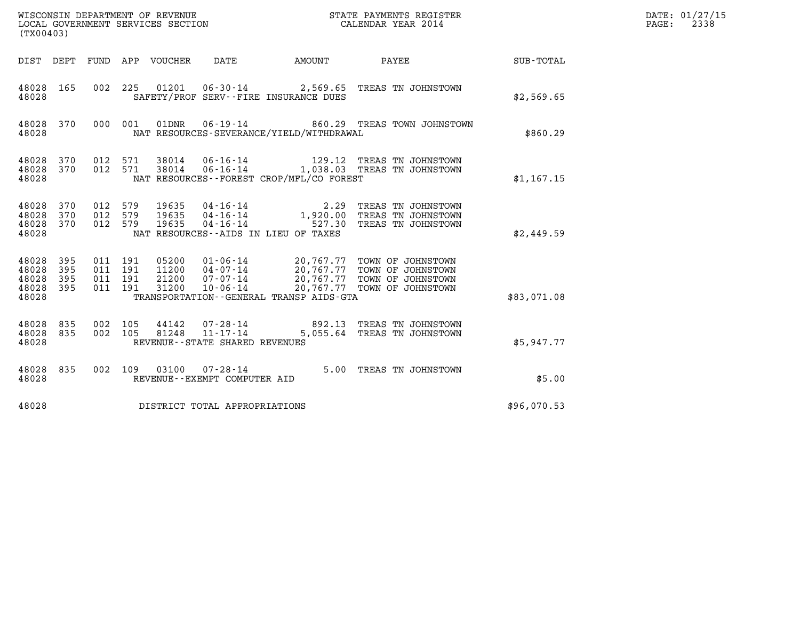| WISCONSIN DEPARTMENT OF REVENUE<br>STATE PAYMENTS REGISTER<br>LOCAL GOVERNMENT SERVICES SECTION<br>CALENDAR YEAR 2014<br>(TX00403) |                          |                                          |     |                                  |                                                     |                                          |                                                                                                                                                              | DATE: 01/27/15<br>2338<br>$\mathtt{PAGE:}$ |  |
|------------------------------------------------------------------------------------------------------------------------------------|--------------------------|------------------------------------------|-----|----------------------------------|-----------------------------------------------------|------------------------------------------|--------------------------------------------------------------------------------------------------------------------------------------------------------------|--------------------------------------------|--|
|                                                                                                                                    |                          |                                          |     | DIST DEPT FUND APP VOUCHER       | DATE                                                | <b>AMOUNT</b>                            | PAYEE                                                                                                                                                        | SUB-TOTAL                                  |  |
| 48028 165<br>48028                                                                                                                 |                          | 002 225                                  |     | 01201                            |                                                     | SAFETY/PROF SERV--FIRE INSURANCE DUES    | 06-30-14 2,569.65 TREAS TN JOHNSTOWN                                                                                                                         | \$2,569.65                                 |  |
| 48028 370<br>48028                                                                                                                 |                          | 000 001                                  |     | 01DNR                            |                                                     | NAT RESOURCES-SEVERANCE/YIELD/WITHDRAWAL | 06-19-14 660.29 TREAS TOWN JOHNSTOWN                                                                                                                         | \$860.29                                   |  |
| 48028<br>48028<br>48028                                                                                                            | 370<br>370               | 012<br>012 571                           | 571 | 38014<br>38014                   |                                                     | NAT RESOURCES--FOREST CROP/MFL/CO FOREST | 06-16-14 129.12 TREAS TN JOHNSTOWN<br>06-16-14 1,038.03 TREAS TN JOHNSTOWN                                                                                   | \$1,167.15                                 |  |
| 48028<br>48028<br>48028<br>48028                                                                                                   | 370<br>370<br>370        | 012<br>012 579<br>012 579                | 579 | 19635<br>19635<br>19635          |                                                     | NAT RESOURCES--AIDS IN LIEU OF TAXES     | 04-16-14 2.29 TREAS TN JOHNSTOWN<br>04-16-14 1,920.00 TREAS TN JOHNSTOWN<br>04-16-14 527.30 TREAS TN JOHNSTOWN                                               | \$2,449.59                                 |  |
| 48028<br>48028<br>48028<br>48028<br>48028                                                                                          | 395<br>395<br>395<br>395 | 011 191<br>011 191<br>011 191<br>011 191 |     | 05200<br>11200<br>21200<br>31200 |                                                     | TRANSPORTATION--GENERAL TRANSP AIDS-GTA  | 01-06-14 20,767.77 TOWN OF JOHNSTOWN<br>04-07-14 20,767.77 TOWN OF JOHNSTOWN<br>07-07-14 20,767.77 TOWN OF JOHNSTOWN<br>10-06-14 20,767.77 TOWN OF JOHNSTOWN | \$83,071.08                                |  |
| 48028<br>48028<br>48028                                                                                                            | 835<br>835               | 002 105<br>002 105                       |     | 44142<br>81248                   | $11 - 17 - 14$<br>REVENUE - - STATE SHARED REVENUES |                                          | 07-28-14 892.13 TREAS TN JOHNSTOWN<br>5,055.64 TREAS TN JOHNSTOWN                                                                                            | \$5.947.77                                 |  |
| 48028 835<br>48028                                                                                                                 |                          | 002 109                                  |     | 03100                            | $07 - 28 - 14$<br>REVENUE--EXEMPT COMPUTER AID      |                                          | 5.00 TREAS TN JOHNSTOWN                                                                                                                                      | \$5.00                                     |  |
| 48028                                                                                                                              |                          |                                          |     |                                  | DISTRICT TOTAL APPROPRIATIONS                       |                                          |                                                                                                                                                              | \$96,070.53                                |  |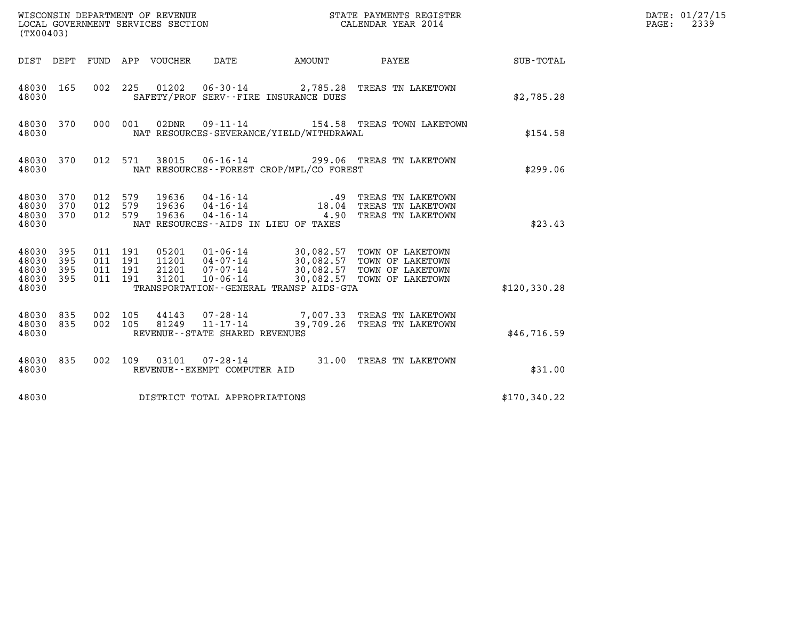|                                           | WISCONSIN DEPARTMENT OF REVENUE<br>LOCAL GOVERNMENT SERVICES SECTION<br>STATE PAYMENTS REGISTER<br>CALENDAR YEAR 2014<br>(TX00403) |                                          |            |                            |                                                                 |                                             |                                                                                                                                                          |               | DATE: 01/27/15<br>$\mathtt{PAGE:}$<br>2339 |
|-------------------------------------------|------------------------------------------------------------------------------------------------------------------------------------|------------------------------------------|------------|----------------------------|-----------------------------------------------------------------|---------------------------------------------|----------------------------------------------------------------------------------------------------------------------------------------------------------|---------------|--------------------------------------------|
|                                           |                                                                                                                                    |                                          |            | DIST DEPT FUND APP VOUCHER | DATE                                                            | AMOUNT                                      | <b>PAYEE</b>                                                                                                                                             | SUB-TOTAL     |                                            |
| 48030 165<br>48030                        |                                                                                                                                    |                                          |            |                            |                                                                 | SAFETY/PROF SERV--FIRE INSURANCE DUES       | 002 225 01202 06-30-14 2,785.28 TREAS TN LAKETOWN                                                                                                        | \$2,785.28    |                                            |
| 48030 370<br>48030                        |                                                                                                                                    | 000                                      | 001        | 02DNR                      |                                                                 | NAT RESOURCES-SEVERANCE/YIELD/WITHDRAWAL    |                                                                                                                                                          | \$154.58      |                                            |
| 48030 370<br>48030                        |                                                                                                                                    |                                          | 012 571    | 38015                      |                                                                 | NAT RESOURCES - - FOREST CROP/MFL/CO FOREST | 06-16-14 299.06 TREAS TN LAKETOWN                                                                                                                        | \$299.06      |                                            |
| 48030<br>48030<br>48030<br>48030          | 370<br>370<br>370                                                                                                                  | 012<br>012<br>012 579                    | 579<br>579 | 19636<br>19636<br>19636    |                                                                 | NAT RESOURCES -- AIDS IN LIEU OF TAXES      | 04-16-14 .49 TREAS TN LAKETOWN<br>04-16-14 .18.04 TREAS TN LAKETOWN<br>04-16-14 .90 TREAS TN LAKETOWN                                                    | \$23.43       |                                            |
| 48030<br>48030<br>48030<br>48030<br>48030 | 395<br>395<br>395<br>395                                                                                                           | 011 191<br>011 191<br>011 191<br>011 191 |            | 21201<br>31201             | 07-07-14<br>$10 - 06 - 14$                                      | TRANSPORTATION--GENERAL TRANSP AIDS-GTA     | 05201  01-06-14  30,082.57  TOWN OF LAKETOWN<br>11201  04-07-14  30,082.57  TOWN OF LAKETOWN<br>30,082.57 TOWN OF LAKETOWN<br>30,082.57 TOWN OF LAKETOWN | \$120, 330.28 |                                            |
| 48030<br>48030<br>48030                   | 835<br>835                                                                                                                         | 002 105<br>002 105                       |            | 44143<br>81249             | 07-28-14<br>$11 - 17 - 14$<br>REVENUE - - STATE SHARED REVENUES |                                             | 7,007.33 TREAS TN LAKETOWN<br>39,709.26 TREAS TN LAKETOWN                                                                                                | \$46,716.59   |                                            |
| 48030 835<br>48030                        |                                                                                                                                    | 002 109                                  |            |                            | REVENUE--EXEMPT COMPUTER AID                                    |                                             | 03101  07-28-14  31.00 TREAS TN LAKETOWN                                                                                                                 | \$31.00       |                                            |
| 48030                                     |                                                                                                                                    |                                          |            |                            | DISTRICT TOTAL APPROPRIATIONS                                   |                                             |                                                                                                                                                          | \$170,340.22  |                                            |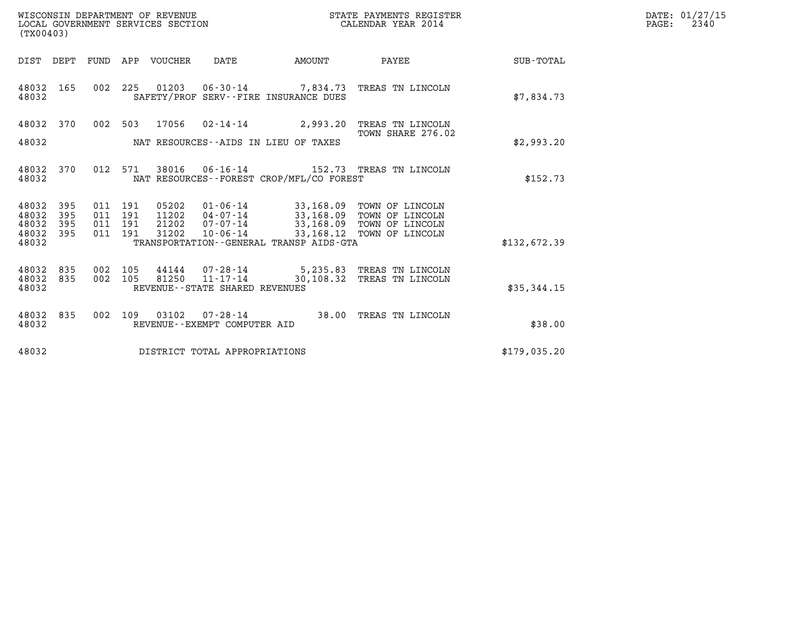| WISCONSIN DEPARTMENT OF REVENUE   | STATE PAYMENTS REGISTER | DATE: 01/27/15 |
|-----------------------------------|-------------------------|----------------|
| LOCAL GOVERNMENT SERVICES SECTION | CALENDAR YEAR 2014      | 2340<br>PAGE:  |

| (TX00403)                                                             |                                                      |                                                                                                                                               |                          |                                                                                                        |              |
|-----------------------------------------------------------------------|------------------------------------------------------|-----------------------------------------------------------------------------------------------------------------------------------------------|--------------------------|--------------------------------------------------------------------------------------------------------|--------------|
| DIST<br>DEPT                                                          | FUND<br>APP                                          | VOUCHER<br>DATE                                                                                                                               | AMOUNT                   | <b>PAYEE</b> FOR THE PAYEE                                                                             | SUB-TOTAL    |
| 48032<br>165<br>48032                                                 | 002<br>225                                           | 01203<br>SAFETY/PROF SERV--FIRE INSURANCE DUES                                                                                                |                          | 06-30-14 7,834.73 TREAS TN LINCOLN                                                                     | \$7,834.73   |
| 48032<br>370<br>48032                                                 | 002<br>503                                           | 17056<br>02-14-14<br>NAT RESOURCES -- AIDS IN LIEU OF TAXES                                                                                   | 2,993.20                 | TREAS TN LINCOLN<br>TOWN SHARE 276.02                                                                  | \$2,993.20   |
| 370<br>48032<br>48032                                                 | 012<br>571                                           | 38016<br>$06 - 16 - 14$<br>NAT RESOURCES - - FOREST CROP/MFL/CO FOREST                                                                        |                          | 152.73 TREAS TN LINCOLN                                                                                | \$152.73     |
| 48032<br>395<br>48032<br>395<br>48032<br>395<br>395<br>48032<br>48032 | 011<br>191<br>011<br>191<br>191<br>011<br>191<br>011 | 05202<br>01-06-14<br>$04 - 07 - 14$<br>11202<br>$07 - 07 - 14$<br>21202<br>$10 - 06 - 14$<br>31202<br>TRANSPORTATION--GENERAL TRANSP AIDS-GTA | 33,168.09                | TOWN OF LINCOLN<br>33,168.09 TOWN OF LINCOLN<br>33,168.09 TOWN OF LINCOLN<br>33,168.12 TOWN OF LINCOLN | \$132,672.39 |
| 835<br>48032<br>48032<br>835<br>48032                                 | 002<br>105<br>002<br>105                             | 44144<br>07-28-14<br>81250<br>REVENUE - - STATE SHARED REVENUES                                                                               | $11 - 17 - 14$ 30,108.32 | 5,235.83 TREAS TN LINCOLN<br>TREAS TN LINCOLN                                                          | \$35,344.15  |
| 48032<br>835<br>48032                                                 | 002<br>109                                           | 03102<br>$07 - 28 - 14$<br>REVENUE - - EXEMPT COMPUTER AID                                                                                    | 38.00                    | TREAS TN LINCOLN                                                                                       | \$38.00      |
| 48032                                                                 |                                                      | DISTRICT TOTAL APPROPRIATIONS                                                                                                                 |                          |                                                                                                        | \$179,035.20 |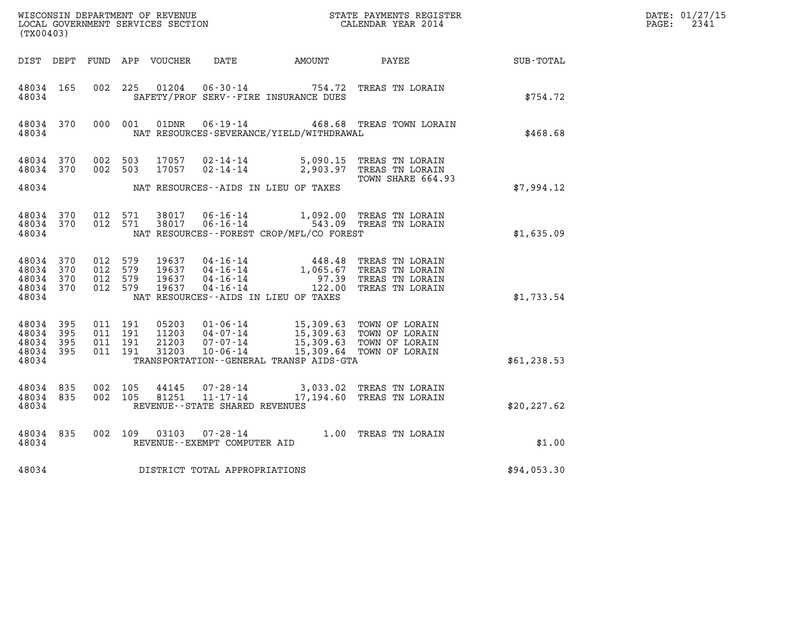| (TX00403)                                         |                       |         |         |                                |                                |                                            | DATE: 01/27/15<br>PAGE: 2341                                                                                                                                                                                                                                                                                                             |                  |  |
|---------------------------------------------------|-----------------------|---------|---------|--------------------------------|--------------------------------|--------------------------------------------|------------------------------------------------------------------------------------------------------------------------------------------------------------------------------------------------------------------------------------------------------------------------------------------------------------------------------------------|------------------|--|
|                                                   |                       |         |         |                                |                                | DIST DEPT FUND APP VOUCHER DATE     AMOUNT | <b>PAYEE</b>                                                                                                                                                                                                                                                                                                                             | <b>SUB-TOTAL</b> |  |
| 48034 165<br>48034                                |                       |         |         |                                |                                | SAFETY/PROF SERV--FIRE INSURANCE DUES      | 002 225 01204 06-30-14 754.72 TREAS TN LORAIN                                                                                                                                                                                                                                                                                            | \$754.72         |  |
| 48034                                             |                       |         |         |                                |                                | NAT RESOURCES-SEVERANCE/YIELD/WITHDRAWAL   | 48034 370  000 001  01DNR  06-19-14       468.68  TREAS TOWN LORAIN                                                                                                                                                                                                                                                                      | \$468.68         |  |
| 48034 370<br>48034 370<br>48034                   |                       |         |         |                                |                                | NAT RESOURCES--AIDS IN LIEU OF TAXES       | 002 503 17057 02-14-14 5,090.15 TREAS TN LORAIN<br>002 503 17057 02-14-14 2,903.97 TREAS TN LORAIN<br>TOWN SHARE 664.93                                                                                                                                                                                                                  | \$7,994.12       |  |
| 48034                                             |                       |         |         |                                |                                | NAT RESOURCES--FOREST CROP/MFL/CO FOREST   | 48034 370 012 571 38017 06-16-14 1,092.00 TREAS TN LORAIN<br>48034 370 012 571 38017 06-16-14 543.09 TREAS TN LORAIN                                                                                                                                                                                                                     | \$1,635.09       |  |
| 48034 370<br>48034<br>48034<br>48034 370<br>48034 | 370<br>370            | 012 579 | 012 579 | 012 579 19637<br>012 579 19637 |                                | NAT RESOURCES--AIDS IN LIEU OF TAXES       | 19637  04-16-14  448.48  TREAS TN LORAIN<br>19637  04-16-14   1,065.67  TREAS TN LORAIN<br>19637  04-16-14   97.39  TREAS TN LORAIN<br>19637  04-16-14   122.00  TREAS TN LORAIN                                                                                                                                                         | \$1,733.54       |  |
| 48034 395<br>48034<br>48034<br>48034<br>48034     | - 395<br>395<br>- 395 |         |         |                                |                                | TRANSPORTATION--GENERAL TRANSP AIDS-GTA    | $\begin{array}{cccc} 011 & 191 & 05203 & 01\cdot 06\cdot 14 & 15\, , 309\, .63 & \text{TOWN OF LORAIN} \\ 011 & 191 & 11203 & 04\cdot 07\cdot 14 & 15\, , 309\, .63 & \text{TOWN OF LORAIN} \\ 011 & 191 & 21203 & 07\cdot 07\cdot 14 & 15\, , 309\, .63 & \text{TOWN OF LORAIN} \\ 011 & 191 & 31203 & 10\cdot 06\cdot 14 & 15\, , 309$ | \$61, 238.53     |  |
| 48034 835<br>48034 835<br>48034                   |                       |         |         |                                | REVENUE--STATE SHARED REVENUES |                                            | 002 105 44145 07-28-14 3,033.02 TREAS TN LORAIN<br>002 105 81251 11-17-14 17,194.60 TREAS TN LORAIN                                                                                                                                                                                                                                      | \$20, 227.62     |  |
| 48034                                             |                       |         |         |                                | REVENUE--EXEMPT COMPUTER AID   |                                            | 48034 835 002 109 03103 07-28-14 1.00 TREAS TN LORAIN                                                                                                                                                                                                                                                                                    | \$1.00           |  |
| 48034                                             |                       |         |         |                                | DISTRICT TOTAL APPROPRIATIONS  |                                            |                                                                                                                                                                                                                                                                                                                                          | \$94,053.30      |  |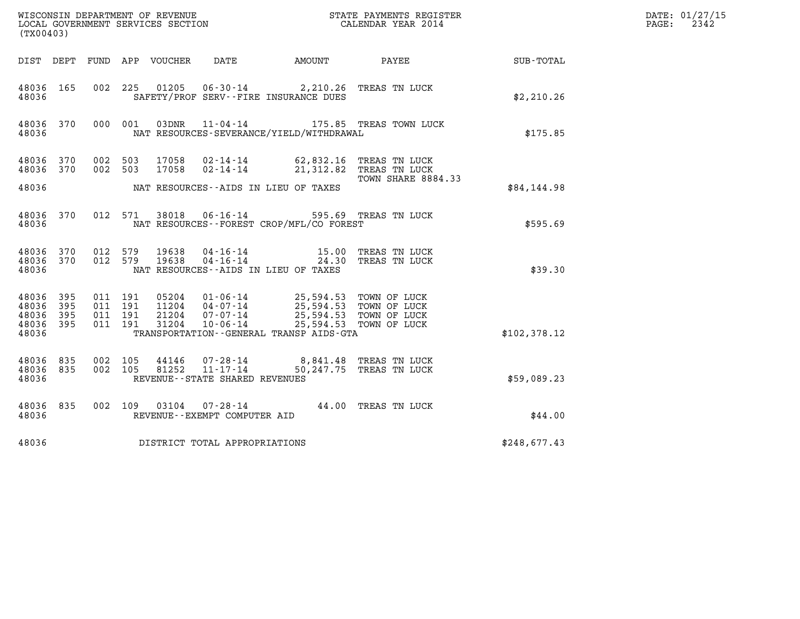|                                               | ${\tt WISCOONSIM} \begin{tabular}{lcccc} DEPARTMENT & OF & REVENUE \\ \hline \multicolumn{2}{c}{\textbf{LOCAL GOVERNMENT}} & SECYICES & SECTION \\ \multicolumn{2}{c}{\textbf{LOCAL ENDAR} } & PAPATE & PAYMENTS & REGISTER \\ \multicolumn{2}{c}{\textbf{LOCAL ENDAR} } & PAPATE & PAP MENTS & REGISTER \\ \end{tabular}$<br>(TX00403) |                                          |         |                            |                                                                  |                                                                                  |                                                                            |              | DATE: 01/27/15<br>$\mathtt{PAGE:}$<br>2342 |
|-----------------------------------------------|-----------------------------------------------------------------------------------------------------------------------------------------------------------------------------------------------------------------------------------------------------------------------------------------------------------------------------------------|------------------------------------------|---------|----------------------------|------------------------------------------------------------------|----------------------------------------------------------------------------------|----------------------------------------------------------------------------|--------------|--------------------------------------------|
|                                               |                                                                                                                                                                                                                                                                                                                                         |                                          |         | DIST DEPT FUND APP VOUCHER | DATE                                                             | AMOUNT PAYEE                                                                     |                                                                            | SUB-TOTAL    |                                            |
| 48036 165<br>48036                            |                                                                                                                                                                                                                                                                                                                                         | 002 225                                  |         |                            |                                                                  | 01205  06-30-14  2,210.26 TREAS TN LUCK<br>SAFETY/PROF SERV--FIRE INSURANCE DUES |                                                                            | \$2,210.26   |                                            |
| 48036 370<br>48036                            |                                                                                                                                                                                                                                                                                                                                         |                                          | 000 001 |                            |                                                                  | NAT RESOURCES-SEVERANCE/YIELD/WITHDRAWAL                                         | 03DNR  11-04-14  175.85 TREAS TOWN LUCK                                    | \$175.85     |                                            |
| 48036 370<br>48036 370                        |                                                                                                                                                                                                                                                                                                                                         | 002 503<br>002 503                       |         | 17058<br>17058             | $02 - 14 - 14$                                                   | 02-14-14 62,832.16 TREAS TN LUCK                                                 | 21,312.82 TREAS TN LUCK                                                    |              |                                            |
| 48036                                         |                                                                                                                                                                                                                                                                                                                                         |                                          |         |                            |                                                                  | NAT RESOURCES -- AIDS IN LIEU OF TAXES                                           | TOWN SHARE 8884.33                                                         | \$84,144.98  |                                            |
| 48036 370<br>48036                            |                                                                                                                                                                                                                                                                                                                                         |                                          | 012 571 | 38018                      |                                                                  | 06-16-14 595.69 TREAS TN LUCK<br>NAT RESOURCES--FOREST CROP/MFL/CO FOREST        |                                                                            | \$595.69     |                                            |
| 48036 370<br>48036 370<br>48036               |                                                                                                                                                                                                                                                                                                                                         | 012 579<br>012 579                       |         | 19638<br>19638             | $04 - 16 - 14$                                                   | $04 - 16 - 14$ 15.00<br>NAT RESOURCES--AIDS IN LIEU OF TAXES                     | TREAS TN LUCK<br>24.30 TREAS TN LUCK                                       | \$39.30      |                                            |
| 48036 395<br>48036<br>48036<br>48036<br>48036 | 395<br>- 395<br>395                                                                                                                                                                                                                                                                                                                     | 011 191<br>011 191<br>011 191<br>011 191 |         | 11204<br>21204<br>31204    | $05204$ $01 - 06 - 14$<br>04-07-14<br>07-07-14<br>$10 - 06 - 14$ | 25,594.53 TOWN OF LUCK<br>TRANSPORTATION - - GENERAL TRANSP AIDS - GTA           | 25,594.53 TOWN OF LUCK<br>25,594.53 TOWN OF LUCK<br>25,594.53 TOWN OF LUCK | \$102,378.12 |                                            |
| 48036 835                                     |                                                                                                                                                                                                                                                                                                                                         |                                          |         |                            |                                                                  |                                                                                  |                                                                            |              |                                            |
| 48036 835<br>48036                            |                                                                                                                                                                                                                                                                                                                                         | 002 105<br>002 105                       |         | 44146<br>81252             | 07-28-14<br>11-17-14<br>REVENUE--STATE SHARED REVENUES           |                                                                                  | 8,841.48 TREAS TN LUCK<br>50,247.75 TREAS TN LUCK                          | \$59,089.23  |                                            |
| 48036 835<br>48036                            |                                                                                                                                                                                                                                                                                                                                         |                                          |         |                            | REVENUE--EXEMPT COMPUTER AID                                     | 002 109 03104 07-28-14 44.00 TREAS TN LUCK                                       |                                                                            | \$44.00      |                                            |
| 48036                                         |                                                                                                                                                                                                                                                                                                                                         |                                          |         |                            | DISTRICT TOTAL APPROPRIATIONS                                    |                                                                                  |                                                                            | \$248,677.43 |                                            |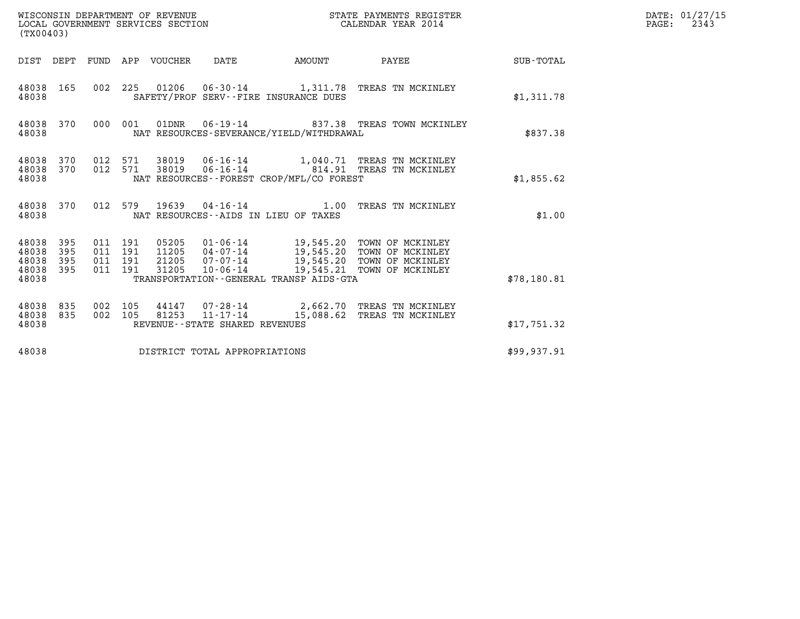| (TX00403)                                 |                          |                                          |         |                                 | WISCONSIN DEPARTMENT OF REVENUE<br>LOCAL GOVERNMENT SERVICES SECTION |                                          | STATE PAYMENTS REGISTER<br>CALENDAR YEAR 2014                                                                                                                              |             | DATE: 01/27/15<br>$\mathtt{PAGE:}$<br>2343 |
|-------------------------------------------|--------------------------|------------------------------------------|---------|---------------------------------|----------------------------------------------------------------------|------------------------------------------|----------------------------------------------------------------------------------------------------------------------------------------------------------------------------|-------------|--------------------------------------------|
|                                           |                          |                                          |         | DIST DEPT FUND APP VOUCHER DATE |                                                                      |                                          | AMOUNT PAYEE SUB-TOTAL                                                                                                                                                     |             |                                            |
| 48038 165<br>48038                        |                          |                                          |         |                                 |                                                                      | SAFETY/PROF SERV--FIRE INSURANCE DUES    | 002 225 01206 06-30-14 1,311.78 TREAS TN MCKINLEY                                                                                                                          | \$1,311.78  |                                            |
| 48038                                     | 48038 370                |                                          |         |                                 |                                                                      | NAT RESOURCES-SEVERANCE/YIELD/WITHDRAWAL | 000 001 01DNR 06-19-14 837.38 TREAS TOWN MCKINLEY                                                                                                                          | \$837.38    |                                            |
| 48038<br>48038<br>48038                   | 370                      |                                          | 012 571 |                                 |                                                                      | NAT RESOURCES--FOREST CROP/MFL/CO FOREST | 370  012  571  38019  06-16-14  1,040.71  TREAS TN MCKINLEY                                                                                                                | \$1,855.62  |                                            |
| 48038                                     | 48038 370                |                                          |         |                                 |                                                                      | NAT RESOURCES -- AIDS IN LIEU OF TAXES   | 012 579 19639 04-16-14 1.00 TREAS TN MCKINLEY                                                                                                                              | \$1.00      |                                            |
| 48038<br>48038<br>48038<br>48038<br>48038 | 395<br>395<br>395<br>395 | 011 191<br>011 191<br>011 191<br>011 191 |         | 21205<br>31205                  |                                                                      | TRANSPORTATION--GENERAL TRANSP AIDS-GTA  | 05205  01-06-14  19,545.20  TOWN OF MCKINLEY<br>11205  04-07-14  19,545.20  TOWN OF MCKINLEY<br>07-07-14 19,545.20 TOWN OF MCKINLEY<br>10-06-14 19,545.21 TOWN OF MCKINLEY | \$78,180.81 |                                            |
| 48038<br>48038<br>48038                   | 835<br>835               | 002 105<br>002 105                       |         |                                 | REVENUE--STATE SHARED REVENUES                                       |                                          | 44147 07-28-14 2,662.70 TREAS TN MCKINLEY<br>81253  11-17-14  15,088.62  TREAS TN MCKINLEY                                                                                 | \$17,751.32 |                                            |
| 48038                                     |                          |                                          |         |                                 | DISTRICT TOTAL APPROPRIATIONS                                        |                                          |                                                                                                                                                                            | \$99,937.91 |                                            |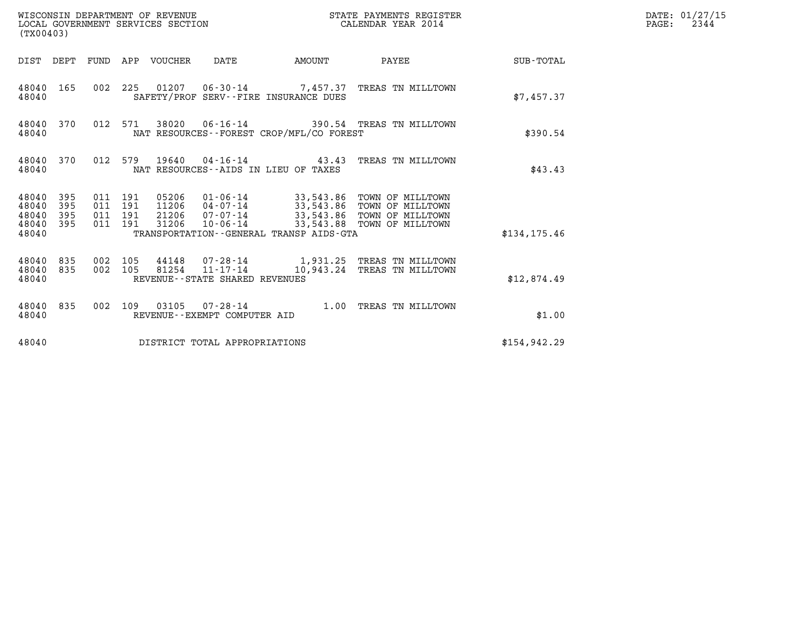| (TX00403)                                                             | WISCONSIN DEPARTMENT OF REVENUE<br>LOCAL GOVERNMENT SERVICES SECTION |                                                                                                                                                                                                                                   | STATE PAYMENTS REGISTER<br>CALENDAR YEAR 2014 |               | DATE: 01/27/15<br>$\mathtt{PAGE:}$<br>2344 |
|-----------------------------------------------------------------------|----------------------------------------------------------------------|-----------------------------------------------------------------------------------------------------------------------------------------------------------------------------------------------------------------------------------|-----------------------------------------------|---------------|--------------------------------------------|
|                                                                       | DIST DEPT FUND APP VOUCHER DATE                                      | AMOUNT                                                                                                                                                                                                                            | PAYEE SUB-TOTAL                               |               |                                            |
| 48040 165<br>48040                                                    |                                                                      | 002 225 01207 06-30-14 7,457.37 TREAS TN MILLTOWN<br>SAFETY/PROF SERV--FIRE INSURANCE DUES                                                                                                                                        |                                               | \$7.457.37    |                                            |
| 48040 370<br>48040                                                    | 012 571                                                              | 38020  06-16-14  390.54  TREAS TN MILLTOWN<br>NAT RESOURCES - - FOREST CROP/MFL/CO FOREST                                                                                                                                         |                                               | \$390.54      |                                            |
| 48040 370<br>48040                                                    |                                                                      | 012 579 19640 04-16-14 43.43 TREAS TN MILLTOWN<br>NAT RESOURCES--AIDS IN LIEU OF TAXES                                                                                                                                            |                                               | \$43.43       |                                            |
| 48040<br>395<br>395<br>48040<br>395<br>48040<br>48040<br>395<br>48040 | 011 191<br>011 191<br>011 191<br>011 191<br>31206                    | 05206  01-06-14  33,543.86  TOWN OF MILLTOWN<br>11206  04-07-14  33,543.86  TOWN OF MILLTOWN<br>21206  07-07-14  33,543.86  TOWN OF MILLTOWN<br>33,543.88 TOWN OF MILLTOWN<br>10-06-14<br>TRANSPORTATION--GENERAL TRANSP AIDS-GTA |                                               | \$134.175.46  |                                            |
| 48040 835<br>48040 835<br>48040                                       | 002 105<br>002 105                                                   | 44148 07-28-14 1,931.25 TREAS TN MILLTOWN<br>81254 11-17-14<br>REVENUE--STATE SHARED REVENUES                                                                                                                                     | 10,943.24 TREAS TN MILLTOWN                   | \$12,874.49   |                                            |
| 48040 835<br>48040                                                    | REVENUE--EXEMPT COMPUTER AID                                         | 002 109 03105 07-28-14 1.00 TREAS TN MILLTOWN                                                                                                                                                                                     |                                               | \$1.00        |                                            |
| 48040                                                                 | DISTRICT TOTAL APPROPRIATIONS                                        |                                                                                                                                                                                                                                   |                                               | \$154, 942.29 |                                            |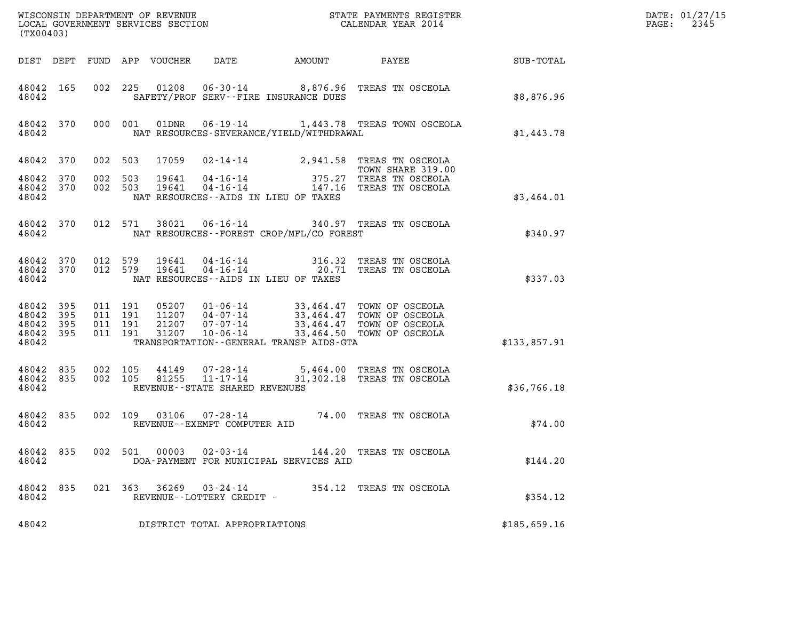| (TX00403)                                     |                     |                               |         |                            | ${\tt WISCOONSIM} \begin{tabular}{lcccc} DEPARTMENT OF REVENUE & & & & & & \begin{tabular}{l} \bf STATE \textit{ PAYMENTS \textit{ REGISTER} \\ \bf LOCAL \textit{GOVERNMENT} \textit{SERVICES} \textit{SECTION} & & & & & \begin{tabular}{l} \bf CALENDAR \textit{ YEAR} \end{tabular} \end{tabular} \end{tabular}$ |                                              | DATE: 01/27/15<br>2345<br>$\mathtt{PAGE:}$                                                                                                           |              |  |
|-----------------------------------------------|---------------------|-------------------------------|---------|----------------------------|----------------------------------------------------------------------------------------------------------------------------------------------------------------------------------------------------------------------------------------------------------------------------------------------------------------------|----------------------------------------------|------------------------------------------------------------------------------------------------------------------------------------------------------|--------------|--|
|                                               |                     |                               |         | DIST DEPT FUND APP VOUCHER | DATE                                                                                                                                                                                                                                                                                                                 | AMOUNT PAYEE                                 |                                                                                                                                                      | SUB-TOTAL    |  |
| 48042 165<br>48042                            |                     |                               |         |                            |                                                                                                                                                                                                                                                                                                                      | SAFETY/PROF SERV--FIRE INSURANCE DUES        | 002 225 01208 06-30-14 8,876.96 TREAS TN OSCEOLA                                                                                                     | \$8,876.96   |  |
| 48042                                         | 48042 370           |                               | 000 001 | 01DNR                      |                                                                                                                                                                                                                                                                                                                      | NAT RESOURCES-SEVERANCE/YIELD/WITHDRAWAL     | 06-19-14 1,443.78 TREAS TOWN OSCEOLA                                                                                                                 | \$1,443.78   |  |
| 48042 370                                     |                     | 002 503                       |         | 17059                      |                                                                                                                                                                                                                                                                                                                      |                                              | 02-14-14 2,941.58 TREAS TN OSCEOLA<br>TOWN SHARE 319.00                                                                                              |              |  |
| 48042 370<br>48042 370<br>48042               |                     | 002 503<br>002 503            |         | 19641<br>19641             |                                                                                                                                                                                                                                                                                                                      | NAT RESOURCES--AIDS IN LIEU OF TAXES         | 04-16-14 147.16 TREAS TN OSCEOLA                                                                                                                     | \$3,464.01   |  |
| 48042 370<br>48042                            |                     | 012 571                       |         | 38021                      |                                                                                                                                                                                                                                                                                                                      | NAT RESOURCES--FOREST CROP/MFL/CO FOREST     | 06-16-14 340.97 TREAS TN OSCEOLA                                                                                                                     | \$340.97     |  |
| 48042 370<br>48042 370<br>48042               |                     | 012 579                       | 012 579 | 19641<br>19641             |                                                                                                                                                                                                                                                                                                                      | NAT RESOURCES--AIDS IN LIEU OF TAXES         | 04-16-14 316.32 TREAS TN OSCEOLA<br>04-16-14 20.71 TREAS TN OSCEOLA                                                                                  | \$337.03     |  |
| 48042 395<br>48042<br>48042<br>48042<br>48042 | 395<br>395<br>- 395 | 011 191<br>011 191<br>011 191 | 011 191 | 21207<br>31207             | $07 - 07 - 14$<br>10-06-14                                                                                                                                                                                                                                                                                           | TRANSPORTATION - - GENERAL TRANSP AIDS - GTA | 05207  01-06-14  33,464.47  TOWN OF OSCEOLA<br>11207  04-07-14  33,464.47  TOWN OF OSCEOLA<br>33,464.47 TOWN OF OSCEOLA<br>33,464.50 TOWN OF OSCEOLA | \$133,857.91 |  |
| 48042 835<br>48042 835<br>48042               |                     | 002 105<br>002 105            |         | 44149<br>81255             | $11 - 17 - 14$<br>REVENUE--STATE SHARED REVENUES                                                                                                                                                                                                                                                                     |                                              | 07-28-14 5,464.00 TREAS TN OSCEOLA<br>31,302.18 TREAS TN OSCEOLA                                                                                     | \$36,766.18  |  |
| 48042 835<br>48042                            |                     |                               | 002 109 |                            | REVENUE - - EXEMPT COMPUTER AID                                                                                                                                                                                                                                                                                      |                                              | 03106  07-28-14  74.00 TREAS TN OSCEOLA                                                                                                              | \$74.00      |  |
| 48042 835<br>48042                            |                     |                               |         | 002 501 00003              | $02 - 03 - 14$                                                                                                                                                                                                                                                                                                       | DOA-PAYMENT FOR MUNICIPAL SERVICES AID       | 144.20 TREAS TN OSCEOLA                                                                                                                              | \$144.20     |  |
| 48042 835<br>48042                            |                     |                               |         |                            | 021 363 36269 03-24-14<br>REVENUE--LOTTERY CREDIT -                                                                                                                                                                                                                                                                  |                                              | 354.12 TREAS TN OSCEOLA                                                                                                                              | \$354.12     |  |
| 48042                                         |                     |                               |         |                            | DISTRICT TOTAL APPROPRIATIONS                                                                                                                                                                                                                                                                                        |                                              |                                                                                                                                                      | \$185,659.16 |  |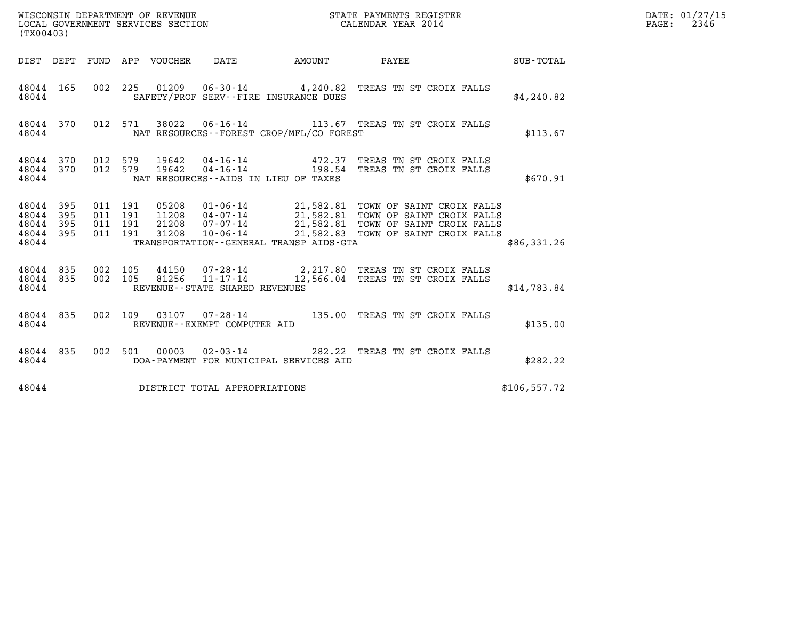|                                                   | WISCONSIN DEPARTMENT OF REVENUE<br>LOCAL GOVERNMENT SERVICES SECTION<br>CALENDAR YEAR 2014<br>(TX00403) |                                          |  |  |                                   |                                          |                                                                                                                                                                                                                                  | $\mathbb{E} \mathbf{R}$ | DATE: 01/27/15<br>PAGE: 2346 |
|---------------------------------------------------|---------------------------------------------------------------------------------------------------------|------------------------------------------|--|--|-----------------------------------|------------------------------------------|----------------------------------------------------------------------------------------------------------------------------------------------------------------------------------------------------------------------------------|-------------------------|------------------------------|
|                                                   |                                                                                                         |                                          |  |  |                                   |                                          | DIST DEPT FUND APP VOUCHER DATE AMOUNT PAYEE SUB-TOTAL                                                                                                                                                                           |                         |                              |
| 48044 165<br>48044                                |                                                                                                         |                                          |  |  |                                   | SAFETY/PROF SERV--FIRE INSURANCE DUES    | 002 225 01209 06-30-14 4,240.82 TREAS TN ST CROIX FALLS                                                                                                                                                                          | \$4,240.82              |                              |
| 48044                                             |                                                                                                         |                                          |  |  |                                   | NAT RESOURCES--FOREST CROP/MFL/CO FOREST | 48044 370 012 571 38022 06-16-14 113.67 TREAS TN ST CROIX FALLS                                                                                                                                                                  | \$113.67                |                              |
| 48044 370 012 579<br>48044 370<br>48044           |                                                                                                         | 012 579                                  |  |  |                                   | NAT RESOURCES--AIDS IN LIEU OF TAXES     | 19642  04-16-14  472.37 TREAS TN ST CROIX FALLS<br>19642  04-16-14  198.54 TREAS TN ST CROIX FALLS                                                                                                                               | \$670.91                |                              |
| 48044 395<br>48044<br>48044<br>48044 395<br>48044 | 395<br>395                                                                                              | 011 191<br>011 191<br>011 191<br>011 191 |  |  |                                   | TRANSPORTATION--GENERAL TRANSP AIDS-GTA  | 05208  01-06-14  21,582.81  TOWN OF SAINT CROIX FALLS<br>11208  04-07-14  21,582.81  TOWN OF SAINT CROIX FALLS<br>21208  07-07-14  21,582.81  TOWN OF SAINT CROIX FALLS<br>31208  10-06-14  21,582.83  TOWN OF SAINT CROIX FALLS | \$86,331.26             |                              |
| 48044 835 002 105<br>48044 835<br>48044           |                                                                                                         | 002 105                                  |  |  | REVENUE - - STATE SHARED REVENUES |                                          | 44150  07-28-14  2,217.80 TREAS TN ST CROIX FALLS<br>81256  11-17-14  12,566.04 TREAS TN ST CROIX FALLS                                                                                                                          | \$14,783.84             |                              |
| 48044 835<br>48044                                |                                                                                                         |                                          |  |  | REVENUE--EXEMPT COMPUTER AID      |                                          | 002 109 03107 07-28-14 135.00 TREAS TN ST CROIX FALLS                                                                                                                                                                            | \$135.00                |                              |
| 48044                                             |                                                                                                         |                                          |  |  |                                   | DOA-PAYMENT FOR MUNICIPAL SERVICES AID   | 48044 835 002 501 00003 02-03-14 282.22 TREAS TN ST CROIX FALLS                                                                                                                                                                  | \$282.22                |                              |
| 48044                                             |                                                                                                         |                                          |  |  | DISTRICT TOTAL APPROPRIATIONS     |                                          |                                                                                                                                                                                                                                  | \$106, 557.72           |                              |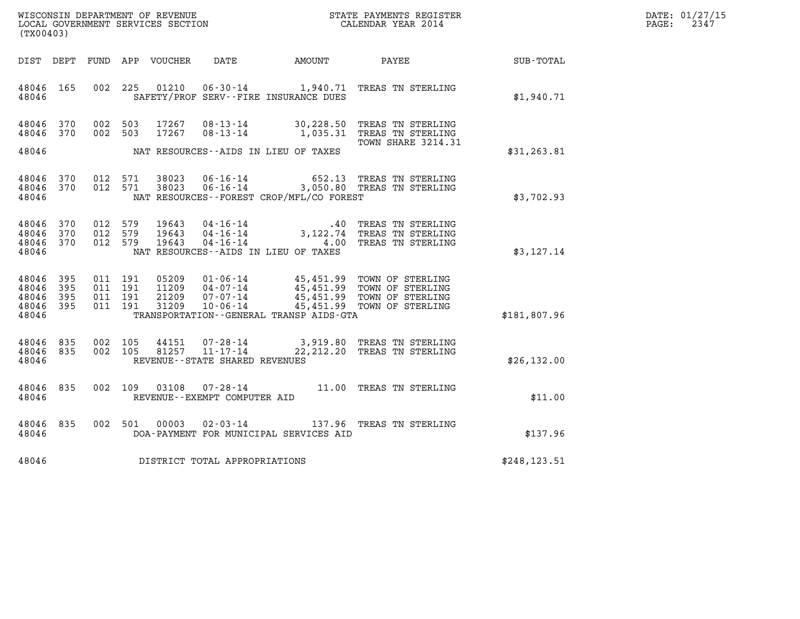| WISCONSIN DEPARTMENT OF REVENUE   | STATE PAYMENTS REGISTER | DATE: 01/27/15 |
|-----------------------------------|-------------------------|----------------|
| LOCAL GOVERNMENT SERVICES SECTION | CALENDAR YEAR 2014      | 2347<br>PAGE:  |

| (TX00403)                                 |                          |                          |                          |                                  |                                                                       |                                                                                             |                                                                              |               |  |
|-------------------------------------------|--------------------------|--------------------------|--------------------------|----------------------------------|-----------------------------------------------------------------------|---------------------------------------------------------------------------------------------|------------------------------------------------------------------------------|---------------|--|
| DIST                                      | DEPT                     | FUND                     | APP                      | VOUCHER                          | DATE                                                                  | AMOUNT                                                                                      | PAYEE                                                                        | SUB-TOTAL     |  |
| 48046<br>48046                            | 165                      | 002                      | 225                      | 01210                            | $06 - 30 - 14$                                                        | 1,940.71<br>SAFETY/PROF SERV--FIRE INSURANCE DUES                                           | TREAS TN STERLING                                                            | \$1,940.71    |  |
| 48046<br>48046                            | 370<br>370               | 002<br>002               | 503<br>503               | 17267<br>17267                   | $08 - 13 - 14$<br>$08 - 13 - 14$                                      | 30,228.50<br>1,035.31                                                                       | TREAS TN STERLING<br>TREAS TN STERLING<br>TOWN SHARE 3214.31                 |               |  |
| 48046                                     |                          |                          |                          |                                  |                                                                       | NAT RESOURCES--AIDS IN LIEU OF TAXES                                                        |                                                                              | \$31, 263.81  |  |
| 48046<br>48046<br>48046                   | 370<br>370               | 012<br>012               | 571<br>571               | 38023<br>38023                   | $06 - 16 - 14$<br>$06 - 16 - 14$                                      | 652.13<br>3,050.80<br>NAT RESOURCES--FOREST CROP/MFL/CO FOREST                              | TREAS TN STERLING<br>TREAS TN STERLING                                       | \$3,702.93    |  |
| 48046<br>48046<br>48046<br>48046          | 370<br>370<br>370        | 012<br>012<br>012        | 579<br>579<br>579        | 19643<br>19643<br>19643          | $04 - 16 - 14$<br>$04 - 16 - 14$<br>$04 - 16 - 14$                    | .40<br>3,122.74<br>4.00<br>NAT RESOURCES--AIDS IN LIEU OF TAXES                             | TREAS TN STERLING<br>TREAS TN STERLING<br>TREAS TN STERLING                  | \$3,127.14    |  |
| 48046<br>48046<br>48046<br>48046<br>48046 | 395<br>395<br>395<br>395 | 011<br>011<br>011<br>011 | 191<br>191<br>191<br>191 | 05209<br>11209<br>21209<br>31209 | $01 - 06 - 14$<br>$04 - 07 - 14$<br>$07 - 07 - 14$<br>$10 - 06 - 14$  | 45,451.99<br>45,451.99<br>45,451.99<br>45,451.99<br>TRANSPORTATION--GENERAL TRANSP AIDS-GTA | TOWN OF STERLING<br>TOWN OF STERLING<br>TOWN OF STERLING<br>TOWN OF STERLING | \$181,807.96  |  |
| 48046<br>48046<br>48046                   | 835<br>835               | 002<br>002               | 105<br>105               | 44151<br>81257                   | $07 - 28 - 14$<br>$11 - 17 - 14$<br>REVENUE - - STATE SHARED REVENUES | 3,919.80<br>22, 212. 20                                                                     | TREAS TN STERLING<br>TREAS TN STERLING                                       | \$26, 132.00  |  |
| 48046<br>48046                            | 835                      | 002                      | 109                      | 03108                            | $07 - 28 - 14$<br>REVENUE--EXEMPT COMPUTER AID                        | 11.00                                                                                       | TREAS TN STERLING                                                            | \$11.00       |  |
| 48046<br>48046                            | 835                      | 002                      | 501                      | 00003                            | $02 - 03 - 14$                                                        | 137.96<br>DOA-PAYMENT FOR MUNICIPAL SERVICES AID                                            | TREAS TN STERLING                                                            | \$137.96      |  |
| 48046                                     |                          |                          |                          |                                  | DISTRICT TOTAL APPROPRIATIONS                                         |                                                                                             |                                                                              | \$248, 123.51 |  |
|                                           |                          |                          |                          |                                  |                                                                       |                                                                                             |                                                                              |               |  |

LOCAL GOVERNMENT SERVICES SECTION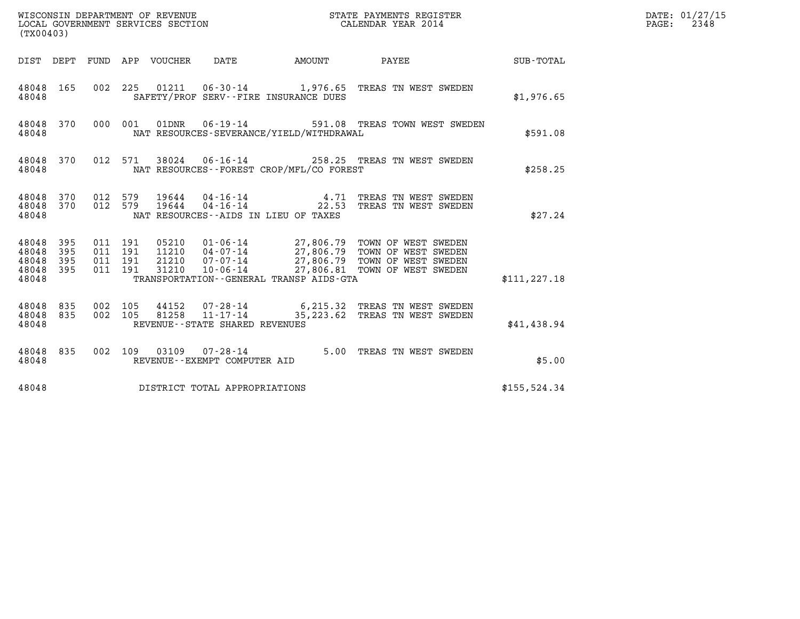| (TX00403)                                       |                          |                               |         |                                   |                                          |                                                                                                                                                                                                          |               | DATE: 01/27/15<br>2348<br>$\mathtt{PAGE:}$ |
|-------------------------------------------------|--------------------------|-------------------------------|---------|-----------------------------------|------------------------------------------|----------------------------------------------------------------------------------------------------------------------------------------------------------------------------------------------------------|---------------|--------------------------------------------|
|                                                 |                          |                               |         |                                   |                                          | DIST DEPT FUND APP VOUCHER DATE AMOUNT PAYEE TO SUB-TOTAL                                                                                                                                                |               |                                            |
| 48048 165<br>48048                              |                          |                               |         |                                   | SAFETY/PROF SERV--FIRE INSURANCE DUES    | 002 225 01211 06-30-14 1,976.65 TREAS TN WEST SWEDEN                                                                                                                                                     | \$1,976.65    |                                            |
| 48048                                           |                          |                               |         |                                   | NAT RESOURCES-SEVERANCE/YIELD/WITHDRAWAL | 48048 370 000 001 01DNR 06-19-14 591.08 TREAS TOWN WEST SWEDEN                                                                                                                                           | \$591.08      |                                            |
| 48048 370<br>48048                              |                          |                               |         |                                   | NAT RESOURCES--FOREST CROP/MFL/CO FOREST | 012 571 38024 06-16-14 258.25 TREAS TN WEST SWEDEN                                                                                                                                                       | \$258.25      |                                            |
| 48048 370 012 579<br>48048 370 012 579<br>48048 |                          |                               |         |                                   | NAT RESOURCES--AIDS IN LIEU OF TAXES     | 19644  04-16-14   4.71   TREAS TN WEST SWEDEN<br>19644  04-16-14   22.53   TREAS TN WEST SWEDEN                                                                                                          | \$27.24       |                                            |
| 48048<br>48048<br>48048<br>48048<br>48048       | 395<br>395<br>395<br>395 | 011 191<br>011 191<br>011 191 | 011 191 |                                   | TRANSPORTATION--GENERAL TRANSP AIDS-GTA  | 05210  01-06-14  27,806.79  TOWN OF WEST SWEDEN<br>11210  04-07-14  27,806.79  TOWN OF WEST SWEDEN<br>21210  07-07-14  27,806.79  TOWN OF WEST SWEDEN<br>31210  10-06-14  27,806.81  TOWN OF WEST SWEDEN | \$111, 227.18 |                                            |
| 48048 835<br>48048 835<br>48048                 |                          | 002 105<br>002 105            |         | REVENUE - - STATE SHARED REVENUES |                                          |                                                                                                                                                                                                          | \$41,438.94   |                                            |
| 48048 835<br>48048                              |                          |                               |         | REVENUE--EXEMPT COMPUTER AID      |                                          | 002 109 03109 07-28-14 5.00 TREAS TN WEST SWEDEN                                                                                                                                                         | \$5.00        |                                            |
| 48048                                           |                          |                               |         | DISTRICT TOTAL APPROPRIATIONS     |                                          |                                                                                                                                                                                                          | \$155,524.34  |                                            |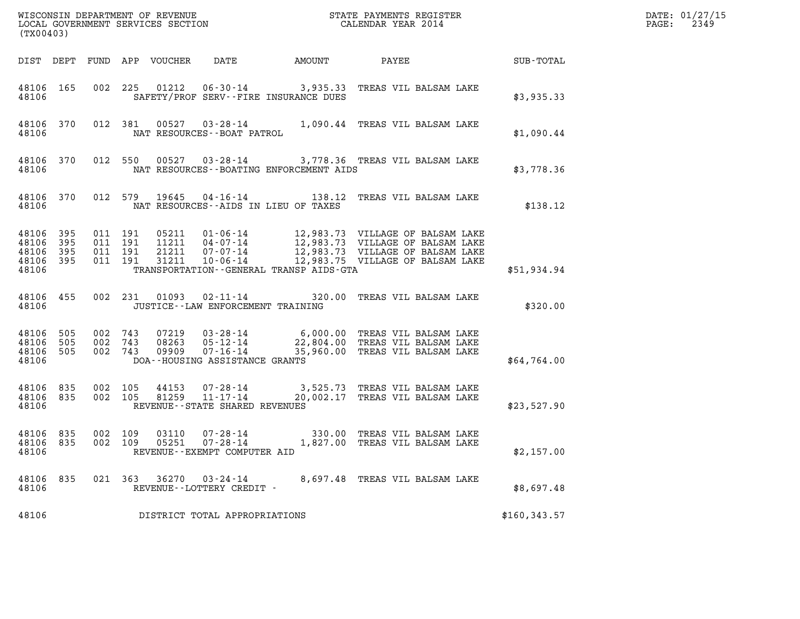| (TX00403)                                 |                          |                               |                    |                                  | WISCONSIN DEPARTMENT OF REVENUE<br>LOCAL GOVERNMENT SERVICES SECTION |                                         | STATE PAYMENTS REGISTER<br>CALENDAR YEAR 2014                                                                                                                           |               | DATE: 01/27/15<br>$\mathtt{PAGE:}$<br>2349 |
|-------------------------------------------|--------------------------|-------------------------------|--------------------|----------------------------------|----------------------------------------------------------------------|-----------------------------------------|-------------------------------------------------------------------------------------------------------------------------------------------------------------------------|---------------|--------------------------------------------|
|                                           |                          |                               |                    | DIST DEPT FUND APP VOUCHER       | DATE                                                                 | AMOUNT                                  | PAYEE                                                                                                                                                                   | SUB-TOTAL     |                                            |
| 48106 165<br>48106                        |                          |                               |                    |                                  |                                                                      | SAFETY/PROF SERV--FIRE INSURANCE DUES   | 002 225 01212 06-30-14 3,935.33 TREAS VIL BALSAM LAKE                                                                                                                   | \$3,935.33    |                                            |
| 48106                                     | 48106 370                |                               |                    |                                  | NAT RESOURCES - - BOAT PATROL                                        |                                         | 012 381 00527 03-28-14 1,090.44 TREAS VIL BALSAM LAKE                                                                                                                   | \$1,090.44    |                                            |
| 48106 370<br>48106                        |                          |                               |                    |                                  |                                                                      | NAT RESOURCES--BOATING ENFORCEMENT AIDS | 012 550 00527 03-28-14 3,778.36 TREAS VIL BALSAM LAKE                                                                                                                   | \$3,778.36    |                                            |
| 48106 370<br>48106                        |                          |                               |                    | 012 579 19645                    | NAT RESOURCES -- AIDS IN LIEU OF TAXES                               |                                         | 04-16-14 138.12 TREAS VIL BALSAM LAKE                                                                                                                                   | \$138.12      |                                            |
| 48106<br>48106<br>48106<br>48106<br>48106 | 395<br>395<br>395<br>395 | 011 191<br>011 191            | 011 191<br>011 191 | 05211<br>11211<br>21211<br>31211 | 10-06-14                                                             | TRANSPORTATION--GENERAL TRANSP AIDS-GTA | 01-06-14 12,983.73 VILLAGE OF BALSAM LAKE<br>04-07-14 12,983.73 VILLAGE OF BALSAM LAKE<br>07-07-14 12,983.73 VILLAGE OF BALSAM LAKE<br>12,983.75 VILLAGE OF BALSAM LAKE | \$51,934.94   |                                            |
| 48106 455<br>48106                        |                          |                               |                    | 002 231 01093                    | $02 - 11 - 14$<br>JUSTICE -- LAW ENFORCEMENT TRAINING                |                                         | 320.00 TREAS VIL BALSAM LAKE                                                                                                                                            | \$320.00      |                                            |
| 48106<br>48106<br>48106<br>48106          | 505<br>505<br>505        | 002 743<br>002 743<br>002 743 |                    | 07219<br>08263<br>09909          | DOA--HOUSING ASSISTANCE GRANTS                                       |                                         |                                                                                                                                                                         | \$64,764.00   |                                            |
| 48106 835<br>48106 835<br>48106           |                          | 002 105<br>002 105            |                    | 44153<br>81259                   | 11-17-14<br>REVENUE--STATE SHARED REVENUES                           |                                         | 07-28-14 3,525.73 TREAS VIL BALSAM LAKE<br>20,002.17 TREAS VIL BALSAM LAKE                                                                                              | \$23,527.90   |                                            |
| 48106 835<br>48106 835<br>48106           |                          |                               | 002 109<br>002 109 | 03110                            | 07-28-14<br>05251 07-28-14<br>REVENUE - - EXEMPT COMPUTER AID        |                                         | 330.00 TREAS VIL BALSAM LAKE<br>1,827.00 TREAS VIL BALSAM LAKE                                                                                                          | \$2,157.00    |                                            |
| 48106<br>48106                            | 835                      |                               | 021 363            | 36270                            | 03-24-14<br>REVENUE--LOTTERY CREDIT -                                |                                         | 8,697.48 TREAS VIL BALSAM LAKE                                                                                                                                          | \$8,697.48    |                                            |
| 48106                                     |                          |                               |                    |                                  | DISTRICT TOTAL APPROPRIATIONS                                        |                                         |                                                                                                                                                                         | \$160, 343.57 |                                            |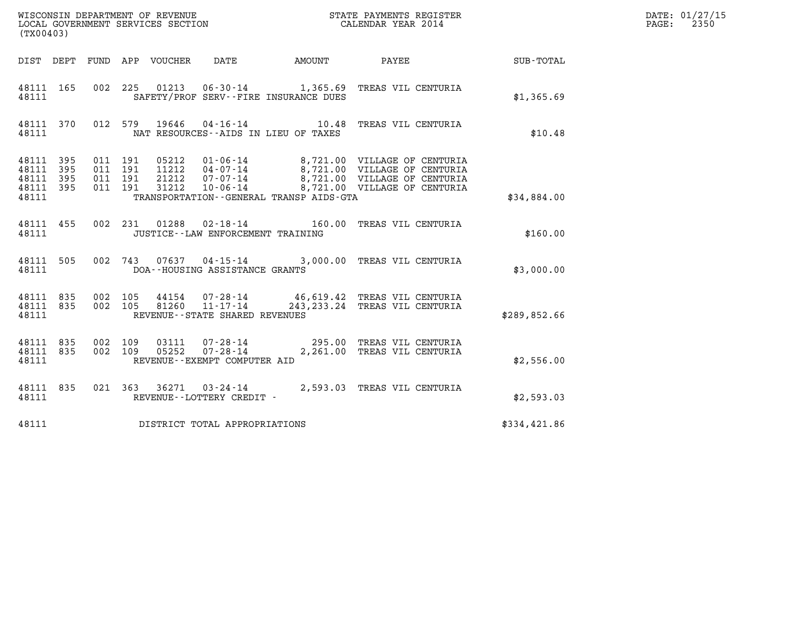| (TX00403)                                                 |                    |                                 |                                     |                                         |                                                                                                                                                                                          |              | DATE: 01/27/15<br>2350<br>$\mathtt{PAGE:}$ |
|-----------------------------------------------------------|--------------------|---------------------------------|-------------------------------------|-----------------------------------------|------------------------------------------------------------------------------------------------------------------------------------------------------------------------------------------|--------------|--------------------------------------------|
|                                                           |                    | DIST DEPT FUND APP VOUCHER DATE |                                     |                                         |                                                                                                                                                                                          |              |                                            |
| 48111 165<br>48111                                        |                    |                                 |                                     | SAFETY/PROF SERV--FIRE INSURANCE DUES   | 002 225 01213 06-30-14 1,365.69 TREAS VIL CENTURIA                                                                                                                                       | \$1,365.69   |                                            |
| 48111                                                     |                    |                                 |                                     | NAT RESOURCES--AIDS IN LIEU OF TAXES    | 48111 370 012 579 19646 04-16-14 10.48 TREAS VIL CENTURIA                                                                                                                                | \$10.48      |                                            |
| 48111 395<br>48111 395<br>48111 395<br>48111 395<br>48111 | 011 191<br>011 191 | 011 191<br>011 191              |                                     | TRANSPORTATION--GENERAL TRANSP AIDS-GTA | 05212 01-06-14 8,721.00 VILLAGE OF CENTURIA<br>11212 04-07-14 8,721.00 VILLAGE OF CENTURIA<br>21212 07-07-14 8,721.00 VILLAGE OF CENTURIA<br>31212 10-06-14 8,721.00 VILLAGE OF CENTURIA | \$34,884.00  |                                            |
| 48111 455<br>48111                                        |                    |                                 | JUSTICE -- LAW ENFORCEMENT TRAINING |                                         | 002 231 01288 02-18-14 160.00 TREAS VIL CENTURIA                                                                                                                                         | \$160.00     |                                            |
| 48111 505<br>48111                                        |                    |                                 | DOA--HOUSING ASSISTANCE GRANTS      |                                         | 002 743 07637 04-15-14 3,000.00 TREAS VIL CENTURIA                                                                                                                                       | \$3,000.00   |                                            |
| 48111 835 002 105<br>48111 835<br>48111                   | 002 105            |                                 | REVENUE--STATE SHARED REVENUES      |                                         | 44154  07-28-14  46,619.42 TREAS VIL CENTURIA<br>81260  11-17-14  243,233.24 TREAS VIL CENTURTA                                                                                          | \$289,852.66 |                                            |
| 48111 835<br>48111 835<br>48111                           | 002 109            | 002 109                         | REVENUE--EXEMPT COMPUTER AID        |                                         |                                                                                                                                                                                          | \$2,556.00   |                                            |
| 48111 835<br>48111                                        |                    |                                 | REVENUE--LOTTERY CREDIT -           |                                         | 021 363 36271 03-24-14 2,593.03 TREAS VIL CENTURIA                                                                                                                                       | \$2,593.03   |                                            |
| 48111                                                     |                    |                                 | DISTRICT TOTAL APPROPRIATIONS       |                                         |                                                                                                                                                                                          | \$334,421.86 |                                            |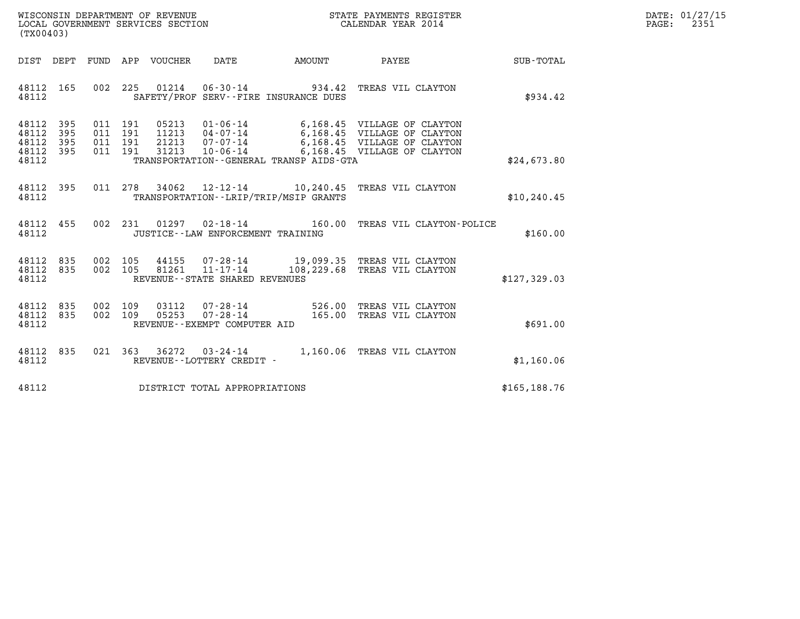| WISCONSIN DEPARTMENT OF REVENUE<br>LOCAL GOVERNMENT SERVICES SECTION | STATE PAYMENTS REGISTER<br>CALENDAR YEAR 2014 | DATE: 01/27/15<br>2351<br>PAGE: |
|----------------------------------------------------------------------|-----------------------------------------------|---------------------------------|

| (TX00403)                                 |                          |                          |                            |                                  |                                                                  |                                                                |                                                                                                                                   |                  |
|-------------------------------------------|--------------------------|--------------------------|----------------------------|----------------------------------|------------------------------------------------------------------|----------------------------------------------------------------|-----------------------------------------------------------------------------------------------------------------------------------|------------------|
| DIST DEPT                                 |                          | FUND                     | APP                        | VOUCHER                          | DATE                                                             | AMOUNT                                                         | <b>PAYEE</b> FOUND THE PAYEE                                                                                                      | <b>SUB-TOTAL</b> |
| 48112<br>48112                            | 165                      | 002                      | 225                        |                                  |                                                                  | 01214 06-30-14 934.42<br>SAFETY/PROF SERV--FIRE INSURANCE DUES | TREAS VIL CLAYTON                                                                                                                 | \$934.42         |
| 48112<br>48112<br>48112<br>48112<br>48112 | 395<br>395<br>395<br>395 | 011<br>011<br>011<br>011 | - 191<br>191<br>191<br>191 | 05213<br>11213<br>21213<br>31213 | $04 - 07 - 14$<br>07-07-14<br>$10 - 06 - 14$                     | TRANSPORTATION--GENERAL TRANSP AIDS-GTA                        | 01-06-14 6,168.45 VILLAGE OF CLAYTON<br>6,168.45 VILLAGE OF CLAYTON<br>6,168.45 VILLAGE OF CLAYTON<br>6,168.45 VILLAGE OF CLAYTON | \$24,673.80      |
| 48112<br>48112                            | 395                      | 011                      | 278                        | 34062                            |                                                                  | TRANSPORTATION - - LRIP/TRIP/MSIP GRANTS                       | 12-12-14 10,240.45 TREAS VIL CLAYTON                                                                                              | \$10, 240.45     |
| 48112<br>48112                            | 455                      | 002                      | 231                        |                                  | $01297$ $02 - 18 - 14$<br>JUSTICE - - LAW ENFORCEMENT TRAINING   | 160.00                                                         | TREAS VIL CLAYTON-POLICE                                                                                                          | \$160.00         |
| 48112<br>48112<br>48112                   | 835<br>835               | 002<br>002               | 105<br>105                 |                                  | REVENUE - - STATE SHARED REVENUES                                |                                                                | 44155 07-28-14 19,099.35 TREAS VIL CLAYTON<br>81261  11-17-14  108, 229.68 TREAS VIL CLAYTON                                      | \$127,329.03     |
| 48112<br>48112<br>48112                   | 835<br>835               | 002<br>002               | 109<br>109                 | 03112<br>05253                   | $07 - 28 - 14$<br>$07 - 28 - 14$<br>REVENUE--EXEMPT COMPUTER AID | 165.00                                                         | 526.00 TREAS VIL CLAYTON<br>TREAS VIL CLAYTON                                                                                     | \$691.00         |
| 48112<br>48112                            | 835                      | 021                      | 363                        | 36272                            | 03-24-14<br>REVENUE - - LOTTERY CREDIT -                         | 1,160.06                                                       | TREAS VIL CLAYTON                                                                                                                 | \$1,160.06       |
| 48112                                     |                          |                          |                            |                                  | DISTRICT TOTAL APPROPRIATIONS                                    |                                                                |                                                                                                                                   | \$165, 188.76    |
|                                           |                          |                          |                            |                                  |                                                                  |                                                                |                                                                                                                                   |                  |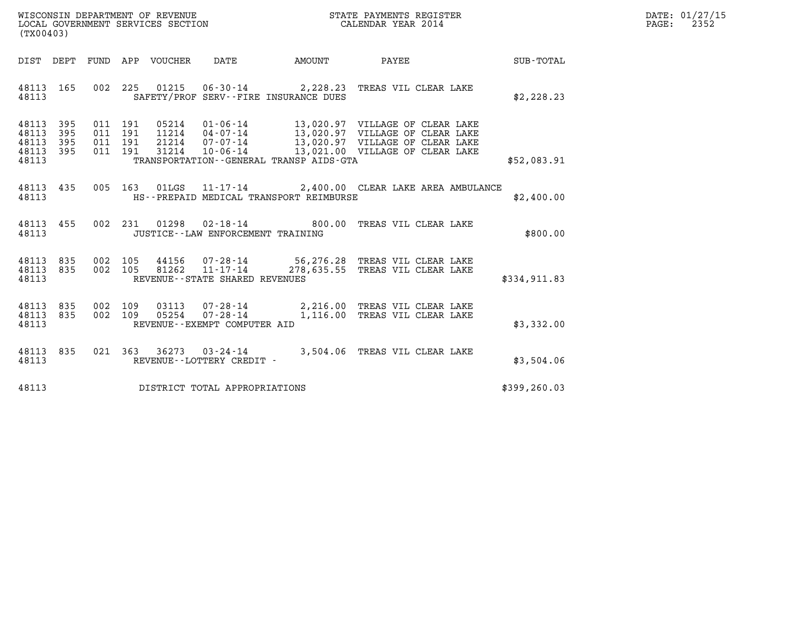| WISCONSIN DEPARTMENT OF REVENUE   | STATE PAYMENTS REGISTER | DATE: 01/27/15 |
|-----------------------------------|-------------------------|----------------|
| LOCAL GOVERNMENT SERVICES SECTION | CALENDAR YEAR 2014      | 2352<br>PAGE:  |

| (TX00403)                                 |                          |                              |                   |                |                                                                  |                                         |                                                                                                                                                   |              |
|-------------------------------------------|--------------------------|------------------------------|-------------------|----------------|------------------------------------------------------------------|-----------------------------------------|---------------------------------------------------------------------------------------------------------------------------------------------------|--------------|
| DIST                                      | DEPT                     | FUND                         |                   | APP VOUCHER    | DATE                                                             | AMOUNT                                  | PAYEE                                                                                                                                             | SUB-TOTAL    |
| 48113<br>48113                            | 165                      | 002                          | 225               | 01215          | SAFETY/PROF SERV--FIRE INSURANCE DUES                            |                                         | 06-30-14 2,228.23 TREAS VIL CLEAR LAKE                                                                                                            | \$2, 228.23  |
| 48113<br>48113<br>48113<br>48113<br>48113 | 395<br>395<br>395<br>395 | 011<br>011<br>011 191<br>011 | 191<br>191<br>191 | 31214          | 05214 01-06-14<br>11214   04-07-14<br>21214 07-07-14             | TRANSPORTATION--GENERAL TRANSP AIDS-GTA | 13,020.97 VILLAGE OF CLEAR LAKE<br>13,020.97 VILLAGE OF CLEAR LAKE<br>13,020.97 VILLAGE OF CLEAR LAKE<br>10-06-14 13,021.00 VILLAGE OF CLEAR LAKE | \$52,083.91  |
| 48113<br>48113                            | 435                      | 005                          | 163               |                |                                                                  | HS--PREPAID MEDICAL TRANSPORT REIMBURSE | 01LGS  11-17-14  2,400.00 CLEAR LAKE AREA AMBULANCE                                                                                               | \$2,400.00   |
| 48113<br>48113                            | 455                      | 002                          | 231               | 01298          | JUSTICE - - LAW ENFORCEMENT TRAINING                             | $02 - 18 - 14$ 800.00                   | TREAS VIL CLEAR LAKE                                                                                                                              | \$800.00     |
| 48113<br>48113<br>48113                   | 835<br>835               | 002<br>002                   | 105<br>105        | 81262          | REVENUE - - STATE SHARED REVENUES                                |                                         | 44156 07-28-14 56,276.28 TREAS VIL CLEAR LAKE<br>11-17-14 278,635.55 TREAS VIL CLEAR LAKE                                                         | \$334,911.83 |
| 48113<br>48113<br>48113                   | 835<br>835               | 002<br>002                   | 109<br>109        | 03113<br>05254 | $07 - 28 - 14$<br>$07 - 28 - 14$<br>REVENUE--EXEMPT COMPUTER AID |                                         | 2,216.00 TREAS VIL CLEAR LAKE<br>1,116.00 TREAS VIL CLEAR LAKE                                                                                    | \$3,332.00   |
| 48113<br>48113                            | 835                      | 021                          | 363               | 36273          | 03-24-14<br>REVENUE - - LOTTERY CREDIT -                         |                                         | 3,504.06 TREAS VIL CLEAR LAKE                                                                                                                     | \$3,504.06   |
| 48113                                     |                          |                              |                   |                | DISTRICT TOTAL APPROPRIATIONS                                    |                                         |                                                                                                                                                   | \$399,260.03 |

(TX00403)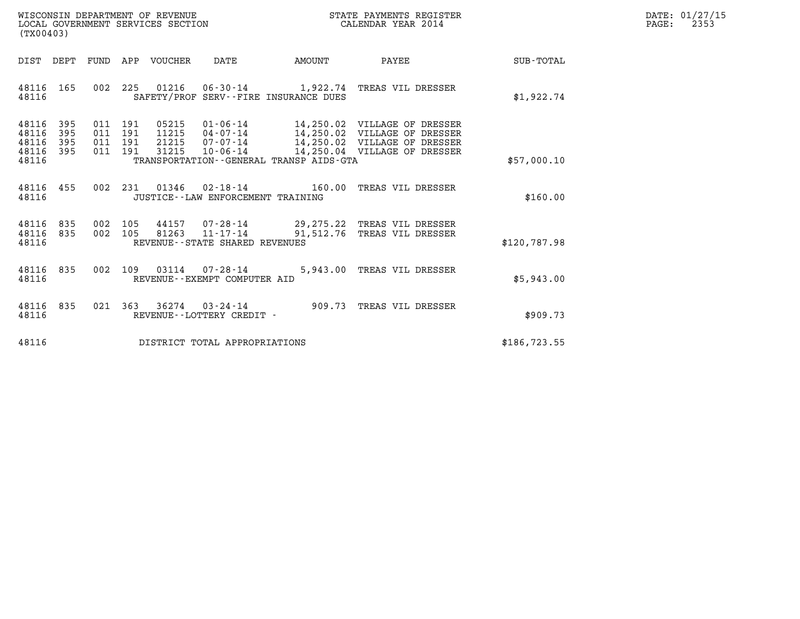| WISCONSIN DEPARTMENT OF REVENUE   | STATE PAYMENTS REGISTER | DATE: 01/27/15 |
|-----------------------------------|-------------------------|----------------|
| LOCAL GOVERNMENT SERVICES SECTION | CALENDAR YEAR 2014      | 2353<br>PAGE:  |

| (TX00403)                                                               | LOCAL GOVERNMENT SERVICES SECTION                                                                                                                                                                |                           | CALENDAR YEAR 2014                         |               |
|-------------------------------------------------------------------------|--------------------------------------------------------------------------------------------------------------------------------------------------------------------------------------------------|---------------------------|--------------------------------------------|---------------|
| FUND<br>DIST DEPT                                                       | DATE<br>APP<br>VOUCHER                                                                                                                                                                           | <b>EXAMPLE THE AMOUNT</b> | PAYEE                                      | SUB-TOTAL     |
| 48116 165<br>48116                                                      | 002 225 01216 06-30-14 1,922.74 TREAS VIL DRESSER<br>SAFETY/PROF SERV--FIRE INSURANCE DUES                                                                                                       |                           |                                            | \$1,922.74    |
| 48116<br>- 395<br>395<br>48116<br>48116<br>395<br>48116<br>395<br>48116 | 011 191<br>11215  04-07-14  14,250.02  VILLAGE OF DRESSER<br>011 191<br>21215  07-07-14  14,250.02  VILLAGE OF DRESSER<br>011 191<br>31215<br>011 191<br>TRANSPORTATION--GENERAL TRANSP AIDS-GTA |                           | 10-06-14   14,250.04    VILLAGE OF DRESSER | \$57,000.10   |
| 455<br>48116<br>48116                                                   | 002  231  01346  02-18-14  160.00 TREAS VIL DRESSER<br>JUSTICE - - LAW ENFORCEMENT TRAINING                                                                                                      |                           |                                            | \$160.00      |
| 835<br>48116<br>835<br>48116<br>48116                                   | 002 105<br>44157 07-28-14 29,275.22 TREAS VIL DRESSER<br>002 105<br>81263<br>REVENUE--STATE SHARED REVENUES                                                                                      |                           | 11-17-14 91,512.76 TREAS VIL DRESSER       | \$120,787.98  |
| 835<br>002<br>48116<br>48116                                            | 109<br>03114 07-28-14<br>REVENUE - - EXEMPT COMPUTER AID                                                                                                                                         |                           | 5,943.00 TREAS VIL DRESSER                 | \$5,943.00    |
| 021<br>48116<br>835<br>48116                                            | 363<br>$36274$ 03-24-14<br>REVENUE - - LOTTERY CREDIT -                                                                                                                                          |                           | 909.73 TREAS VIL DRESSER                   | \$909.73      |
| 48116                                                                   | DISTRICT TOTAL APPROPRIATIONS                                                                                                                                                                    |                           |                                            | \$186, 723.55 |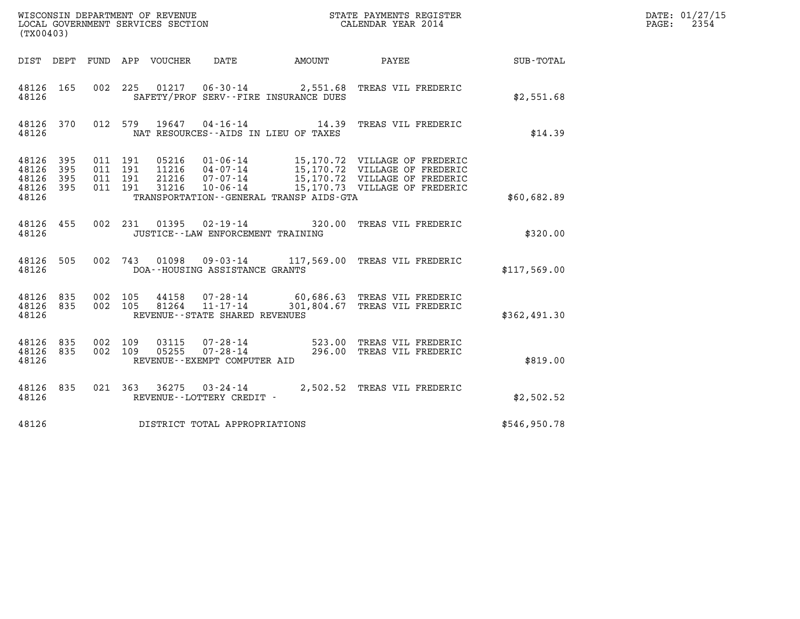| (TX00403)                                     |                   |                                          |     |                            |                                                                    |                                         |                                                                |              | DATE: 01/27/15<br>2354<br>$\mathtt{PAGE:}$ |
|-----------------------------------------------|-------------------|------------------------------------------|-----|----------------------------|--------------------------------------------------------------------|-----------------------------------------|----------------------------------------------------------------|--------------|--------------------------------------------|
|                                               |                   |                                          |     | DIST DEPT FUND APP VOUCHER | DATE                                                               | AMOUNT                                  | PAYEE                                                          | SUB-TOTAL    |                                            |
| 48126 165<br>48126                            |                   |                                          |     |                            |                                                                    | SAFETY/PROF SERV--FIRE INSURANCE DUES   | 002 225 01217 06-30-14 2,551.68 TREAS VIL FREDERIC             | \$2,551.68   |                                            |
| 48126 370<br>48126                            |                   |                                          |     |                            |                                                                    | NAT RESOURCES--AIDS IN LIEU OF TAXES    | 012 579 19647 04-16-14 14.39 TREAS VIL FREDERIC                | \$14.39      |                                            |
| 48126<br>48126<br>48126<br>48126 395<br>48126 | 395<br>395<br>395 | 011 191<br>011 191<br>011 191<br>011 191 |     | 21216<br>31216             | 07-07-14<br>10-06-14                                               | TRANSPORTATION--GENERAL TRANSP AIDS-GTA | 15,170.72 VILLAGE OF FREDERIC<br>15,170.73 VILLAGE OF FREDERIC | \$60,682.89  |                                            |
| 48126 455<br>48126                            |                   |                                          |     |                            | 002 231 01395 02-19-14<br>JUSTICE - - LAW ENFORCEMENT TRAINING     |                                         | 320.00 TREAS VIL FREDERIC                                      | \$320.00     |                                            |
| 48126 505<br>48126                            |                   |                                          |     | 002 743 01098              | $09 - 03 - 14$<br>DOA--HOUSING ASSISTANCE GRANTS                   |                                         | 117,569.00 TREAS VIL FREDERIC                                  | \$117,569.00 |                                            |
| 48126 835<br>48126 835<br>48126               |                   | 002 105<br>002 105                       |     | 44158<br>81264             | $07 - 28 - 14$<br>$11 - 17 - 14$<br>REVENUE--STATE SHARED REVENUES |                                         | 60,686.63 TREAS VIL FREDERIC<br>301,804.67 TREAS VIL FREDERIC  | \$362,491.30 |                                            |
| 48126 835<br>48126 835<br>48126               |                   | 002<br>002 109                           | 109 | 03115<br>05255             | $07 - 28 - 14$<br>07-28-14<br>REVENUE--EXEMPT COMPUTER AID         |                                         | 523.00 TREAS VIL FREDERIC<br>296.00 TREAS VIL FREDERIC         | \$819.00     |                                            |
| 48126 835<br>48126                            |                   |                                          |     |                            | REVENUE--LOTTERY CREDIT -                                          |                                         | 021  363  36275  03-24-14  2,502.52  TREAS VIL FREDERIC        | \$2,502.52   |                                            |
| 48126                                         |                   |                                          |     |                            | DISTRICT TOTAL APPROPRIATIONS                                      |                                         |                                                                | \$546,950.78 |                                            |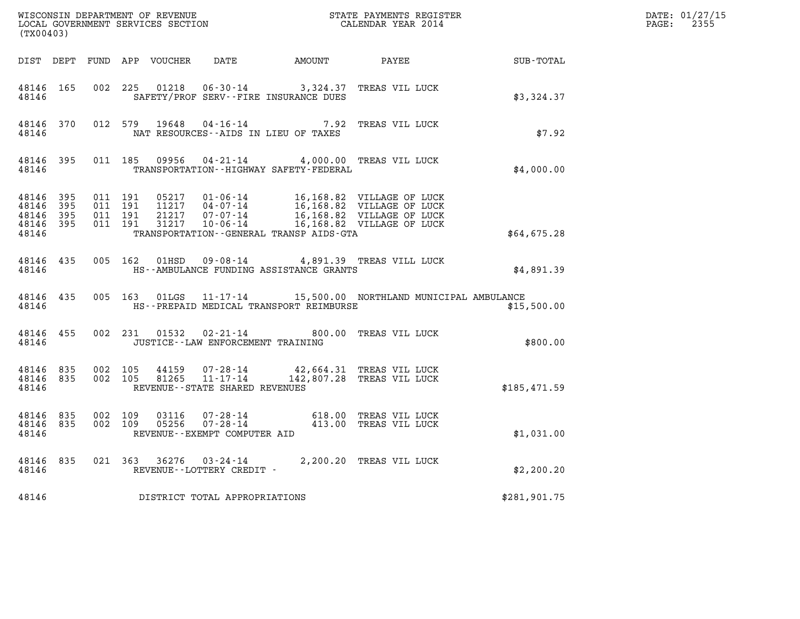| (TX00403)                                                 |                                |         |                                          |               |                                                  |                                             | $\tt WISCONSIM DEPARTMENT OF REVENUE$ $\tt WISCONSIMENT$ SERVICES SECTION $\tt WISCONERNMENT$ SERVICES SECTION $\tt CALENDAR$ YEAR 2014                                                  |                                                    | DATE: 01/27/15<br>$\mathtt{PAGE:}$<br>2355 |
|-----------------------------------------------------------|--------------------------------|---------|------------------------------------------|---------------|--------------------------------------------------|---------------------------------------------|------------------------------------------------------------------------------------------------------------------------------------------------------------------------------------------|----------------------------------------------------|--------------------------------------------|
|                                                           |                                |         |                                          |               |                                                  |                                             |                                                                                                                                                                                          | DIST DEPT FUND APP VOUCHER DATE AMOUNT PAYEE TOTAL |                                            |
| 48146 165<br>48146                                        |                                |         | 002 225                                  |               |                                                  | SAFETY/PROF SERV--FIRE INSURANCE DUES       | 01218  06-30-14  3,324.37  TREAS VIL LUCK                                                                                                                                                | \$3,324.37                                         |                                            |
| 48146                                                     | 48146 370                      |         |                                          | 012 579 19648 |                                                  | NAT RESOURCES--AIDS IN LIEU OF TAXES        | 04-16-14 7.92 TREAS VIL LUCK                                                                                                                                                             | \$7.92                                             |                                            |
| 48146                                                     | 48146 395                      |         |                                          |               |                                                  | TRANSPORTATION - - HIGHWAY SAFETY - FEDERAL | 011 185 09956 04-21-14 4,000.00 TREAS VIL LUCK                                                                                                                                           | \$4,000.00                                         |                                            |
| 48146 395<br>48146 395<br>48146 395<br>48146 395<br>48146 |                                |         | 011 191<br>011 191<br>011 191<br>011 191 |               |                                                  | TRANSPORTATION--GENERAL TRANSP AIDS-GTA     | 05217  01-06-14  16,168.82  VILLAGE OF LUCK<br>11217  04-07-14  16,168.82  VILLAGE OF LUCK<br>21217  07-07-14  16,168.82  VILLAGE OF LUCK<br>31217  10-06-14  16,168.82  VILLAGE OF LUCK | \$64,675.28                                        |                                            |
| 48146 435<br>48146                                        |                                |         |                                          |               |                                                  | HS--AMBULANCE FUNDING ASSISTANCE GRANTS     | 005 162 01HSD 09-08-14 4,891.39 TREAS VILL LUCK                                                                                                                                          | \$4,891.39                                         |                                            |
| 48146                                                     | 48146 435                      |         |                                          |               |                                                  | HS--PREPAID MEDICAL TRANSPORT REIMBURSE     | 005 163 01LGS 11-17-14 15,500.00 NORTHLAND MUNICIPAL AMBULANCE                                                                                                                           | \$15,500.00                                        |                                            |
| 48146 455<br>48146                                        |                                |         |                                          |               | JUSTICE - - LAW ENFORCEMENT TRAINING             |                                             | 002 231 01532 02-21-14 800.00 TREAS VIL LUCK                                                                                                                                             | \$800.00                                           |                                            |
| 48146                                                     | 48146 835 002 105<br>48146 835 |         | 002 105                                  |               | 44159 07-28-14<br>REVENUE--STATE SHARED REVENUES |                                             | 42,664.31 TREAS VIL LUCK<br>81265 11-17-14 142,807.28 TREAS VIL LUCK                                                                                                                     | \$185,471.59                                       |                                            |
| 48146 835<br>48146                                        | 48146 835                      | 002 109 | 002 109                                  |               | REVENUE--EXEMPT COMPUTER AID                     |                                             | 03116  07-28-14  618.00 TREAS VIL LUCK<br>05256  07-28-14  413.00 TREAS VIL LUCK                                                                                                         | \$1,031.00                                         |                                            |
| 48146                                                     | 48146 835                      |         |                                          |               | REVENUE--LOTTERY CREDIT -                        |                                             | 021 363 36276 03-24-14 2,200.20 TREAS VIL LUCK                                                                                                                                           | \$2,200.20                                         |                                            |
| 48146                                                     |                                |         |                                          |               | DISTRICT TOTAL APPROPRIATIONS                    |                                             |                                                                                                                                                                                          | \$281,901.75                                       |                                            |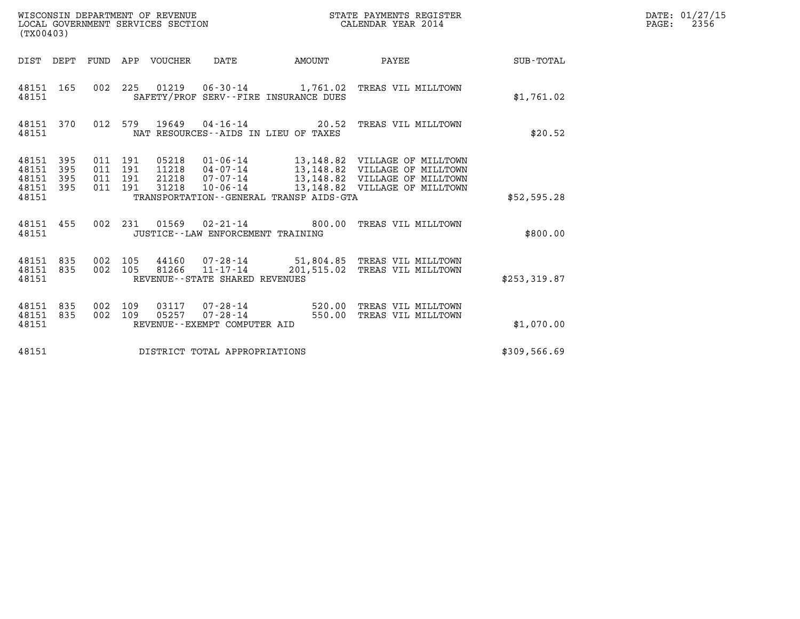| (TX00403)                                 |                          |                                          |         | WISCONSIN DEPARTMENT OF REVENUE<br>LOCAL GOVERNMENT SERVICES SECTION |                                                |                                         | STATE PAYMENTS REGISTER<br>CALENDAR YEAR 2014                                                                                                                        |              | DATE: 01/27/15<br>$\mathtt{PAGE:}$<br>2356 |
|-------------------------------------------|--------------------------|------------------------------------------|---------|----------------------------------------------------------------------|------------------------------------------------|-----------------------------------------|----------------------------------------------------------------------------------------------------------------------------------------------------------------------|--------------|--------------------------------------------|
|                                           |                          |                                          |         | DIST DEPT FUND APP VOUCHER                                           | DATE                                           | AMOUNT                                  | <b>PAYEE</b> FOUND THE PAYEE                                                                                                                                         | SUB-TOTAL    |                                            |
| 48151 165<br>48151                        |                          |                                          |         |                                                                      |                                                | SAFETY/PROF SERV--FIRE INSURANCE DUES   | 002 225 01219 06-30-14 1,761.02 TREAS VIL MILLTOWN                                                                                                                   | \$1,761.02   |                                            |
| 48151 370<br>48151                        |                          |                                          |         |                                                                      |                                                | NAT RESOURCES -- AIDS IN LIEU OF TAXES  | 012 579 19649 04-16-14 20.52 TREAS VIL MILLTOWN                                                                                                                      | \$20.52      |                                            |
| 48151<br>48151<br>48151<br>48151<br>48151 | 395<br>395<br>395<br>395 | 011 191<br>011 191<br>011 191<br>011 191 |         | 05218<br>21218<br>31218                                              | 07-07-14                                       | TRANSPORTATION--GENERAL TRANSP AIDS-GTA | 01-06-14 13,148.82 VILLAGE OF MILLTOWN<br>11218  04-07-14  13,148.82  VILLAGE OF MILLTOWN<br>13,148.82 VILLAGE OF MILLTOWN<br>10-06-14 13,148.82 VILLAGE OF MILLTOWN | \$52,595.28  |                                            |
| 48151 455<br>48151                        |                          |                                          | 002 231 |                                                                      | JUSTICE - - LAW ENFORCEMENT TRAINING           |                                         |                                                                                                                                                                      | \$800.00     |                                            |
| 48151 835<br>48151 835<br>48151           |                          | 002 105<br>002 105                       |         |                                                                      | REVENUE - - STATE SHARED REVENUES              |                                         | 44160  07-28-14  51,804.85  TREAS VIL MILLTOWN<br>81266  11-17-14  201,515.02  TREAS VIL MILLTOWN                                                                    | \$253,319.87 |                                            |
| 48151 835<br>48151<br>48151               | 835                      | 002 109<br>002 109                       |         | 03117<br>05257                                                       | $07 - 28 - 14$<br>REVENUE--EXEMPT COMPUTER AID |                                         | 07-28-14 520.00 TREAS VIL MILLTOWN<br>550.00 TREAS VIL MILLTOWN                                                                                                      | \$1,070.00   |                                            |
| 48151                                     |                          |                                          |         |                                                                      | DISTRICT TOTAL APPROPRIATIONS                  |                                         |                                                                                                                                                                      | \$309,566.69 |                                            |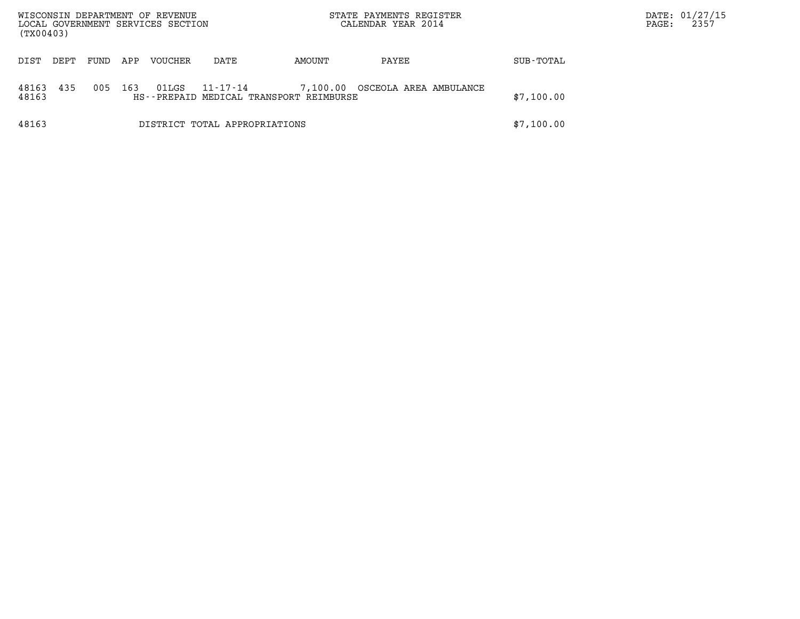| WISCONSIN DEPARTMENT OF REVENUE<br>LOCAL GOVERNMENT SERVICES SECTION<br>(TX00403) |            |                               |                                                     |            | STATE PAYMENTS REGISTER<br>CALENDAR YEAR 2014 |            | PAGE: | DATE: 01/27/15<br>2357 |
|-----------------------------------------------------------------------------------|------------|-------------------------------|-----------------------------------------------------|------------|-----------------------------------------------|------------|-------|------------------------|
| FUND<br>DIST<br>DEPT                                                              | APP        | <b>VOUCHER</b>                | DATE                                                | AMOUNT     | PAYEE                                         | SUB-TOTAL  |       |                        |
| 435<br>48163<br>48163                                                             | 005<br>163 | 01LGS                         | 11-17-14<br>HS--PREPAID MEDICAL TRANSPORT REIMBURSE | 7,100.00   | OSCEOLA AREA AMBULANCE                        | \$7,100.00 |       |                        |
| 48163                                                                             |            | DISTRICT TOTAL APPROPRIATIONS |                                                     | \$7,100.00 |                                               |            |       |                        |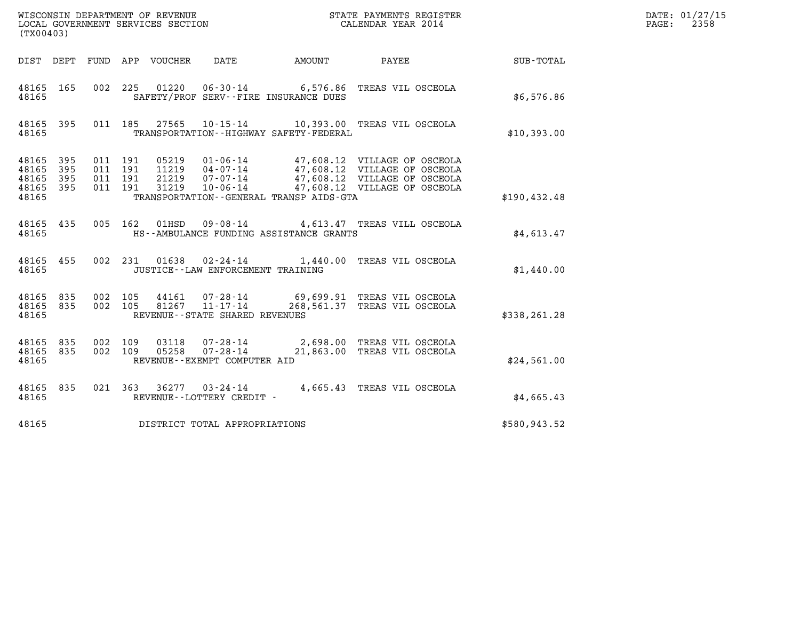| (TX00403)                                 |                          |         |                                                 |                                                                 |                                             |                                                                                                                                                                                    |               | DATE: 01/27/15<br>2358<br>$\mathtt{PAGE}$ : |
|-------------------------------------------|--------------------------|---------|-------------------------------------------------|-----------------------------------------------------------------|---------------------------------------------|------------------------------------------------------------------------------------------------------------------------------------------------------------------------------------|---------------|---------------------------------------------|
|                                           |                          |         | DIST DEPT FUND APP VOUCHER                      | DATE                                                            | AMOUNT                                      | PAYEE                                                                                                                                                                              | SUB-TOTAL     |                                             |
| 48165 165<br>48165                        |                          |         |                                                 |                                                                 | SAFETY/PROF SERV--FIRE INSURANCE DUES       | 002 225 01220 06-30-14 6,576.86 TREAS VIL OSCEOLA                                                                                                                                  | \$6,576.86    |                                             |
| 48165 395<br>48165                        |                          |         |                                                 |                                                                 | TRANSPORTATION - - HIGHWAY SAFETY - FEDERAL | 011 185 27565 10-15-14 10,393.00 TREAS VIL OSCEOLA                                                                                                                                 | \$10,393.00   |                                             |
| 48165<br>48165<br>48165<br>48165<br>48165 | 395<br>395<br>395<br>395 | 011 191 | 011 191<br>011 191<br>21219<br>011 191<br>31219 |                                                                 | TRANSPORTATION--GENERAL TRANSP AIDS-GTA     | 05219  01-06-14  47,608.12  VILLAGE OF OSCEOLA<br>11219  04-07-14  47,608.12  VILLAGE OF OSCEOLA<br>07-07-14 47,608.12 VILLAGE OF OSCEOLA<br>10-06-14 47,608.12 VILLAGE OF OSCEOLA | \$190, 432.48 |                                             |
| 48165 435<br>48165                        |                          |         | 005 162<br>01HSD                                |                                                                 | HS--AMBULANCE FUNDING ASSISTANCE GRANTS     | 09-08-14 4,613.47 TREAS VILL OSCEOLA                                                                                                                                               | \$4.613.47    |                                             |
| 48165 455<br>48165                        |                          |         |                                                 | JUSTICE - - LAW ENFORCEMENT TRAINING                            |                                             | 002 231 01638 02-24-14 1,440.00 TREAS VIL OSCEOLA                                                                                                                                  | \$1,440.00    |                                             |
| 48165 835<br>48165 835<br>48165           |                          |         | 002 105<br>44161<br>002 105                     | 07-28-14<br>81267 11-17-14<br>REVENUE - - STATE SHARED REVENUES |                                             | 69,699.91 TREAS VIL OSCEOLA<br>268,561.37 TREAS VIL OSCEOLA                                                                                                                        | \$338,261.28  |                                             |
| 48165 835<br>48165 835<br>48165           |                          |         | 002 109<br>03118<br>002 109<br>05258            | $07 - 28 - 14$<br>07-28-14<br>REVENUE--EXEMPT COMPUTER AID      |                                             | 2,698.00 TREAS VIL OSCEOLA<br>21,863.00 TREAS VIL OSCEOLA                                                                                                                          | \$24,561.00   |                                             |
| 48165 835<br>48165                        |                          |         |                                                 | REVENUE--LOTTERY CREDIT -                                       |                                             | 021  363  36277  03-24-14  4,665.43  TREAS VIL OSCEOLA                                                                                                                             | \$4,665.43    |                                             |
| 48165                                     |                          |         | DISTRICT TOTAL APPROPRIATIONS                   |                                                                 |                                             |                                                                                                                                                                                    | \$580,943.52  |                                             |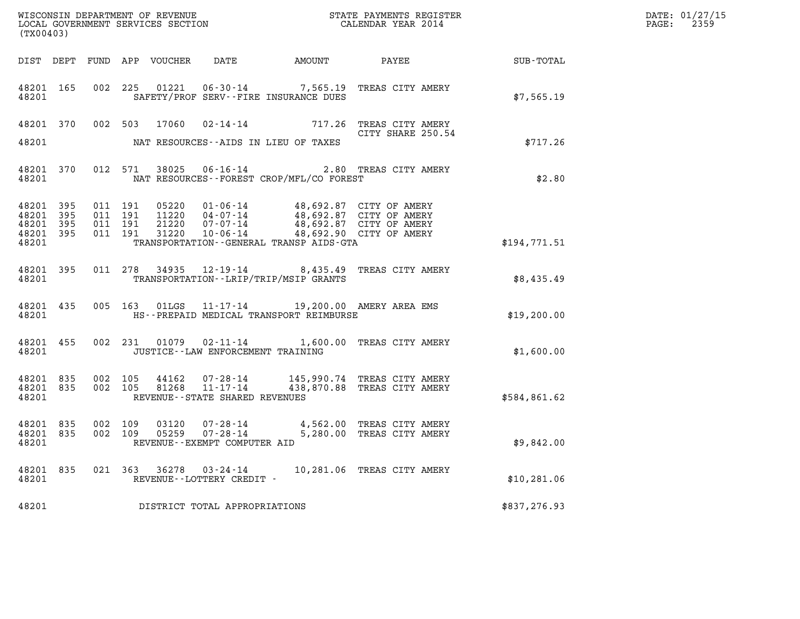| (TX00403)                                    |           |                    |  |                                                     |                                                                                                                                                                                                                                                                                                                                                                                        |                                                                                                                                                                                                          | DATE: 01/27/15<br>2359<br>$\mathtt{PAGE:}$ |  |
|----------------------------------------------|-----------|--------------------|--|-----------------------------------------------------|----------------------------------------------------------------------------------------------------------------------------------------------------------------------------------------------------------------------------------------------------------------------------------------------------------------------------------------------------------------------------------------|----------------------------------------------------------------------------------------------------------------------------------------------------------------------------------------------------------|--------------------------------------------|--|
|                                              |           |                    |  |                                                     |                                                                                                                                                                                                                                                                                                                                                                                        |                                                                                                                                                                                                          |                                            |  |
| 48201                                        |           |                    |  |                                                     | SAFETY/PROF SERV--FIRE INSURANCE DUES                                                                                                                                                                                                                                                                                                                                                  | 48201 165 002 225 01221 06-30-14 7,565.19 TREAS CITY AMERY                                                                                                                                               | \$7,565.19                                 |  |
|                                              |           |                    |  |                                                     | 48201 NAT RESOURCES--AIDS IN LIEU OF TAXES                                                                                                                                                                                                                                                                                                                                             | 48201 370 002 503 17060 02-14-14 717.26 TREAS CITY AMERY<br>CITY SHARE 250.54<br>CITY SHARE 250.54                                                                                                       | \$717.26                                   |  |
|                                              |           |                    |  |                                                     | 48201 NAT RESOURCES--FOREST CROP/MFL/CO FOREST                                                                                                                                                                                                                                                                                                                                         | 48201 370 012 571 38025 06-16-14 2.80 TREAS CITY AMERY                                                                                                                                                   | \$2.80                                     |  |
| 48201 395<br>48201 395<br>48201 395<br>48201 | 48201 395 | 011 191            |  |                                                     | $\begin{array}{cccc} 011 & 191 & 05220 & 01\cdot 06\cdot 14 & 48,692.87 & \text{CITY OF AMERY} \\ 011 & 191 & 11220 & 04\cdot 07\cdot 14 & 48,692.87 & \text{CITY OF AMERY} \\ 011 & 191 & 21220 & 07\cdot 07\cdot 14 & 48,692.87 & \text{CITY OF AMERY} \\ 011 & 191 & 31220 & 10\cdot 06\cdot 14 & 48,692.90 & \text{CITY OF AMERY} \end$<br>TRANSPORTATION--GENERAL TRANSP AIDS-GTA |                                                                                                                                                                                                          | \$194,771.51                               |  |
|                                              | 48201     |                    |  |                                                     | TRANSPORTATION--LRIP/TRIP/MSIP GRANTS                                                                                                                                                                                                                                                                                                                                                  | 48201 395 011 278 34935 12-19-14 8,435.49 TREAS CITY AMERY                                                                                                                                               | \$8,435.49                                 |  |
|                                              | 48201     |                    |  |                                                     | 48201 435 005 163 01LGS 11-17-14 19,200.00 AMERY AREA EMS<br>HS--PREPAID MEDICAL TRANSPORT REIMBURSE                                                                                                                                                                                                                                                                                   |                                                                                                                                                                                                          | \$19,200.00                                |  |
|                                              | 48201 200 |                    |  | JUSTICE - - LAW ENFORCEMENT TRAINING                |                                                                                                                                                                                                                                                                                                                                                                                        | 48201 455 002 231 01079 02-11-14 1,600.00 TREAS CITY AMERY                                                                                                                                               | \$1,600.00                                 |  |
|                                              |           |                    |  | 48201 REVENUE - STATE SHARED REVENUES               |                                                                                                                                                                                                                                                                                                                                                                                        | $\begin{array}{cccc} 48201 & 835 & 002 & 105 & 44162 & 07-28-14 & 145,990.74 & \text{TREAS CITY AMERY} \\ 48201 & 835 & 002 & 105 & 81268 & 11-17-14 & 438,870.88 & \text{TREAS CITY AMERY} \end{array}$ | \$584,861.62                               |  |
| 48201 835<br>48201 835<br>48201              |           | 002 109<br>002 109 |  | REVENUE--EXEMPT COMPUTER AID                        |                                                                                                                                                                                                                                                                                                                                                                                        | 03120  07-28-14  4,562.00 TREAS CITY AMERY<br>5,280.00 TREAS CITY AMERY                                                                                                                                  | \$9,842.00                                 |  |
| 48201 835<br>48201                           |           |                    |  | 021 363 36278 03-24-14<br>REVENUE--LOTTERY CREDIT - |                                                                                                                                                                                                                                                                                                                                                                                        | 10,281.06 TREAS CITY AMERY                                                                                                                                                                               | \$10, 281.06                               |  |
| 48201                                        |           |                    |  | DISTRICT TOTAL APPROPRIATIONS                       |                                                                                                                                                                                                                                                                                                                                                                                        |                                                                                                                                                                                                          | \$837,276.93                               |  |